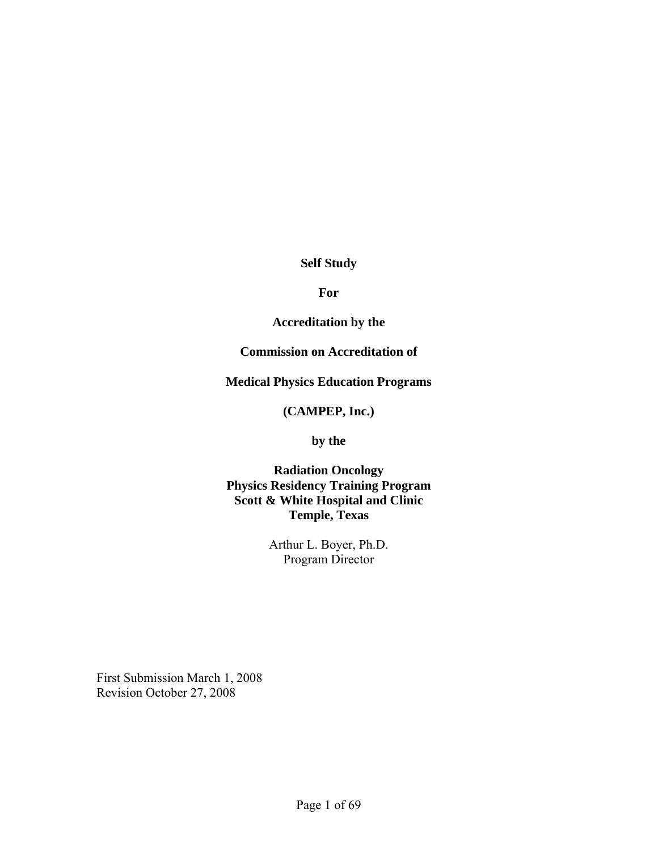#### **Self Study**

#### **For**

#### **Accreditation by the**

#### **Commission on Accreditation of**

#### **Medical Physics Education Programs**

#### **(CAMPEP, Inc.)**

#### **by the**

#### **Radiation Oncology Physics Residency Training Program Scott & White Hospital and Clinic Temple, Texas**

Arthur L. Boyer, Ph.D. Program Director

First Submission March 1, 2008 Revision October 27, 2008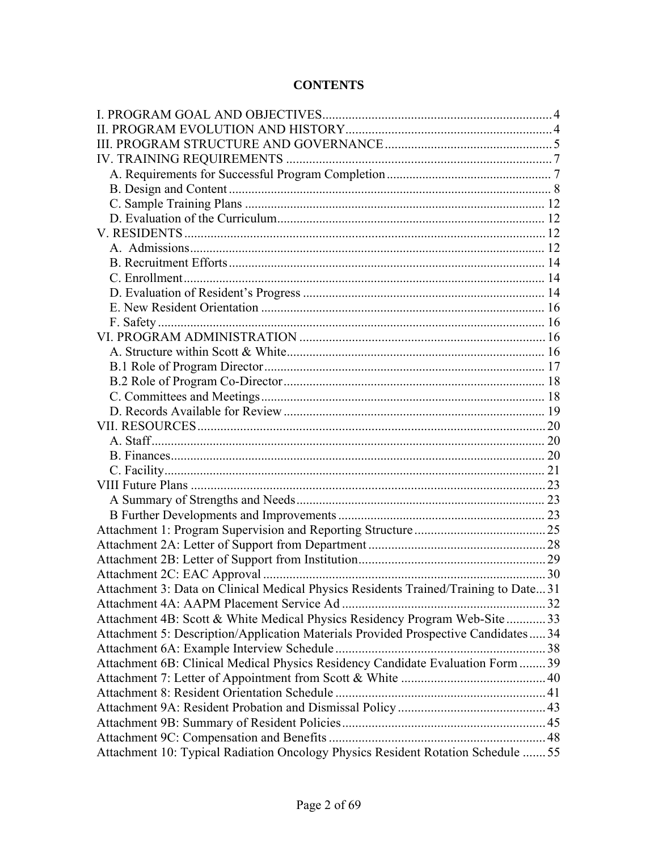### **CONTENTS**

| Attachment 10: Typical Radiation Oncology Physics Resident Rotation Schedule  55                                                                                                                                                                                                                                                            |  |
|---------------------------------------------------------------------------------------------------------------------------------------------------------------------------------------------------------------------------------------------------------------------------------------------------------------------------------------------|--|
| Attachment 3: Data on Clinical Medical Physics Residents Trained/Training to Date31<br>Attachment 4B: Scott & White Medical Physics Residency Program Web-Site  33<br>Attachment 5: Description/Application Materials Provided Prospective Candidates 34<br>Attachment 6B: Clinical Medical Physics Residency Candidate Evaluation Form  39 |  |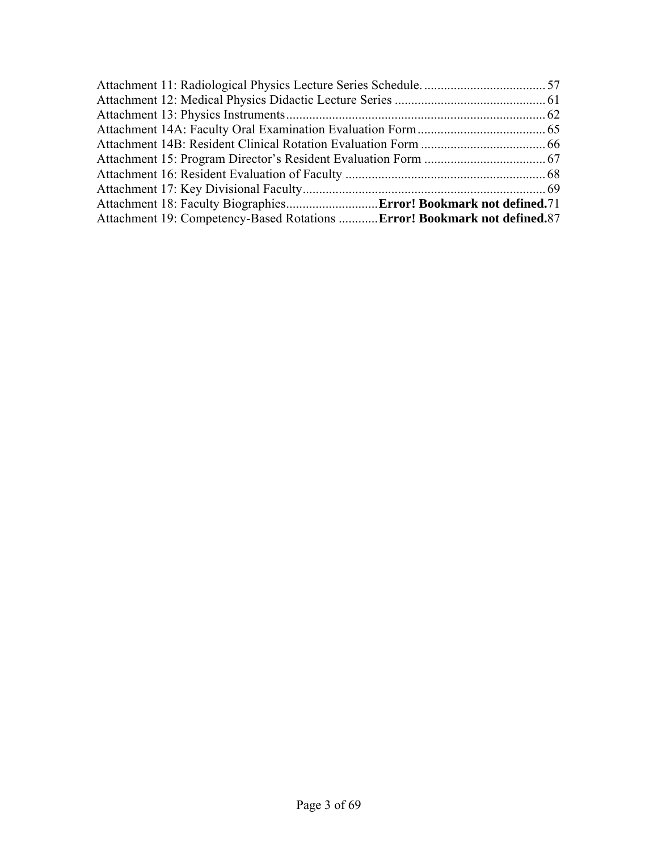| Attachment 19: Competency-Based Rotations Error! Bookmark not defined.87 |  |
|--------------------------------------------------------------------------|--|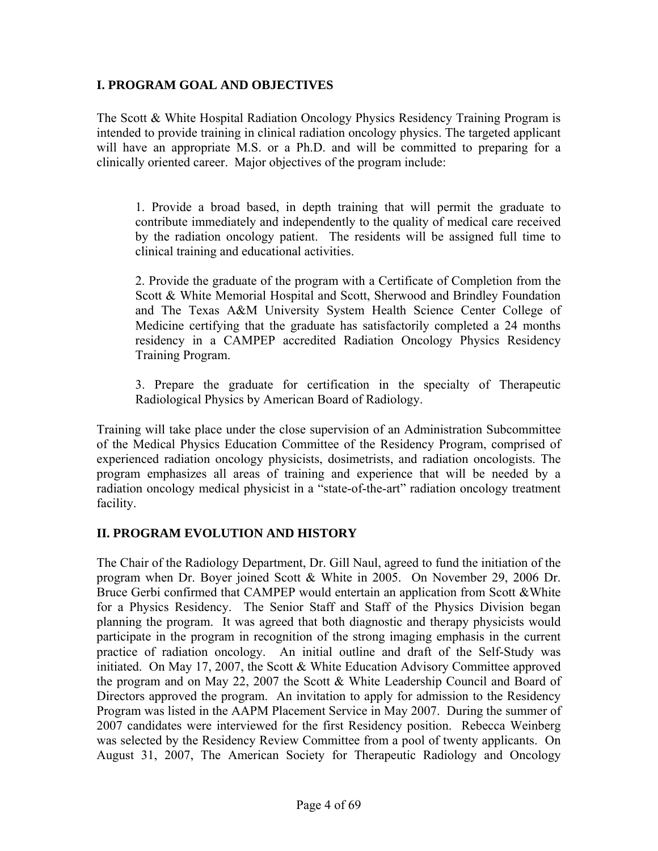#### **I. PROGRAM GOAL AND OBJECTIVES**

The Scott & White Hospital Radiation Oncology Physics Residency Training Program is intended to provide training in clinical radiation oncology physics. The targeted applicant will have an appropriate M.S. or a Ph.D. and will be committed to preparing for a clinically oriented career. Major objectives of the program include:

1. Provide a broad based, in depth training that will permit the graduate to contribute immediately and independently to the quality of medical care received by the radiation oncology patient. The residents will be assigned full time to clinical training and educational activities.

2. Provide the graduate of the program with a Certificate of Completion from the Scott & White Memorial Hospital and Scott, Sherwood and Brindley Foundation and The Texas A&M University System Health Science Center College of Medicine certifying that the graduate has satisfactorily completed a 24 months residency in a CAMPEP accredited Radiation Oncology Physics Residency Training Program.

3. Prepare the graduate for certification in the specialty of Therapeutic Radiological Physics by American Board of Radiology.

Training will take place under the close supervision of an Administration Subcommittee of the Medical Physics Education Committee of the Residency Program, comprised of experienced radiation oncology physicists, dosimetrists, and radiation oncologists. The program emphasizes all areas of training and experience that will be needed by a radiation oncology medical physicist in a "state-of-the-art" radiation oncology treatment facility.

#### **II. PROGRAM EVOLUTION AND HISTORY**

The Chair of the Radiology Department, Dr. Gill Naul, agreed to fund the initiation of the program when Dr. Boyer joined Scott & White in 2005. On November 29, 2006 Dr. Bruce Gerbi confirmed that CAMPEP would entertain an application from Scott &White for a Physics Residency. The Senior Staff and Staff of the Physics Division began planning the program. It was agreed that both diagnostic and therapy physicists would participate in the program in recognition of the strong imaging emphasis in the current practice of radiation oncology. An initial outline and draft of the Self-Study was initiated. On May 17, 2007, the Scott & White Education Advisory Committee approved the program and on May 22, 2007 the Scott & White Leadership Council and Board of Directors approved the program. An invitation to apply for admission to the Residency Program was listed in the AAPM Placement Service in May 2007. During the summer of 2007 candidates were interviewed for the first Residency position. Rebecca Weinberg was selected by the Residency Review Committee from a pool of twenty applicants. On August 31, 2007, The American Society for Therapeutic Radiology and Oncology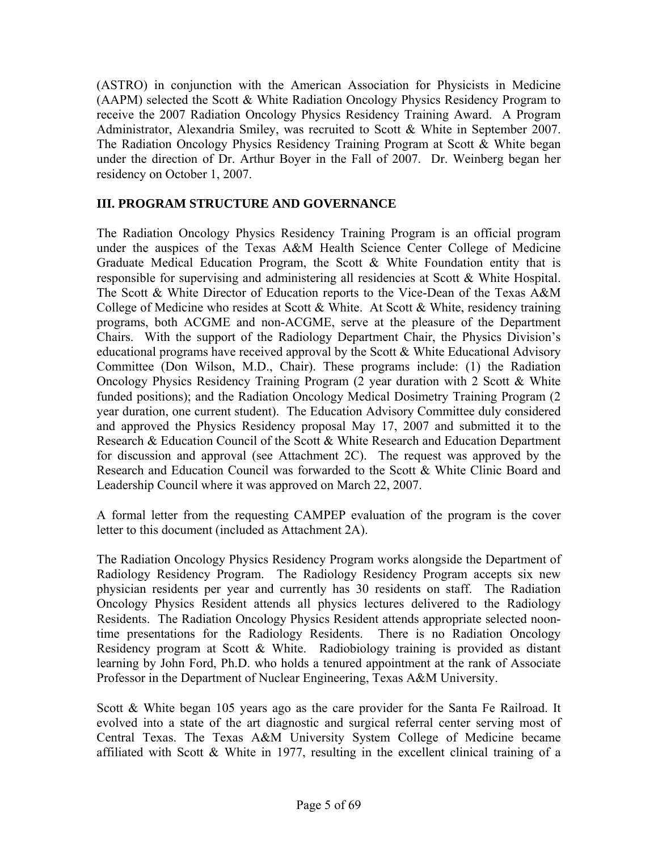(ASTRO) in conjunction with the American Association for Physicists in Medicine (AAPM) selected the Scott & White Radiation Oncology Physics Residency Program to receive the 2007 Radiation Oncology Physics Residency Training Award. A Program Administrator, Alexandria Smiley, was recruited to Scott & White in September 2007. The Radiation Oncology Physics Residency Training Program at Scott & White began under the direction of Dr. Arthur Boyer in the Fall of 2007. Dr. Weinberg began her residency on October 1, 2007.

### **III. PROGRAM STRUCTURE AND GOVERNANCE**

The Radiation Oncology Physics Residency Training Program is an official program under the auspices of the Texas A&M Health Science Center College of Medicine Graduate Medical Education Program, the Scott  $\&$  White Foundation entity that is responsible for supervising and administering all residencies at Scott & White Hospital. The Scott & White Director of Education reports to the Vice-Dean of the Texas A&M College of Medicine who resides at Scott & White. At Scott & White, residency training programs, both ACGME and non-ACGME, serve at the pleasure of the Department Chairs. With the support of the Radiology Department Chair, the Physics Division's educational programs have received approval by the Scott  $\&$  White Educational Advisory Committee (Don Wilson, M.D., Chair). These programs include: (1) the Radiation Oncology Physics Residency Training Program (2 year duration with 2 Scott & White funded positions); and the Radiation Oncology Medical Dosimetry Training Program (2 year duration, one current student). The Education Advisory Committee duly considered and approved the Physics Residency proposal May 17, 2007 and submitted it to the Research & Education Council of the Scott & White Research and Education Department for discussion and approval (see Attachment 2C). The request was approved by the Research and Education Council was forwarded to the Scott & White Clinic Board and Leadership Council where it was approved on March 22, 2007.

A formal letter from the requesting CAMPEP evaluation of the program is the cover letter to this document (included as Attachment 2A).

The Radiation Oncology Physics Residency Program works alongside the Department of Radiology Residency Program. The Radiology Residency Program accepts six new physician residents per year and currently has 30 residents on staff. The Radiation Oncology Physics Resident attends all physics lectures delivered to the Radiology Residents. The Radiation Oncology Physics Resident attends appropriate selected noontime presentations for the Radiology Residents. There is no Radiation Oncology Residency program at Scott & White. Radiobiology training is provided as distant learning by John Ford, Ph.D. who holds a tenured appointment at the rank of Associate Professor in the Department of Nuclear Engineering, Texas A&M University.

Scott & White began 105 years ago as the care provider for the Santa Fe Railroad. It evolved into a state of the art diagnostic and surgical referral center serving most of Central Texas. The Texas A&M University System College of Medicine became affiliated with Scott & White in 1977, resulting in the excellent clinical training of a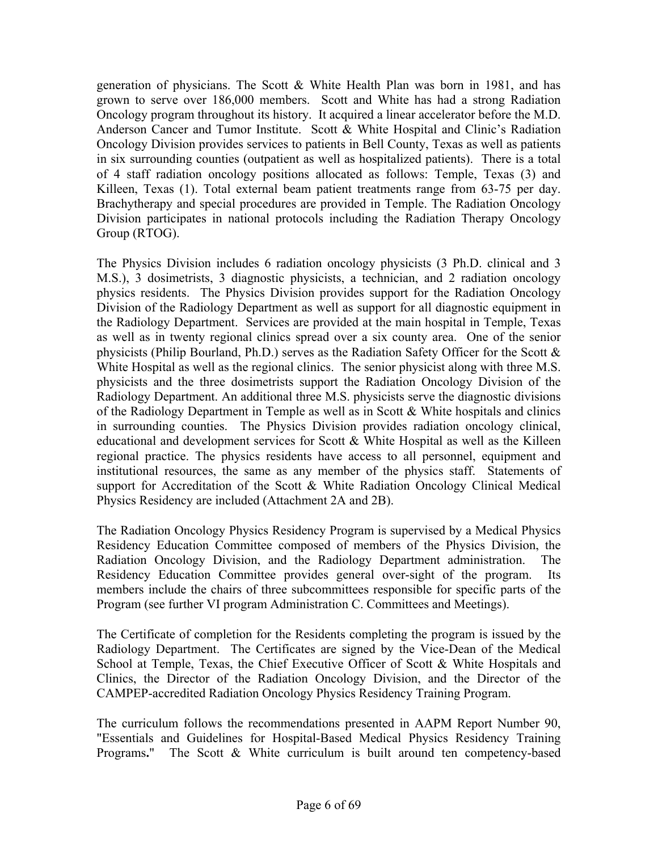generation of physicians. The Scott  $\&$  White Health Plan was born in 1981, and has grown to serve over 186,000 members. Scott and White has had a strong Radiation Oncology program throughout its history. It acquired a linear accelerator before the M.D. Anderson Cancer and Tumor Institute. Scott & White Hospital and Clinic's Radiation Oncology Division provides services to patients in Bell County, Texas as well as patients in six surrounding counties (outpatient as well as hospitalized patients). There is a total of 4 staff radiation oncology positions allocated as follows: Temple, Texas (3) and Killeen, Texas (1). Total external beam patient treatments range from 63-75 per day. Brachytherapy and special procedures are provided in Temple. The Radiation Oncology Division participates in national protocols including the Radiation Therapy Oncology Group (RTOG).

The Physics Division includes 6 radiation oncology physicists (3 Ph.D. clinical and 3 M.S.), 3 dosimetrists, 3 diagnostic physicists, a technician, and 2 radiation oncology physics residents. The Physics Division provides support for the Radiation Oncology Division of the Radiology Department as well as support for all diagnostic equipment in the Radiology Department. Services are provided at the main hospital in Temple, Texas as well as in twenty regional clinics spread over a six county area. One of the senior physicists (Philip Bourland, Ph.D.) serves as the Radiation Safety Officer for the Scott & White Hospital as well as the regional clinics. The senior physicist along with three M.S. physicists and the three dosimetrists support the Radiation Oncology Division of the Radiology Department. An additional three M.S. physicists serve the diagnostic divisions of the Radiology Department in Temple as well as in Scott & White hospitals and clinics in surrounding counties. The Physics Division provides radiation oncology clinical, educational and development services for Scott & White Hospital as well as the Killeen regional practice. The physics residents have access to all personnel, equipment and institutional resources, the same as any member of the physics staff. Statements of support for Accreditation of the Scott & White Radiation Oncology Clinical Medical Physics Residency are included (Attachment 2A and 2B).

The Radiation Oncology Physics Residency Program is supervised by a Medical Physics Residency Education Committee composed of members of the Physics Division, the Radiation Oncology Division, and the Radiology Department administration. The Residency Education Committee provides general over-sight of the program. Its members include the chairs of three subcommittees responsible for specific parts of the Program (see further VI program Administration C. Committees and Meetings).

The Certificate of completion for the Residents completing the program is issued by the Radiology Department. The Certificates are signed by the Vice-Dean of the Medical School at Temple, Texas, the Chief Executive Officer of Scott & White Hospitals and Clinics, the Director of the Radiation Oncology Division, and the Director of the CAMPEP-accredited Radiation Oncology Physics Residency Training Program.

The curriculum follows the recommendations presented in AAPM Report Number 90, "Essentials and Guidelines for Hospital-Based Medical Physics Residency Training Programs**.**" The Scott & White curriculum is built around ten competency-based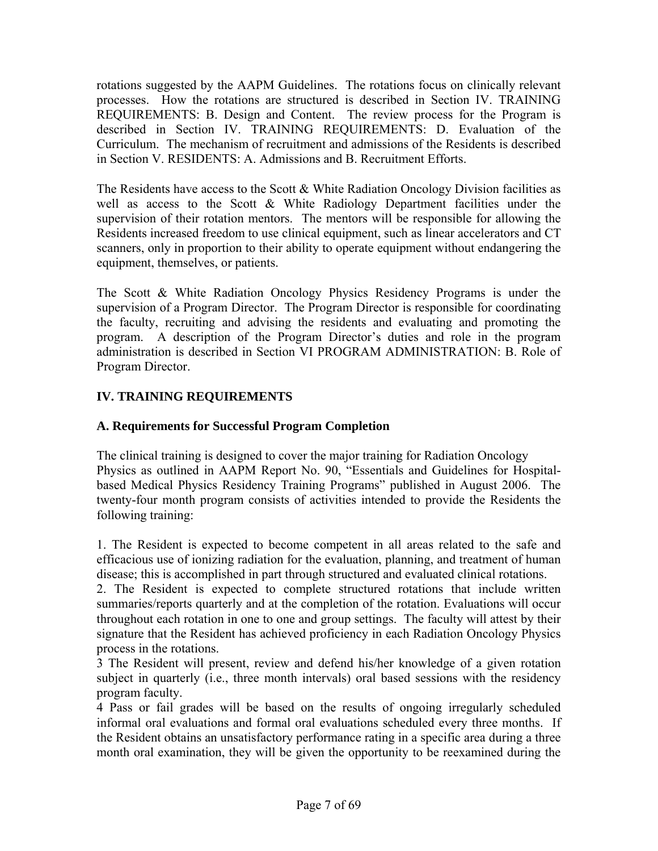rotations suggested by the AAPM Guidelines. The rotations focus on clinically relevant processes. How the rotations are structured is described in Section IV. TRAINING REQUIREMENTS: B. Design and Content. The review process for the Program is described in Section IV. TRAINING REQUIREMENTS: D. Evaluation of the Curriculum. The mechanism of recruitment and admissions of the Residents is described in Section V. RESIDENTS: A. Admissions and B. Recruitment Efforts.

The Residents have access to the Scott & White Radiation Oncology Division facilities as well as access to the Scott & White Radiology Department facilities under the supervision of their rotation mentors. The mentors will be responsible for allowing the Residents increased freedom to use clinical equipment, such as linear accelerators and CT scanners, only in proportion to their ability to operate equipment without endangering the equipment, themselves, or patients.

The Scott & White Radiation Oncology Physics Residency Programs is under the supervision of a Program Director. The Program Director is responsible for coordinating the faculty, recruiting and advising the residents and evaluating and promoting the program. A description of the Program Director's duties and role in the program administration is described in Section VI PROGRAM ADMINISTRATION: B. Role of Program Director.

### **IV. TRAINING REQUIREMENTS**

### **A. Requirements for Successful Program Completion**

The clinical training is designed to cover the major training for Radiation Oncology Physics as outlined in AAPM Report No. 90, "Essentials and Guidelines for Hospitalbased Medical Physics Residency Training Programs" published in August 2006. The twenty-four month program consists of activities intended to provide the Residents the following training:

1. The Resident is expected to become competent in all areas related to the safe and efficacious use of ionizing radiation for the evaluation, planning, and treatment of human disease; this is accomplished in part through structured and evaluated clinical rotations.

2. The Resident is expected to complete structured rotations that include written summaries/reports quarterly and at the completion of the rotation. Evaluations will occur throughout each rotation in one to one and group settings. The faculty will attest by their signature that the Resident has achieved proficiency in each Radiation Oncology Physics process in the rotations.

3 The Resident will present, review and defend his/her knowledge of a given rotation subject in quarterly (i.e., three month intervals) oral based sessions with the residency program faculty.

4 Pass or fail grades will be based on the results of ongoing irregularly scheduled informal oral evaluations and formal oral evaluations scheduled every three months. If the Resident obtains an unsatisfactory performance rating in a specific area during a three month oral examination, they will be given the opportunity to be reexamined during the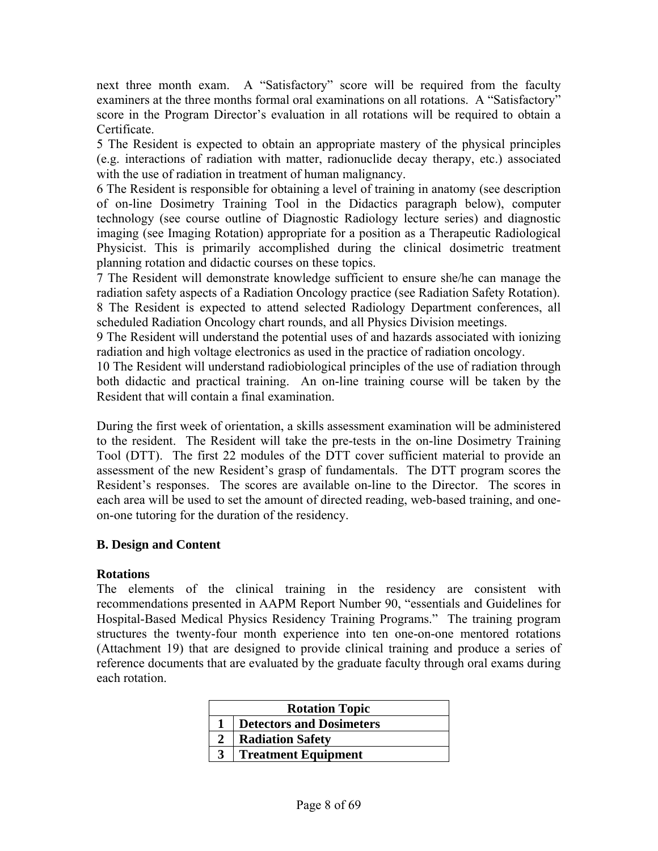next three month exam. A "Satisfactory" score will be required from the faculty examiners at the three months formal oral examinations on all rotations. A "Satisfactory" score in the Program Director's evaluation in all rotations will be required to obtain a Certificate.

5 The Resident is expected to obtain an appropriate mastery of the physical principles (e.g. interactions of radiation with matter, radionuclide decay therapy, etc.) associated with the use of radiation in treatment of human malignancy.

6 The Resident is responsible for obtaining a level of training in anatomy (see description of on-line Dosimetry Training Tool in the Didactics paragraph below), computer technology (see course outline of Diagnostic Radiology lecture series) and diagnostic imaging (see Imaging Rotation) appropriate for a position as a Therapeutic Radiological Physicist. This is primarily accomplished during the clinical dosimetric treatment planning rotation and didactic courses on these topics.

7 The Resident will demonstrate knowledge sufficient to ensure she/he can manage the radiation safety aspects of a Radiation Oncology practice (see Radiation Safety Rotation).

8 The Resident is expected to attend selected Radiology Department conferences, all scheduled Radiation Oncology chart rounds, and all Physics Division meetings.

9 The Resident will understand the potential uses of and hazards associated with ionizing radiation and high voltage electronics as used in the practice of radiation oncology.

10 The Resident will understand radiobiological principles of the use of radiation through both didactic and practical training. An on-line training course will be taken by the Resident that will contain a final examination.

During the first week of orientation, a skills assessment examination will be administered to the resident. The Resident will take the pre-tests in the on-line Dosimetry Training Tool (DTT). The first 22 modules of the DTT cover sufficient material to provide an assessment of the new Resident's grasp of fundamentals. The DTT program scores the Resident's responses. The scores are available on-line to the Director. The scores in each area will be used to set the amount of directed reading, web-based training, and oneon-one tutoring for the duration of the residency.

#### **B. Design and Content**

#### **Rotations**

The elements of the clinical training in the residency are consistent with recommendations presented in AAPM Report Number 90, "essentials and Guidelines for Hospital-Based Medical Physics Residency Training Programs." The training program structures the twenty-four month experience into ten one-on-one mentored rotations (Attachment 19) that are designed to provide clinical training and produce a series of reference documents that are evaluated by the graduate faculty through oral exams during each rotation.

| <b>Rotation Topic</b> |                                 |
|-----------------------|---------------------------------|
|                       | <b>Detectors and Dosimeters</b> |
|                       | <b>Radiation Safety</b>         |
|                       | <b>Treatment Equipment</b>      |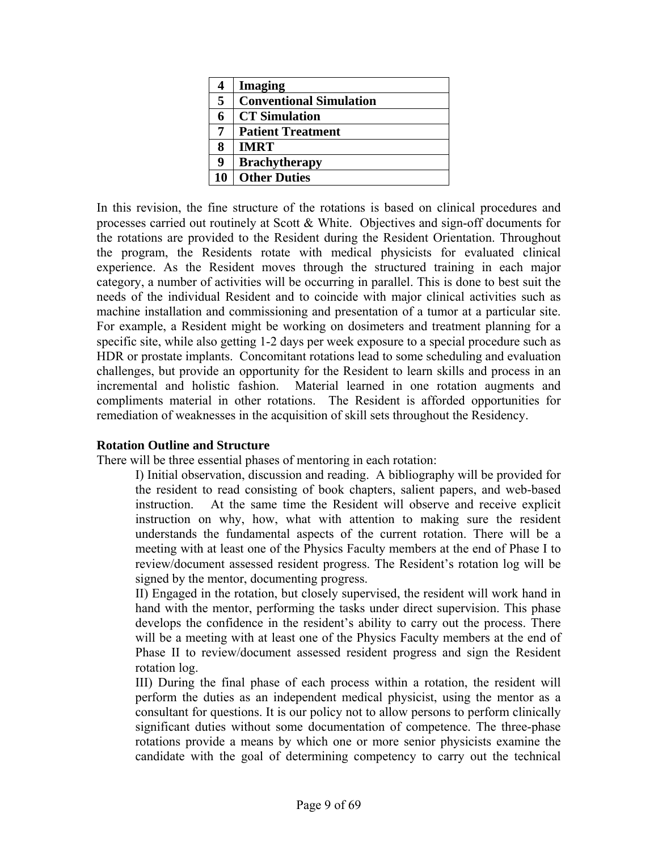| 4  | <b>Imaging</b>                 |
|----|--------------------------------|
| 5  | <b>Conventional Simulation</b> |
| 6  | <b>CT</b> Simulation           |
| 7  | <b>Patient Treatment</b>       |
| 8  | <b>IMRT</b>                    |
| 9  | <b>Brachytherapy</b>           |
| 10 | <b>Other Duties</b>            |

In this revision, the fine structure of the rotations is based on clinical procedures and processes carried out routinely at Scott & White. Objectives and sign-off documents for the rotations are provided to the Resident during the Resident Orientation. Throughout the program, the Residents rotate with medical physicists for evaluated clinical experience. As the Resident moves through the structured training in each major category, a number of activities will be occurring in parallel. This is done to best suit the needs of the individual Resident and to coincide with major clinical activities such as machine installation and commissioning and presentation of a tumor at a particular site. For example, a Resident might be working on dosimeters and treatment planning for a specific site, while also getting 1-2 days per week exposure to a special procedure such as HDR or prostate implants. Concomitant rotations lead to some scheduling and evaluation challenges, but provide an opportunity for the Resident to learn skills and process in an incremental and holistic fashion. Material learned in one rotation augments and compliments material in other rotations. The Resident is afforded opportunities for remediation of weaknesses in the acquisition of skill sets throughout the Residency.

#### **Rotation Outline and Structure**

There will be three essential phases of mentoring in each rotation:

I) Initial observation, discussion and reading. A bibliography will be provided for the resident to read consisting of book chapters, salient papers, and web-based instruction. At the same time the Resident will observe and receive explicit instruction on why, how, what with attention to making sure the resident understands the fundamental aspects of the current rotation. There will be a meeting with at least one of the Physics Faculty members at the end of Phase I to review/document assessed resident progress. The Resident's rotation log will be signed by the mentor, documenting progress.

II) Engaged in the rotation, but closely supervised, the resident will work hand in hand with the mentor, performing the tasks under direct supervision. This phase develops the confidence in the resident's ability to carry out the process. There will be a meeting with at least one of the Physics Faculty members at the end of Phase II to review/document assessed resident progress and sign the Resident rotation log.

III) During the final phase of each process within a rotation, the resident will perform the duties as an independent medical physicist, using the mentor as a consultant for questions. It is our policy not to allow persons to perform clinically significant duties without some documentation of competence. The three-phase rotations provide a means by which one or more senior physicists examine the candidate with the goal of determining competency to carry out the technical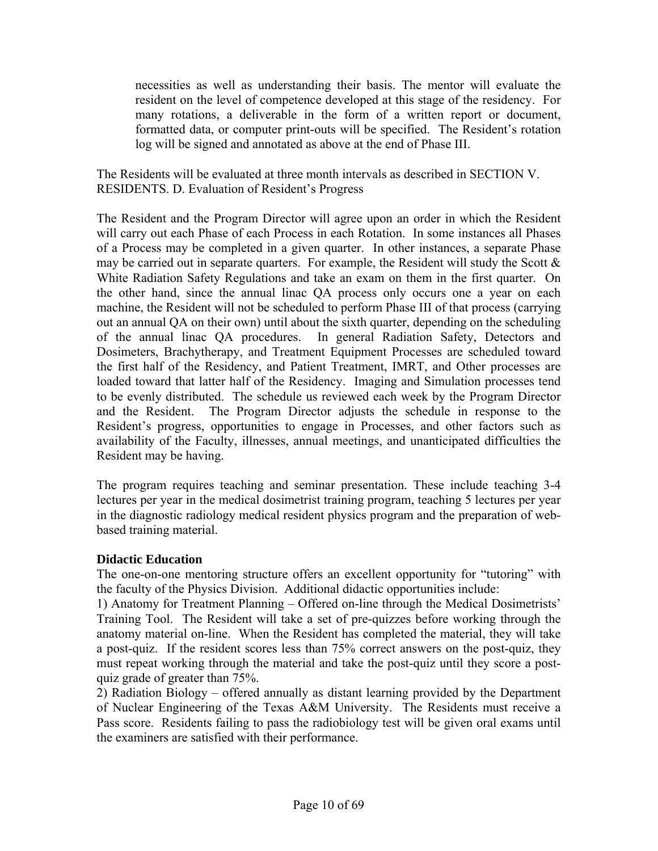necessities as well as understanding their basis. The mentor will evaluate the resident on the level of competence developed at this stage of the residency. For many rotations, a deliverable in the form of a written report or document, formatted data, or computer print-outs will be specified. The Resident's rotation log will be signed and annotated as above at the end of Phase III.

The Residents will be evaluated at three month intervals as described in SECTION V. RESIDENTS. D. Evaluation of Resident's Progress

The Resident and the Program Director will agree upon an order in which the Resident will carry out each Phase of each Process in each Rotation. In some instances all Phases of a Process may be completed in a given quarter. In other instances, a separate Phase may be carried out in separate quarters. For example, the Resident will study the Scott  $\&$ White Radiation Safety Regulations and take an exam on them in the first quarter. On the other hand, since the annual linac QA process only occurs one a year on each machine, the Resident will not be scheduled to perform Phase III of that process (carrying out an annual QA on their own) until about the sixth quarter, depending on the scheduling of the annual linac QA procedures. In general Radiation Safety, Detectors and Dosimeters, Brachytherapy, and Treatment Equipment Processes are scheduled toward the first half of the Residency, and Patient Treatment, IMRT, and Other processes are loaded toward that latter half of the Residency. Imaging and Simulation processes tend to be evenly distributed. The schedule us reviewed each week by the Program Director and the Resident. The Program Director adjusts the schedule in response to the Resident's progress, opportunities to engage in Processes, and other factors such as availability of the Faculty, illnesses, annual meetings, and unanticipated difficulties the Resident may be having.

The program requires teaching and seminar presentation. These include teaching 3-4 lectures per year in the medical dosimetrist training program, teaching 5 lectures per year in the diagnostic radiology medical resident physics program and the preparation of webbased training material.

#### **Didactic Education**

The one-on-one mentoring structure offers an excellent opportunity for "tutoring" with the faculty of the Physics Division. Additional didactic opportunities include:

1) Anatomy for Treatment Planning – Offered on-line through the Medical Dosimetrists' Training Tool. The Resident will take a set of pre-quizzes before working through the anatomy material on-line. When the Resident has completed the material, they will take a post-quiz. If the resident scores less than 75% correct answers on the post-quiz, they must repeat working through the material and take the post-quiz until they score a postquiz grade of greater than 75%.

2) Radiation Biology – offered annually as distant learning provided by the Department of Nuclear Engineering of the Texas A&M University. The Residents must receive a Pass score. Residents failing to pass the radiobiology test will be given oral exams until the examiners are satisfied with their performance.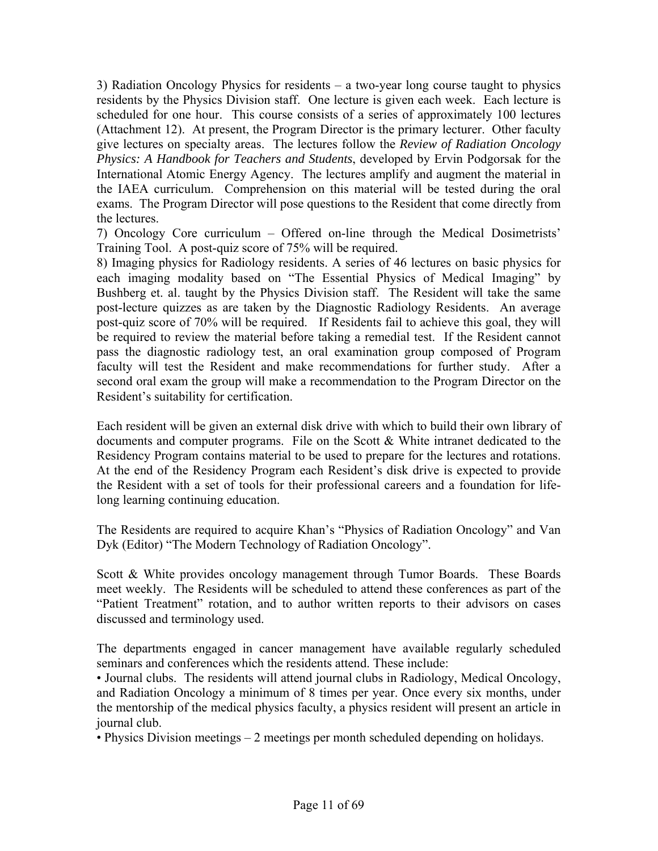3) Radiation Oncology Physics for residents – a two-year long course taught to physics residents by the Physics Division staff. One lecture is given each week. Each lecture is scheduled for one hour. This course consists of a series of approximately 100 lectures (Attachment 12). At present, the Program Director is the primary lecturer. Other faculty give lectures on specialty areas. The lectures follow the *Review of Radiation Oncology Physics: A Handbook for Teachers and Students*, developed by Ervin Podgorsak for the International Atomic Energy Agency. The lectures amplify and augment the material in the IAEA curriculum. Comprehension on this material will be tested during the oral exams. The Program Director will pose questions to the Resident that come directly from the lectures.

7) Oncology Core curriculum – Offered on-line through the Medical Dosimetrists' Training Tool. A post-quiz score of 75% will be required.

8) Imaging physics for Radiology residents. A series of 46 lectures on basic physics for each imaging modality based on "The Essential Physics of Medical Imaging" by Bushberg et. al. taught by the Physics Division staff. The Resident will take the same post-lecture quizzes as are taken by the Diagnostic Radiology Residents. An average post-quiz score of 70% will be required. If Residents fail to achieve this goal, they will be required to review the material before taking a remedial test. If the Resident cannot pass the diagnostic radiology test, an oral examination group composed of Program faculty will test the Resident and make recommendations for further study. After a second oral exam the group will make a recommendation to the Program Director on the Resident's suitability for certification.

Each resident will be given an external disk drive with which to build their own library of documents and computer programs. File on the Scott & White intranet dedicated to the Residency Program contains material to be used to prepare for the lectures and rotations. At the end of the Residency Program each Resident's disk drive is expected to provide the Resident with a set of tools for their professional careers and a foundation for lifelong learning continuing education.

The Residents are required to acquire Khan's "Physics of Radiation Oncology" and Van Dyk (Editor) "The Modern Technology of Radiation Oncology".

Scott & White provides oncology management through Tumor Boards. These Boards meet weekly. The Residents will be scheduled to attend these conferences as part of the "Patient Treatment" rotation, and to author written reports to their advisors on cases discussed and terminology used.

The departments engaged in cancer management have available regularly scheduled seminars and conferences which the residents attend. These include:

• Journal clubs. The residents will attend journal clubs in Radiology, Medical Oncology, and Radiation Oncology a minimum of 8 times per year. Once every six months, under the mentorship of the medical physics faculty, a physics resident will present an article in journal club.

• Physics Division meetings – 2 meetings per month scheduled depending on holidays.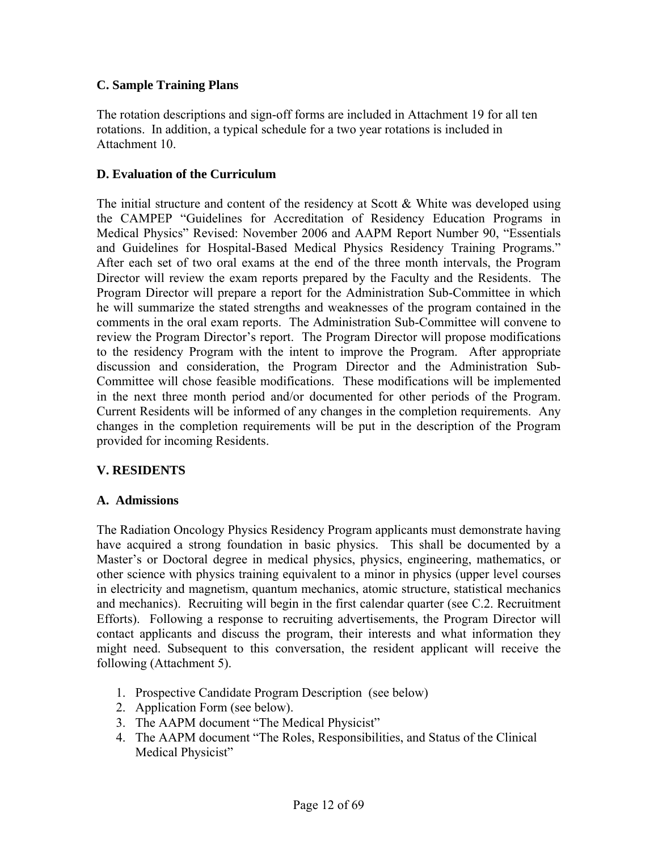#### **C. Sample Training Plans**

The rotation descriptions and sign-off forms are included in Attachment 19 for all ten rotations. In addition, a typical schedule for a two year rotations is included in Attachment 10.

#### **D. Evaluation of the Curriculum**

The initial structure and content of the residency at Scott  $\&$  White was developed using the CAMPEP "Guidelines for Accreditation of Residency Education Programs in Medical Physics" Revised: November 2006 and AAPM Report Number 90, "Essentials and Guidelines for Hospital-Based Medical Physics Residency Training Programs." After each set of two oral exams at the end of the three month intervals, the Program Director will review the exam reports prepared by the Faculty and the Residents. The Program Director will prepare a report for the Administration Sub-Committee in which he will summarize the stated strengths and weaknesses of the program contained in the comments in the oral exam reports. The Administration Sub-Committee will convene to review the Program Director's report. The Program Director will propose modifications to the residency Program with the intent to improve the Program. After appropriate discussion and consideration, the Program Director and the Administration Sub-Committee will chose feasible modifications. These modifications will be implemented in the next three month period and/or documented for other periods of the Program. Current Residents will be informed of any changes in the completion requirements. Any changes in the completion requirements will be put in the description of the Program provided for incoming Residents.

#### **V. RESIDENTS**

#### **A. Admissions**

The Radiation Oncology Physics Residency Program applicants must demonstrate having have acquired a strong foundation in basic physics. This shall be documented by a Master's or Doctoral degree in medical physics, physics, engineering, mathematics, or other science with physics training equivalent to a minor in physics (upper level courses in electricity and magnetism, quantum mechanics, atomic structure, statistical mechanics and mechanics). Recruiting will begin in the first calendar quarter (see C.2. Recruitment Efforts). Following a response to recruiting advertisements, the Program Director will contact applicants and discuss the program, their interests and what information they might need. Subsequent to this conversation, the resident applicant will receive the following (Attachment 5).

- 1. Prospective Candidate Program Description (see below)
- 2. Application Form (see below).
- 3. The AAPM document "The Medical Physicist"
- 4. The AAPM document "The Roles, Responsibilities, and Status of the Clinical Medical Physicist"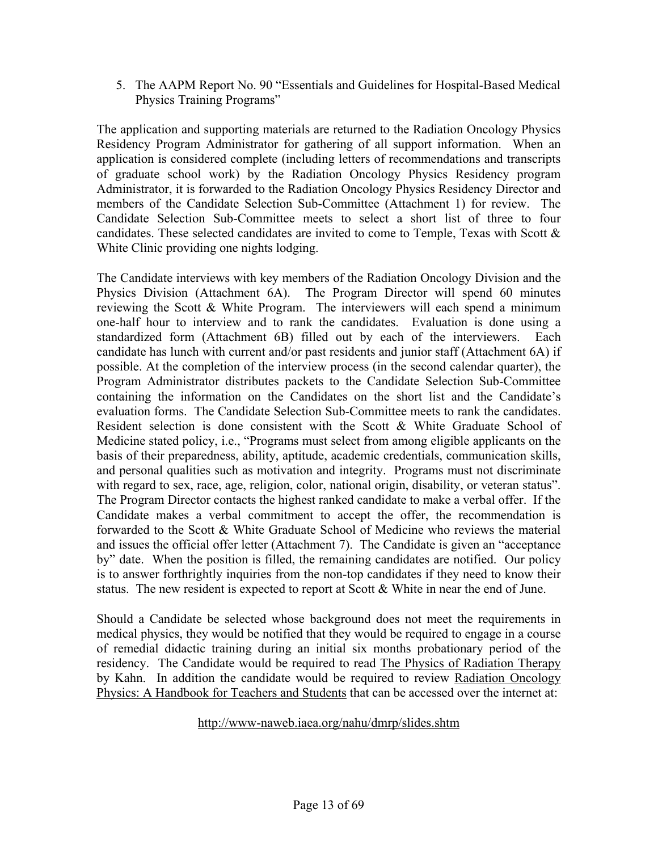5. The AAPM Report No. 90 "Essentials and Guidelines for Hospital-Based Medical Physics Training Programs"

The application and supporting materials are returned to the Radiation Oncology Physics Residency Program Administrator for gathering of all support information. When an application is considered complete (including letters of recommendations and transcripts of graduate school work) by the Radiation Oncology Physics Residency program Administrator, it is forwarded to the Radiation Oncology Physics Residency Director and members of the Candidate Selection Sub-Committee (Attachment 1) for review. The Candidate Selection Sub-Committee meets to select a short list of three to four candidates. These selected candidates are invited to come to Temple, Texas with Scott & White Clinic providing one nights lodging.

The Candidate interviews with key members of the Radiation Oncology Division and the Physics Division (Attachment 6A). The Program Director will spend 60 minutes reviewing the Scott & White Program. The interviewers will each spend a minimum one-half hour to interview and to rank the candidates. Evaluation is done using a standardized form (Attachment 6B) filled out by each of the interviewers. Each candidate has lunch with current and/or past residents and junior staff (Attachment 6A) if possible. At the completion of the interview process (in the second calendar quarter), the Program Administrator distributes packets to the Candidate Selection Sub-Committee containing the information on the Candidates on the short list and the Candidate's evaluation forms. The Candidate Selection Sub-Committee meets to rank the candidates. Resident selection is done consistent with the Scott & White Graduate School of Medicine stated policy, i.e., "Programs must select from among eligible applicants on the basis of their preparedness, ability, aptitude, academic credentials, communication skills, and personal qualities such as motivation and integrity. Programs must not discriminate with regard to sex, race, age, religion, color, national origin, disability, or veteran status". The Program Director contacts the highest ranked candidate to make a verbal offer. If the Candidate makes a verbal commitment to accept the offer, the recommendation is forwarded to the Scott & White Graduate School of Medicine who reviews the material and issues the official offer letter (Attachment 7). The Candidate is given an "acceptance by" date. When the position is filled, the remaining candidates are notified. Our policy is to answer forthrightly inquiries from the non-top candidates if they need to know their status. The new resident is expected to report at Scott & White in near the end of June.

Should a Candidate be selected whose background does not meet the requirements in medical physics, they would be notified that they would be required to engage in a course of remedial didactic training during an initial six months probationary period of the residency. The Candidate would be required to read The Physics of Radiation Therapy by Kahn. In addition the candidate would be required to review Radiation Oncology Physics: A Handbook for Teachers and Students that can be accessed over the internet at:

#### http://www-naweb.iaea.org/nahu/dmrp/slides.shtm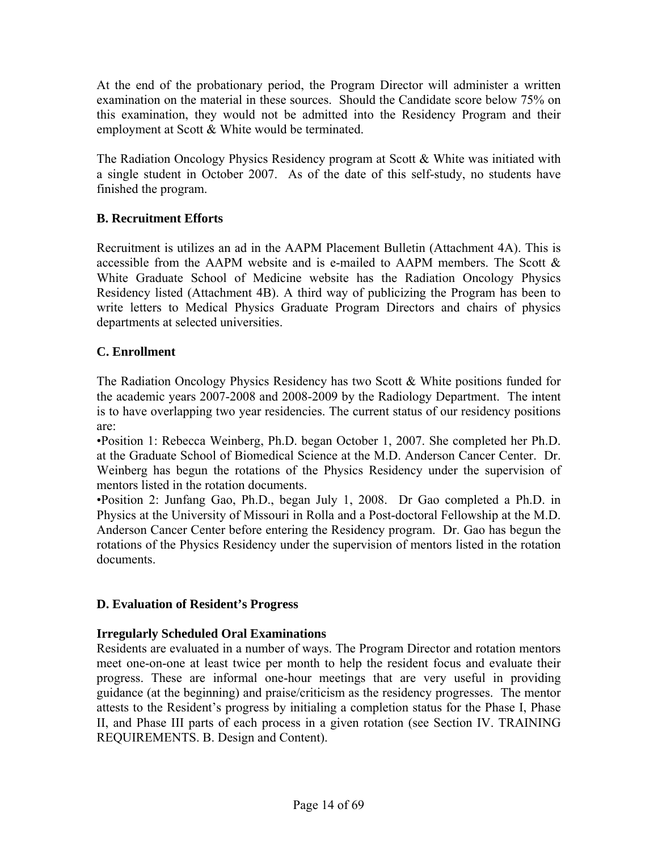At the end of the probationary period, the Program Director will administer a written examination on the material in these sources. Should the Candidate score below 75% on this examination, they would not be admitted into the Residency Program and their employment at Scott & White would be terminated.

The Radiation Oncology Physics Residency program at Scott & White was initiated with a single student in October 2007. As of the date of this self-study, no students have finished the program.

### **B. Recruitment Efforts**

Recruitment is utilizes an ad in the AAPM Placement Bulletin (Attachment 4A). This is accessible from the AAPM website and is e-mailed to AAPM members. The Scott & White Graduate School of Medicine website has the Radiation Oncology Physics Residency listed (Attachment 4B). A third way of publicizing the Program has been to write letters to Medical Physics Graduate Program Directors and chairs of physics departments at selected universities.

#### **C. Enrollment**

The Radiation Oncology Physics Residency has two Scott & White positions funded for the academic years 2007-2008 and 2008-2009 by the Radiology Department. The intent is to have overlapping two year residencies. The current status of our residency positions are:

•Position 1: Rebecca Weinberg, Ph.D. began October 1, 2007. She completed her Ph.D. at the Graduate School of Biomedical Science at the M.D. Anderson Cancer Center. Dr. Weinberg has begun the rotations of the Physics Residency under the supervision of mentors listed in the rotation documents.

•Position 2: Junfang Gao, Ph.D., began July 1, 2008. Dr Gao completed a Ph.D. in Physics at the University of Missouri in Rolla and a Post-doctoral Fellowship at the M.D. Anderson Cancer Center before entering the Residency program. Dr. Gao has begun the rotations of the Physics Residency under the supervision of mentors listed in the rotation documents.

#### **D. Evaluation of Resident's Progress**

#### **Irregularly Scheduled Oral Examinations**

Residents are evaluated in a number of ways. The Program Director and rotation mentors meet one-on-one at least twice per month to help the resident focus and evaluate their progress. These are informal one-hour meetings that are very useful in providing guidance (at the beginning) and praise/criticism as the residency progresses. The mentor attests to the Resident's progress by initialing a completion status for the Phase I, Phase II, and Phase III parts of each process in a given rotation (see Section IV. TRAINING REQUIREMENTS. B. Design and Content).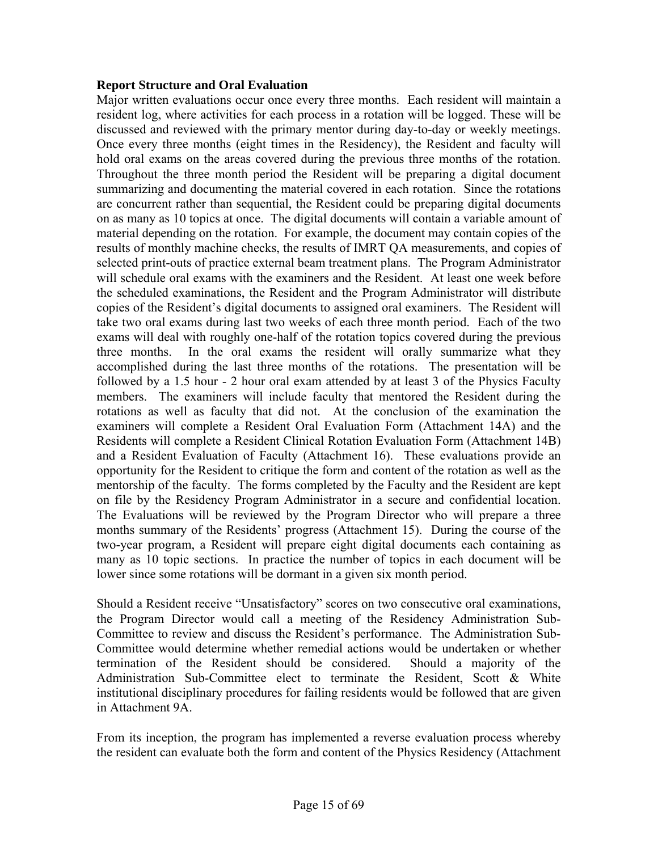#### **Report Structure and Oral Evaluation**

Major written evaluations occur once every three months. Each resident will maintain a resident log, where activities for each process in a rotation will be logged. These will be discussed and reviewed with the primary mentor during day-to-day or weekly meetings. Once every three months (eight times in the Residency), the Resident and faculty will hold oral exams on the areas covered during the previous three months of the rotation. Throughout the three month period the Resident will be preparing a digital document summarizing and documenting the material covered in each rotation. Since the rotations are concurrent rather than sequential, the Resident could be preparing digital documents on as many as 10 topics at once. The digital documents will contain a variable amount of material depending on the rotation. For example, the document may contain copies of the results of monthly machine checks, the results of IMRT QA measurements, and copies of selected print-outs of practice external beam treatment plans. The Program Administrator will schedule oral exams with the examiners and the Resident. At least one week before the scheduled examinations, the Resident and the Program Administrator will distribute copies of the Resident's digital documents to assigned oral examiners. The Resident will take two oral exams during last two weeks of each three month period. Each of the two exams will deal with roughly one-half of the rotation topics covered during the previous three months. In the oral exams the resident will orally summarize what they accomplished during the last three months of the rotations. The presentation will be followed by a 1.5 hour - 2 hour oral exam attended by at least 3 of the Physics Faculty members. The examiners will include faculty that mentored the Resident during the rotations as well as faculty that did not. At the conclusion of the examination the examiners will complete a Resident Oral Evaluation Form (Attachment 14A) and the Residents will complete a Resident Clinical Rotation Evaluation Form (Attachment 14B) and a Resident Evaluation of Faculty (Attachment 16). These evaluations provide an opportunity for the Resident to critique the form and content of the rotation as well as the mentorship of the faculty. The forms completed by the Faculty and the Resident are kept on file by the Residency Program Administrator in a secure and confidential location. The Evaluations will be reviewed by the Program Director who will prepare a three months summary of the Residents' progress (Attachment 15). During the course of the two-year program, a Resident will prepare eight digital documents each containing as many as 10 topic sections. In practice the number of topics in each document will be lower since some rotations will be dormant in a given six month period.

Should a Resident receive "Unsatisfactory" scores on two consecutive oral examinations, the Program Director would call a meeting of the Residency Administration Sub-Committee to review and discuss the Resident's performance. The Administration Sub-Committee would determine whether remedial actions would be undertaken or whether termination of the Resident should be considered. Should a majority of the Administration Sub-Committee elect to terminate the Resident, Scott & White institutional disciplinary procedures for failing residents would be followed that are given in Attachment 9A.

From its inception, the program has implemented a reverse evaluation process whereby the resident can evaluate both the form and content of the Physics Residency (Attachment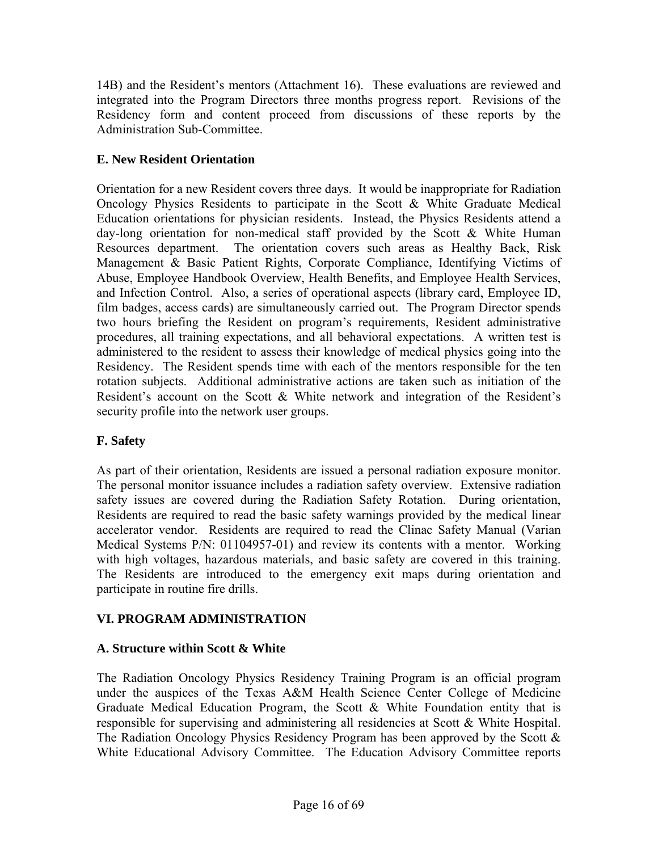14B) and the Resident's mentors (Attachment 16). These evaluations are reviewed and integrated into the Program Directors three months progress report. Revisions of the Residency form and content proceed from discussions of these reports by the Administration Sub-Committee.

### **E. New Resident Orientation**

Orientation for a new Resident covers three days. It would be inappropriate for Radiation Oncology Physics Residents to participate in the Scott & White Graduate Medical Education orientations for physician residents. Instead, the Physics Residents attend a day-long orientation for non-medical staff provided by the Scott & White Human Resources department. The orientation covers such areas as Healthy Back, Risk Management & Basic Patient Rights, Corporate Compliance, Identifying Victims of Abuse, Employee Handbook Overview, Health Benefits, and Employee Health Services, and Infection Control. Also, a series of operational aspects (library card, Employee ID, film badges, access cards) are simultaneously carried out. The Program Director spends two hours briefing the Resident on program's requirements, Resident administrative procedures, all training expectations, and all behavioral expectations. A written test is administered to the resident to assess their knowledge of medical physics going into the Residency. The Resident spends time with each of the mentors responsible for the ten rotation subjects. Additional administrative actions are taken such as initiation of the Resident's account on the Scott & White network and integration of the Resident's security profile into the network user groups.

### **F. Safety**

As part of their orientation, Residents are issued a personal radiation exposure monitor. The personal monitor issuance includes a radiation safety overview. Extensive radiation safety issues are covered during the Radiation Safety Rotation. During orientation, Residents are required to read the basic safety warnings provided by the medical linear accelerator vendor. Residents are required to read the Clinac Safety Manual (Varian Medical Systems P/N: 01104957-01) and review its contents with a mentor. Working with high voltages, hazardous materials, and basic safety are covered in this training. The Residents are introduced to the emergency exit maps during orientation and participate in routine fire drills.

### **VI. PROGRAM ADMINISTRATION**

### **A. Structure within Scott & White**

The Radiation Oncology Physics Residency Training Program is an official program under the auspices of the Texas A&M Health Science Center College of Medicine Graduate Medical Education Program, the Scott  $\&$  White Foundation entity that is responsible for supervising and administering all residencies at Scott & White Hospital. The Radiation Oncology Physics Residency Program has been approved by the Scott & White Educational Advisory Committee. The Education Advisory Committee reports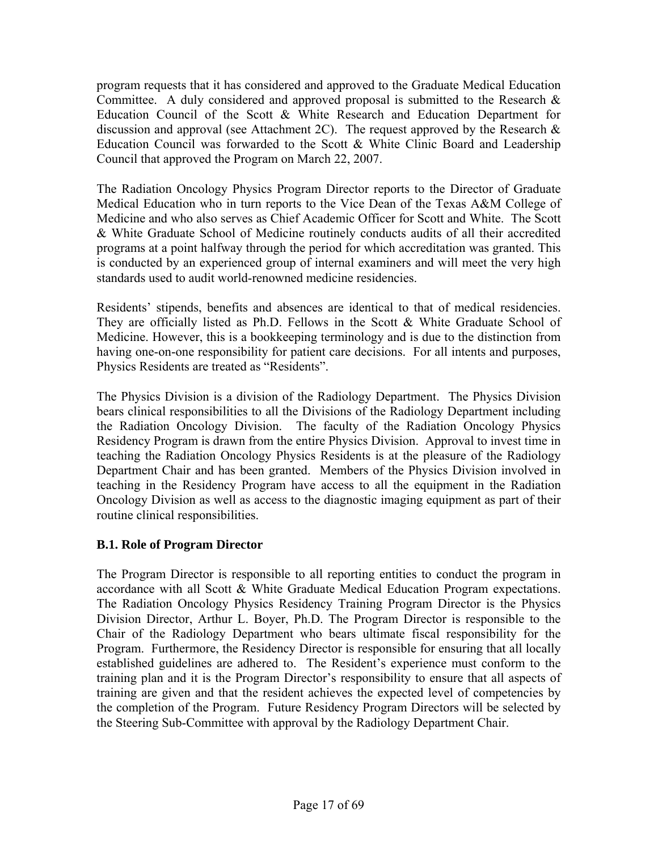program requests that it has considered and approved to the Graduate Medical Education Committee. A duly considered and approved proposal is submitted to the Research  $\&$ Education Council of the Scott & White Research and Education Department for discussion and approval (see Attachment 2C). The request approved by the Research  $\&$ Education Council was forwarded to the Scott & White Clinic Board and Leadership Council that approved the Program on March 22, 2007.

The Radiation Oncology Physics Program Director reports to the Director of Graduate Medical Education who in turn reports to the Vice Dean of the Texas A&M College of Medicine and who also serves as Chief Academic Officer for Scott and White. The Scott & White Graduate School of Medicine routinely conducts audits of all their accredited programs at a point halfway through the period for which accreditation was granted. This is conducted by an experienced group of internal examiners and will meet the very high standards used to audit world-renowned medicine residencies.

Residents' stipends, benefits and absences are identical to that of medical residencies. They are officially listed as Ph.D. Fellows in the Scott  $\&$  White Graduate School of Medicine. However, this is a bookkeeping terminology and is due to the distinction from having one-on-one responsibility for patient care decisions. For all intents and purposes, Physics Residents are treated as "Residents".

The Physics Division is a division of the Radiology Department. The Physics Division bears clinical responsibilities to all the Divisions of the Radiology Department including the Radiation Oncology Division. The faculty of the Radiation Oncology Physics Residency Program is drawn from the entire Physics Division. Approval to invest time in teaching the Radiation Oncology Physics Residents is at the pleasure of the Radiology Department Chair and has been granted. Members of the Physics Division involved in teaching in the Residency Program have access to all the equipment in the Radiation Oncology Division as well as access to the diagnostic imaging equipment as part of their routine clinical responsibilities.

### **B.1. Role of Program Director**

The Program Director is responsible to all reporting entities to conduct the program in accordance with all Scott & White Graduate Medical Education Program expectations. The Radiation Oncology Physics Residency Training Program Director is the Physics Division Director, Arthur L. Boyer, Ph.D. The Program Director is responsible to the Chair of the Radiology Department who bears ultimate fiscal responsibility for the Program. Furthermore, the Residency Director is responsible for ensuring that all locally established guidelines are adhered to. The Resident's experience must conform to the training plan and it is the Program Director's responsibility to ensure that all aspects of training are given and that the resident achieves the expected level of competencies by the completion of the Program. Future Residency Program Directors will be selected by the Steering Sub-Committee with approval by the Radiology Department Chair.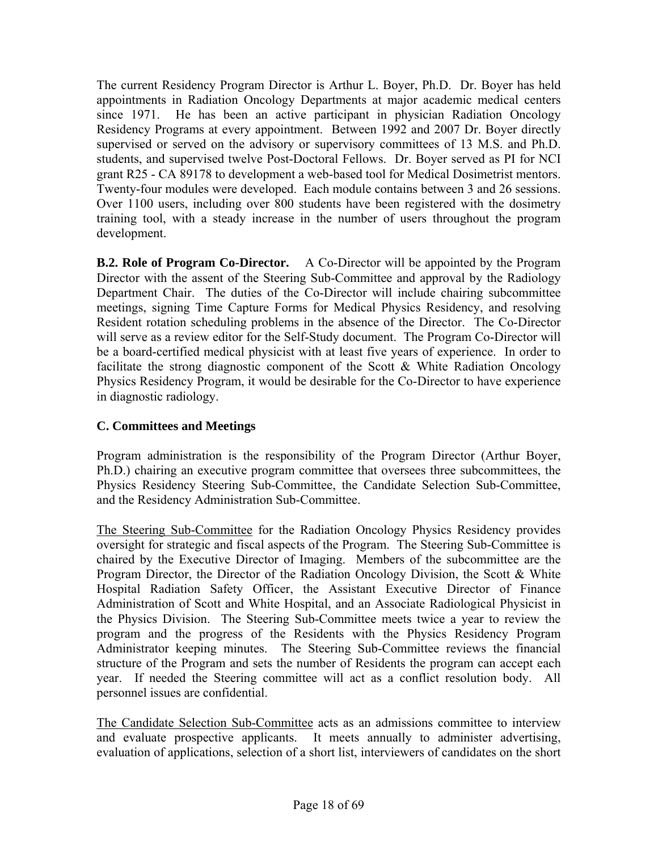The current Residency Program Director is Arthur L. Boyer, Ph.D. Dr. Boyer has held appointments in Radiation Oncology Departments at major academic medical centers since 1971. He has been an active participant in physician Radiation Oncology Residency Programs at every appointment. Between 1992 and 2007 Dr. Boyer directly supervised or served on the advisory or supervisory committees of 13 M.S. and Ph.D. students, and supervised twelve Post-Doctoral Fellows. Dr. Boyer served as PI for NCI grant R25 - CA 89178 to development a web-based tool for Medical Dosimetrist mentors. Twenty-four modules were developed. Each module contains between 3 and 26 sessions. Over 1100 users, including over 800 students have been registered with the dosimetry training tool, with a steady increase in the number of users throughout the program development.

**B.2. Role of Program Co-Director.** A Co-Director will be appointed by the Program Director with the assent of the Steering Sub-Committee and approval by the Radiology Department Chair. The duties of the Co-Director will include chairing subcommittee meetings, signing Time Capture Forms for Medical Physics Residency, and resolving Resident rotation scheduling problems in the absence of the Director. The Co-Director will serve as a review editor for the Self-Study document. The Program Co-Director will be a board-certified medical physicist with at least five years of experience. In order to facilitate the strong diagnostic component of the Scott  $\&$  White Radiation Oncology Physics Residency Program, it would be desirable for the Co-Director to have experience in diagnostic radiology.

### **C. Committees and Meetings**

Program administration is the responsibility of the Program Director (Arthur Boyer, Ph.D.) chairing an executive program committee that oversees three subcommittees, the Physics Residency Steering Sub-Committee, the Candidate Selection Sub-Committee, and the Residency Administration Sub-Committee.

The Steering Sub-Committee for the Radiation Oncology Physics Residency provides oversight for strategic and fiscal aspects of the Program. The Steering Sub-Committee is chaired by the Executive Director of Imaging. Members of the subcommittee are the Program Director, the Director of the Radiation Oncology Division, the Scott & White Hospital Radiation Safety Officer, the Assistant Executive Director of Finance Administration of Scott and White Hospital, and an Associate Radiological Physicist in the Physics Division. The Steering Sub-Committee meets twice a year to review the program and the progress of the Residents with the Physics Residency Program Administrator keeping minutes. The Steering Sub-Committee reviews the financial structure of the Program and sets the number of Residents the program can accept each year. If needed the Steering committee will act as a conflict resolution body. All personnel issues are confidential.

The Candidate Selection Sub-Committee acts as an admissions committee to interview and evaluate prospective applicants. It meets annually to administer advertising, evaluation of applications, selection of a short list, interviewers of candidates on the short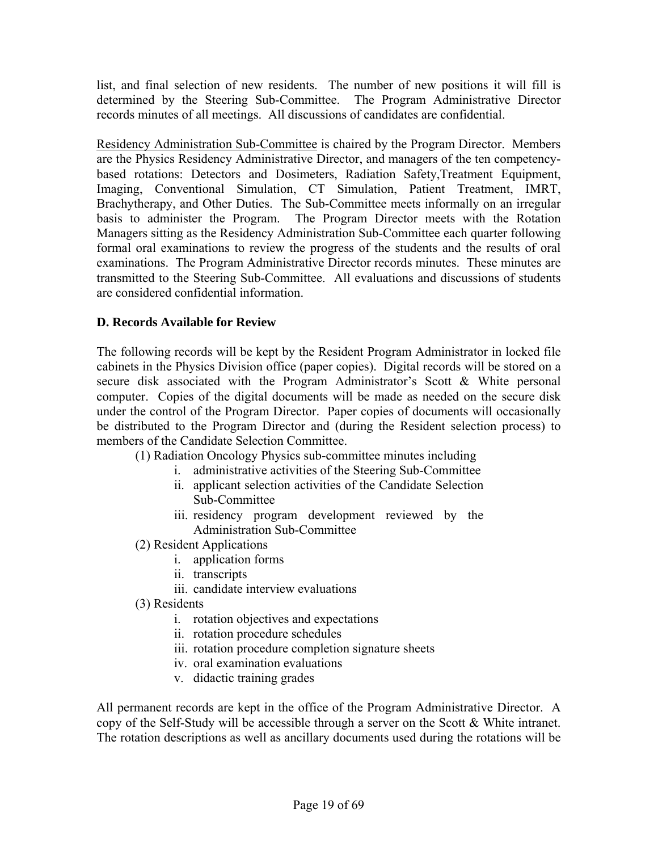list, and final selection of new residents. The number of new positions it will fill is determined by the Steering Sub-Committee. The Program Administrative Director records minutes of all meetings. All discussions of candidates are confidential.

Residency Administration Sub-Committee is chaired by the Program Director. Members are the Physics Residency Administrative Director, and managers of the ten competencybased rotations: Detectors and Dosimeters, Radiation Safety,Treatment Equipment, Imaging, Conventional Simulation, CT Simulation, Patient Treatment, IMRT, Brachytherapy, and Other Duties. The Sub-Committee meets informally on an irregular basis to administer the Program. The Program Director meets with the Rotation Managers sitting as the Residency Administration Sub-Committee each quarter following formal oral examinations to review the progress of the students and the results of oral examinations. The Program Administrative Director records minutes. These minutes are transmitted to the Steering Sub-Committee. All evaluations and discussions of students are considered confidential information.

#### **D. Records Available for Review**

The following records will be kept by the Resident Program Administrator in locked file cabinets in the Physics Division office (paper copies). Digital records will be stored on a secure disk associated with the Program Administrator's Scott & White personal computer. Copies of the digital documents will be made as needed on the secure disk under the control of the Program Director. Paper copies of documents will occasionally be distributed to the Program Director and (during the Resident selection process) to members of the Candidate Selection Committee.

- (1) Radiation Oncology Physics sub-committee minutes including
	- i. administrative activities of the Steering Sub-Committee
	- ii. applicant selection activities of the Candidate Selection Sub-Committee
	- iii. residency program development reviewed by the Administration Sub-Committee
- (2) Resident Applications
	- i. application forms
	- ii. transcripts
	- iii. candidate interview evaluations
- (3) Residents
	- i. rotation objectives and expectations
	- ii. rotation procedure schedules
	- iii. rotation procedure completion signature sheets
	- iv. oral examination evaluations
	- v. didactic training grades

All permanent records are kept in the office of the Program Administrative Director. A copy of the Self-Study will be accessible through a server on the Scott & White intranet. The rotation descriptions as well as ancillary documents used during the rotations will be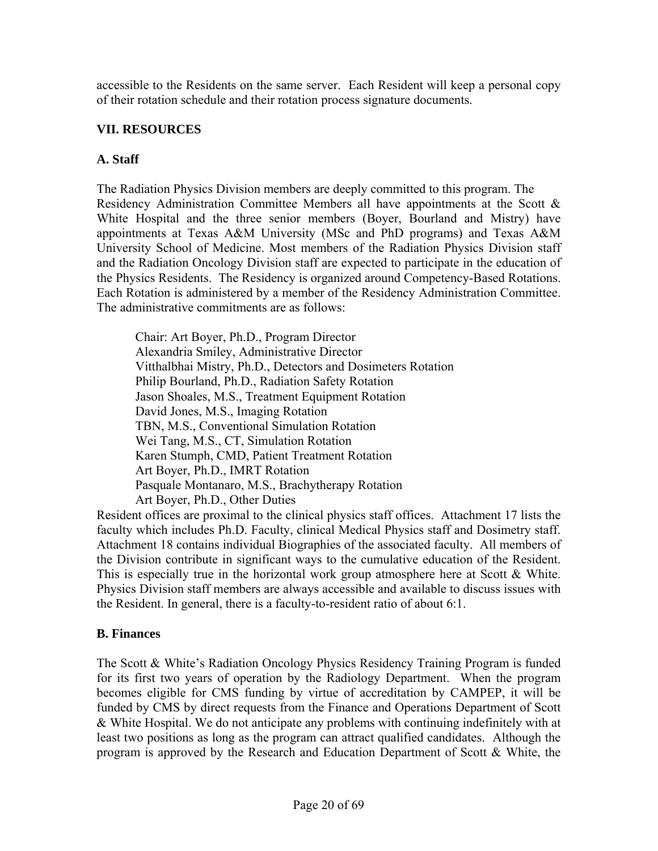accessible to the Residents on the same server. Each Resident will keep a personal copy of their rotation schedule and their rotation process signature documents.

#### **VII. RESOURCES**

#### **A. Staff**

The Radiation Physics Division members are deeply committed to this program. The Residency Administration Committee Members all have appointments at the Scott & White Hospital and the three senior members (Boyer, Bourland and Mistry) have appointments at Texas A&M University (MSc and PhD programs) and Texas A&M University School of Medicine. Most members of the Radiation Physics Division staff and the Radiation Oncology Division staff are expected to participate in the education of the Physics Residents. The Residency is organized around Competency-Based Rotations. Each Rotation is administered by a member of the Residency Administration Committee. The administrative commitments are as follows:

Chair: Art Boyer, Ph.D., Program Director Alexandria Smiley, Administrative Director Vitthalbhai Mistry, Ph.D., Detectors and Dosimeters Rotation Philip Bourland, Ph.D., Radiation Safety Rotation Jason Shoales, M.S., Treatment Equipment Rotation David Jones, M.S., Imaging Rotation TBN, M.S., Conventional Simulation Rotation Wei Tang, M.S., CT, Simulation Rotation Karen Stumph, CMD, Patient Treatment Rotation Art Boyer, Ph.D., IMRT Rotation Pasquale Montanaro, M.S., Brachytherapy Rotation Art Boyer, Ph.D., Other Duties

Resident offices are proximal to the clinical physics staff offices. Attachment 17 lists the faculty which includes Ph.D. Faculty, clinical Medical Physics staff and Dosimetry staff. Attachment 18 contains individual Biographies of the associated faculty. All members of the Division contribute in significant ways to the cumulative education of the Resident. This is especially true in the horizontal work group atmosphere here at Scott & White. Physics Division staff members are always accessible and available to discuss issues with the Resident. In general, there is a faculty-to-resident ratio of about 6:1.

#### **B. Finances**

The Scott & White's Radiation Oncology Physics Residency Training Program is funded for its first two years of operation by the Radiology Department. When the program becomes eligible for CMS funding by virtue of accreditation by CAMPEP, it will be funded by CMS by direct requests from the Finance and Operations Department of Scott & White Hospital. We do not anticipate any problems with continuing indefinitely with at least two positions as long as the program can attract qualified candidates. Although the program is approved by the Research and Education Department of Scott & White, the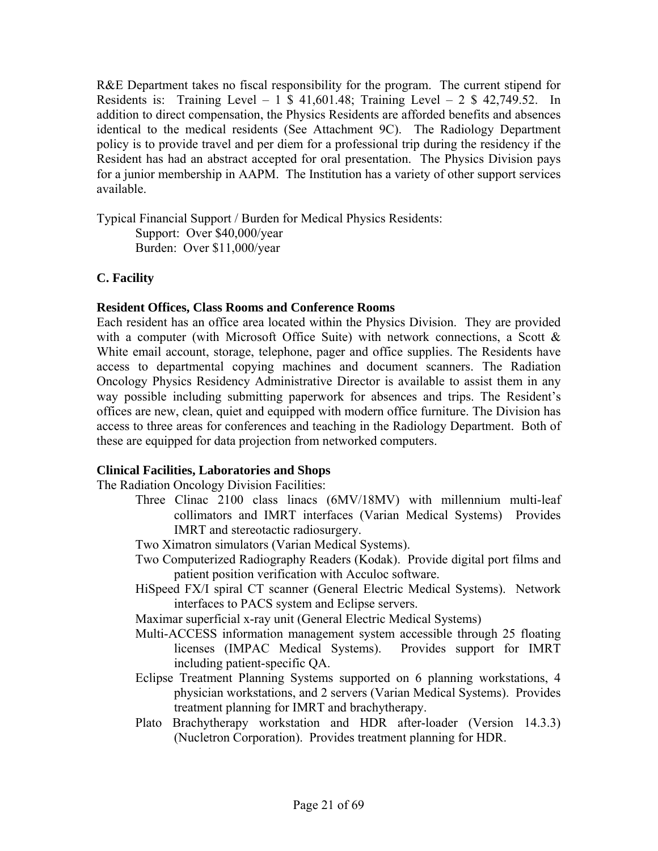R&E Department takes no fiscal responsibility for the program. The current stipend for Residents is: Training Level – 1  $$$  41,601.48; Training Level – 2  $$$  42,749.52. In addition to direct compensation, the Physics Residents are afforded benefits and absences identical to the medical residents (See Attachment 9C). The Radiology Department policy is to provide travel and per diem for a professional trip during the residency if the Resident has had an abstract accepted for oral presentation. The Physics Division pays for a junior membership in AAPM. The Institution has a variety of other support services available.

Typical Financial Support / Burden for Medical Physics Residents: Support: Over \$40,000/year Burden: Over \$11,000/year

#### **C. Facility**

#### **Resident Offices, Class Rooms and Conference Rooms**

Each resident has an office area located within the Physics Division. They are provided with a computer (with Microsoft Office Suite) with network connections, a Scott & White email account, storage, telephone, pager and office supplies. The Residents have access to departmental copying machines and document scanners. The Radiation Oncology Physics Residency Administrative Director is available to assist them in any way possible including submitting paperwork for absences and trips. The Resident's offices are new, clean, quiet and equipped with modern office furniture. The Division has access to three areas for conferences and teaching in the Radiology Department. Both of these are equipped for data projection from networked computers.

#### **Clinical Facilities, Laboratories and Shops**

The Radiation Oncology Division Facilities:

- Three Clinac 2100 class linacs (6MV/18MV) with millennium multi-leaf collimators and IMRT interfaces (Varian Medical Systems) Provides IMRT and stereotactic radiosurgery.
- Two Ximatron simulators (Varian Medical Systems).
- Two Computerized Radiography Readers (Kodak). Provide digital port films and patient position verification with Acculoc software.
- HiSpeed FX/I spiral CT scanner (General Electric Medical Systems). Network interfaces to PACS system and Eclipse servers.

Maximar superficial x-ray unit (General Electric Medical Systems)

Multi-ACCESS information management system accessible through 25 floating licenses (IMPAC Medical Systems). Provides support for IMRT including patient-specific QA.

- Eclipse Treatment Planning Systems supported on 6 planning workstations, 4 physician workstations, and 2 servers (Varian Medical Systems). Provides treatment planning for IMRT and brachytherapy.
- Plato Brachytherapy workstation and HDR after-loader (Version 14.3.3) (Nucletron Corporation). Provides treatment planning for HDR.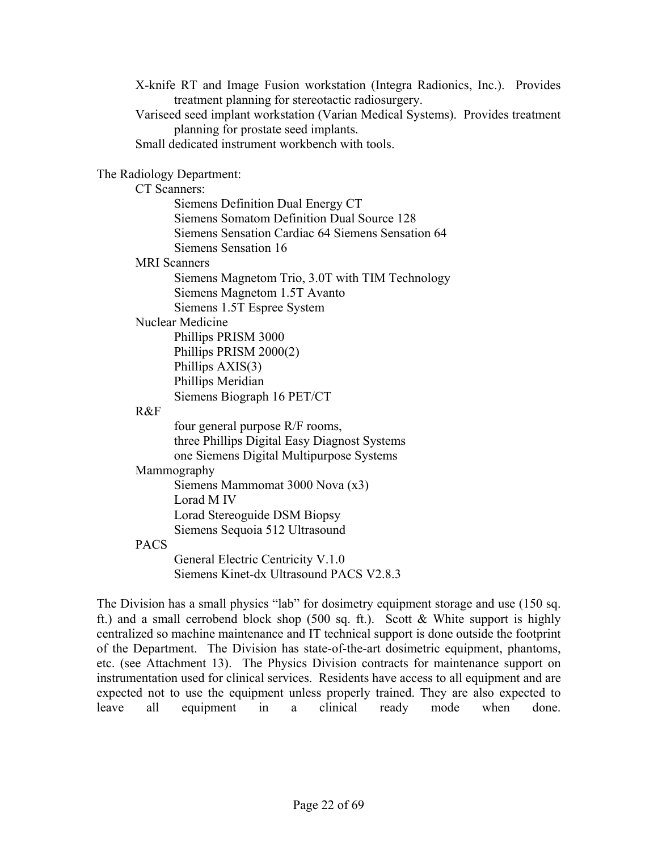X-knife RT and Image Fusion workstation (Integra Radionics, Inc.). Provides treatment planning for stereotactic radiosurgery. Variseed seed implant workstation (Varian Medical Systems). Provides treatment planning for prostate seed implants. Small dedicated instrument workbench with tools.

#### The Radiology Department:

CT Scanners:

Siemens Definition Dual Energy CT Siemens Somatom Definition Dual Source 128 Siemens Sensation Cardiac 64 Siemens Sensation 64 Siemens Sensation 16

MRI Scanners

Siemens Magnetom Trio, 3.0T with TIM Technology Siemens Magnetom 1.5T Avanto Siemens 1.5T Espree System

#### Nuclear Medicine

Phillips PRISM 3000 Phillips PRISM 2000(2) Phillips AXIS(3) Phillips Meridian Siemens Biograph 16 PET/CT

#### R&F

four general purpose R/F rooms, three Phillips Digital Easy Diagnost Systems one Siemens Digital Multipurpose Systems

#### Mammography

Siemens Mammomat 3000 Nova (x3) Lorad M IV Lorad Stereoguide DSM Biopsy Siemens Sequoia 512 Ultrasound

#### PACS

General Electric Centricity V.1.0 Siemens Kinet-dx Ultrasound PACS V2.8.3

The Division has a small physics "lab" for dosimetry equipment storage and use (150 sq. ft.) and a small cerrobend block shop (500 sq. ft.). Scott & White support is highly centralized so machine maintenance and IT technical support is done outside the footprint of the Department. The Division has state-of-the-art dosimetric equipment, phantoms, etc. (see Attachment 13). The Physics Division contracts for maintenance support on instrumentation used for clinical services. Residents have access to all equipment and are expected not to use the equipment unless properly trained. They are also expected to leave all equipment in a clinical ready mode when done.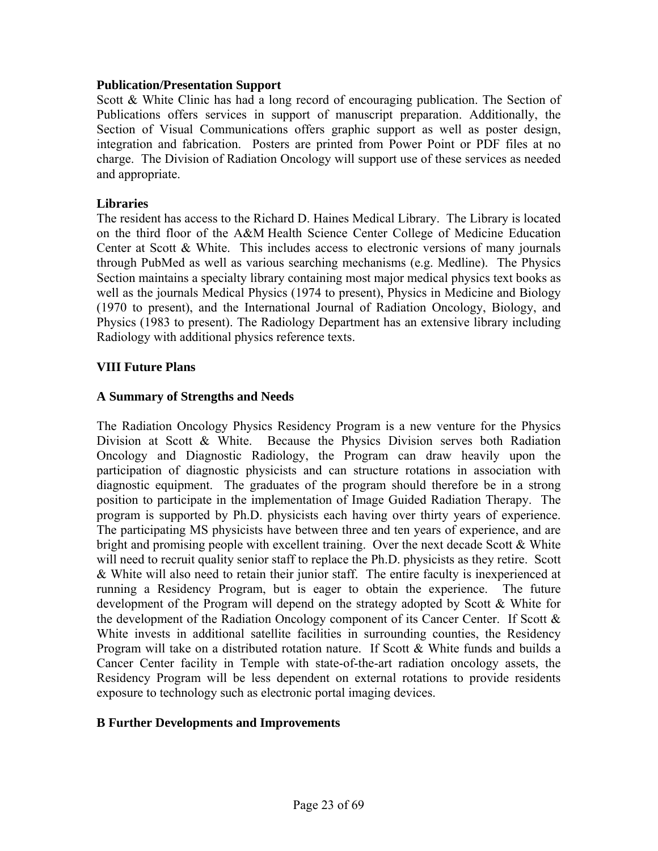#### **Publication/Presentation Support**

Scott & White Clinic has had a long record of encouraging publication. The Section of Publications offers services in support of manuscript preparation. Additionally, the Section of Visual Communications offers graphic support as well as poster design, integration and fabrication. Posters are printed from Power Point or PDF files at no charge. The Division of Radiation Oncology will support use of these services as needed and appropriate.

#### **Libraries**

The resident has access to the Richard D. Haines Medical Library. The Library is located on the third floor of the A&M Health Science Center College of Medicine Education Center at Scott & White. This includes access to electronic versions of many journals through PubMed as well as various searching mechanisms (e.g. Medline). The Physics Section maintains a specialty library containing most major medical physics text books as well as the journals Medical Physics (1974 to present), Physics in Medicine and Biology (1970 to present), and the International Journal of Radiation Oncology, Biology, and Physics (1983 to present). The Radiology Department has an extensive library including Radiology with additional physics reference texts.

#### **VIII Future Plans**

#### **A Summary of Strengths and Needs**

The Radiation Oncology Physics Residency Program is a new venture for the Physics Division at Scott & White. Because the Physics Division serves both Radiation Oncology and Diagnostic Radiology, the Program can draw heavily upon the participation of diagnostic physicists and can structure rotations in association with diagnostic equipment. The graduates of the program should therefore be in a strong position to participate in the implementation of Image Guided Radiation Therapy. The program is supported by Ph.D. physicists each having over thirty years of experience. The participating MS physicists have between three and ten years of experience, and are bright and promising people with excellent training. Over the next decade Scott & White will need to recruit quality senior staff to replace the Ph.D. physicists as they retire. Scott & White will also need to retain their junior staff. The entire faculty is inexperienced at running a Residency Program, but is eager to obtain the experience. The future development of the Program will depend on the strategy adopted by Scott & White for the development of the Radiation Oncology component of its Cancer Center. If Scott & White invests in additional satellite facilities in surrounding counties, the Residency Program will take on a distributed rotation nature. If Scott & White funds and builds a Cancer Center facility in Temple with state-of-the-art radiation oncology assets, the Residency Program will be less dependent on external rotations to provide residents exposure to technology such as electronic portal imaging devices.

#### **B Further Developments and Improvements**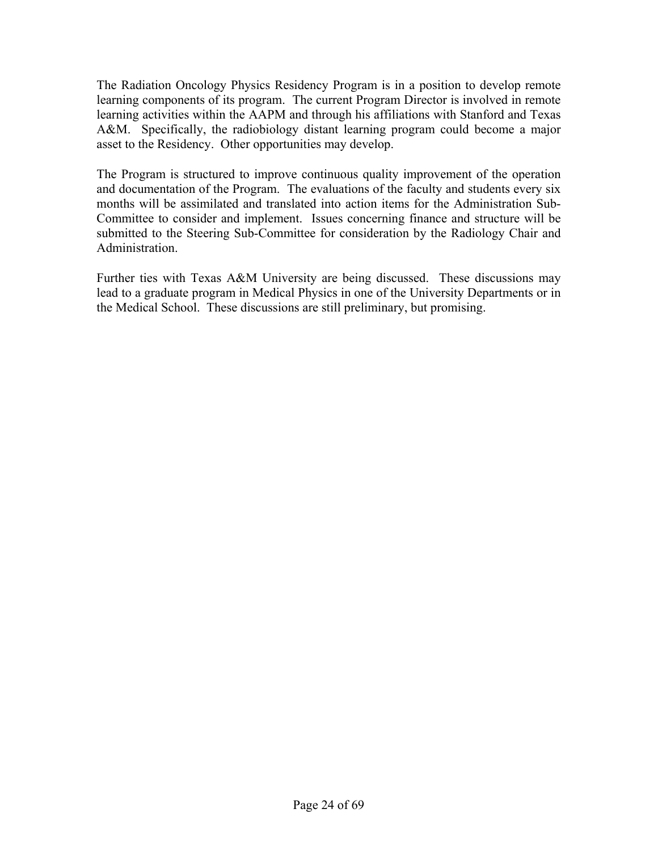The Radiation Oncology Physics Residency Program is in a position to develop remote learning components of its program. The current Program Director is involved in remote learning activities within the AAPM and through his affiliations with Stanford and Texas A&M. Specifically, the radiobiology distant learning program could become a major asset to the Residency. Other opportunities may develop.

The Program is structured to improve continuous quality improvement of the operation and documentation of the Program. The evaluations of the faculty and students every six months will be assimilated and translated into action items for the Administration Sub-Committee to consider and implement. Issues concerning finance and structure will be submitted to the Steering Sub-Committee for consideration by the Radiology Chair and Administration.

Further ties with Texas A&M University are being discussed. These discussions may lead to a graduate program in Medical Physics in one of the University Departments or in the Medical School. These discussions are still preliminary, but promising.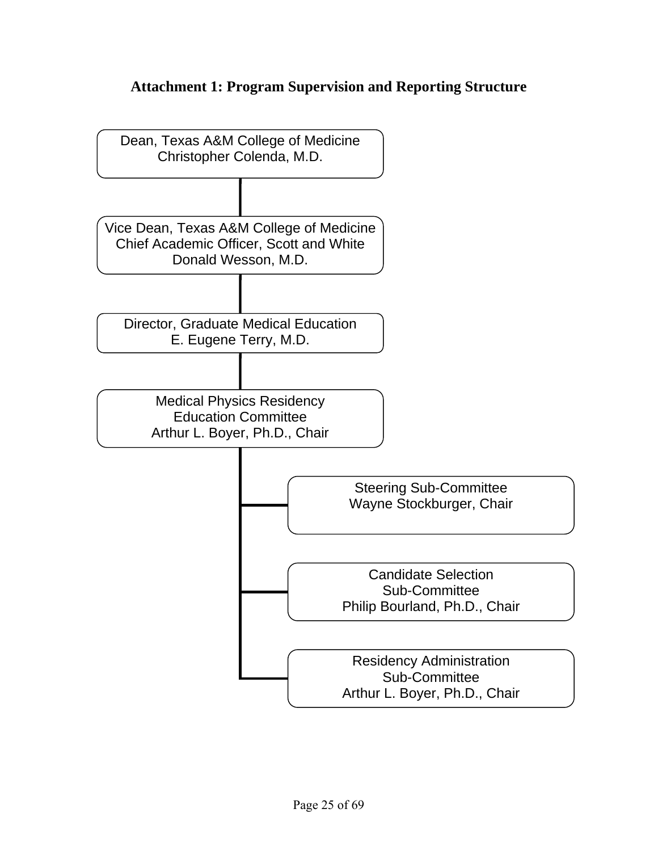### **Attachment 1: Program Supervision and Reporting Structure**

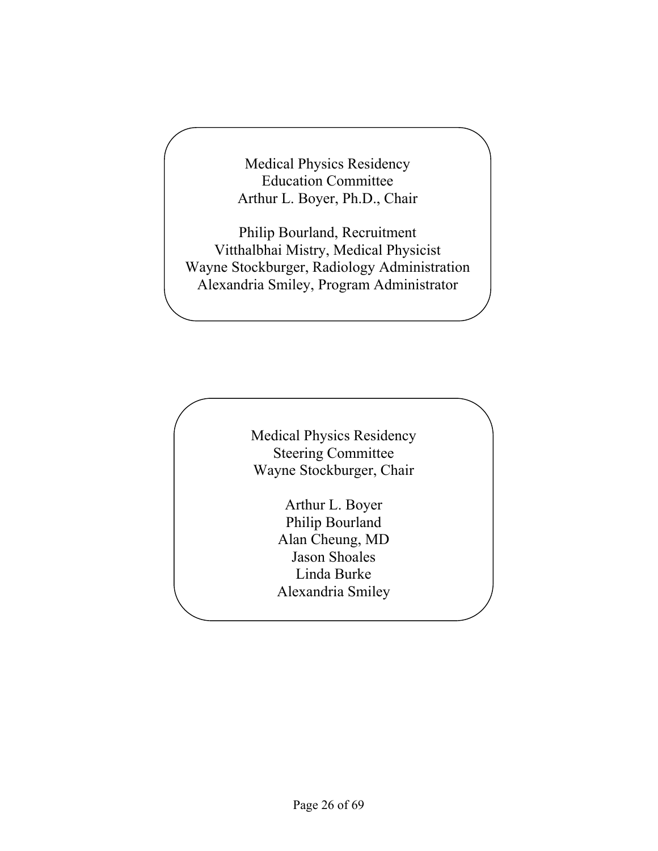Medical Physics Residency Education Committee Arthur L. Boyer, Ph.D., Chair

Philip Bourland, Recruitment Vitthalbhai Mistry, Medical Physicist Wayne Stockburger, Radiology Administration Alexandria Smiley, Program Administrator

> Medical Physics Residency Steering Committee Wayne Stockburger, Chair

> > Arthur L. Boyer Philip Bourland Alan Cheung, MD Jason Shoales Linda Burke Alexandria Smiley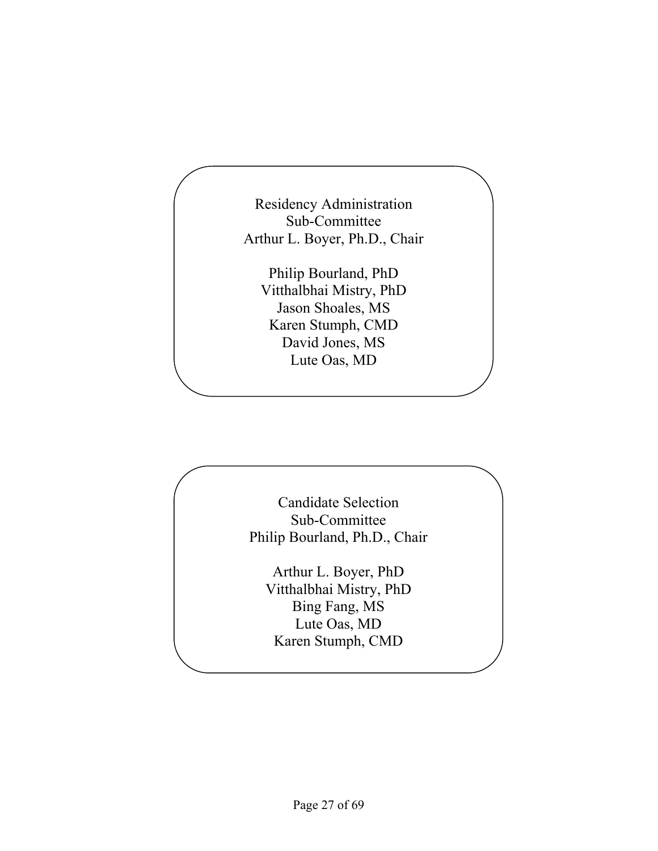Residency Administration Sub-Committee Arthur L. Boyer, Ph.D., Chair

Philip Bourland, PhD Vitthalbhai Mistry, PhD Jason Shoales, MS Karen Stumph, CMD David Jones, MS Lute Oas, MD

Candidate Selection Sub-Committee Philip Bourland, Ph.D., Chair

Arthur L. Boyer, PhD Vitthalbhai Mistry, PhD Bing Fang, MS Lute Oas, MD Karen Stumph, CMD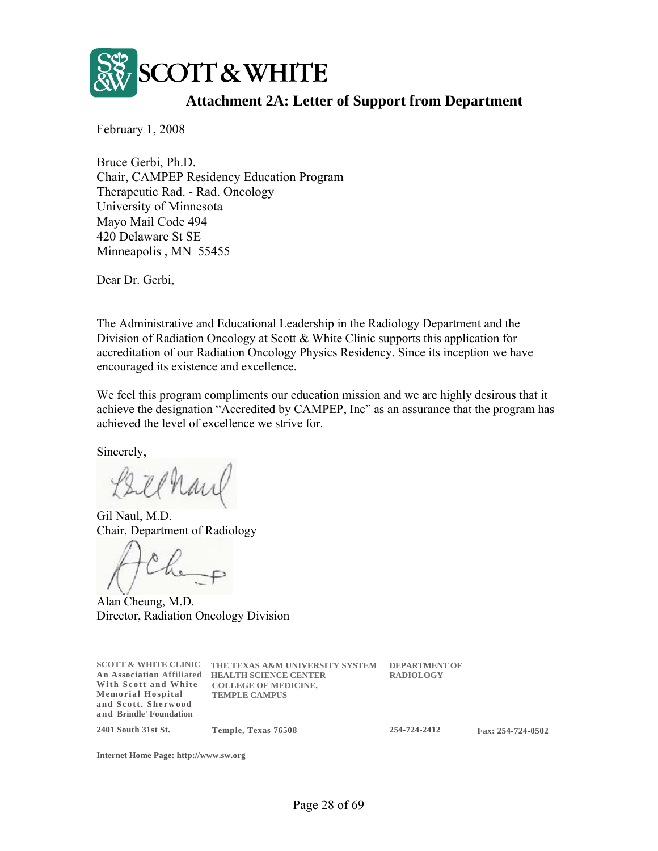

### **Attachment 2A: Letter of Support from Department**

February 1, 2008

Bruce Gerbi, Ph.D. Chair, CAMPEP Residency Education Program Therapeutic Rad. - Rad. Oncology University of Minnesota Mayo Mail Code 494 420 Delaware St SE Minneapolis , MN 55455

Dear Dr. Gerbi,

The Administrative and Educational Leadership in the Radiology Department and the Division of Radiation Oncology at Scott & White Clinic supports this application for accreditation of our Radiation Oncology Physics Residency. Since its inception we have encouraged its existence and excellence.

We feel this program compliments our education mission and we are highly desirous that it achieve the designation "Accredited by CAMPEP, Inc" as an assurance that the program has achieved the level of excellence we strive for.

Sincerely,

Gil Naul, M.D. Chair, Department of Radiology

Alan Cheung, M.D. Director, Radiation Oncology Division

| <b>SCOTT &amp; WHITE CLINIC</b><br><b>An Association Affiliated</b><br>With Scott and White<br><b>Memorial Hospital</b><br>and Scott. Sherwood<br>and Brindle' Foundation | THE TEXAS A&M UNIVERSITY SYSTEM<br><b>HEALTH SCIENCE CENTER</b><br><b>COLLEGE OF MEDICINE,</b><br><b>TEMPLE CAMPUS</b> | <b>DEPARTMENT OF</b><br><b>RADIOLOGY</b> |
|---------------------------------------------------------------------------------------------------------------------------------------------------------------------------|------------------------------------------------------------------------------------------------------------------------|------------------------------------------|
| 2401 South 31st St.                                                                                                                                                       | Temple, Texas 76508                                                                                                    | 254-724-2412                             |

**Internet Home Page: http://www.sw.org**

**254-724-2412 Fax: 254-724-0502**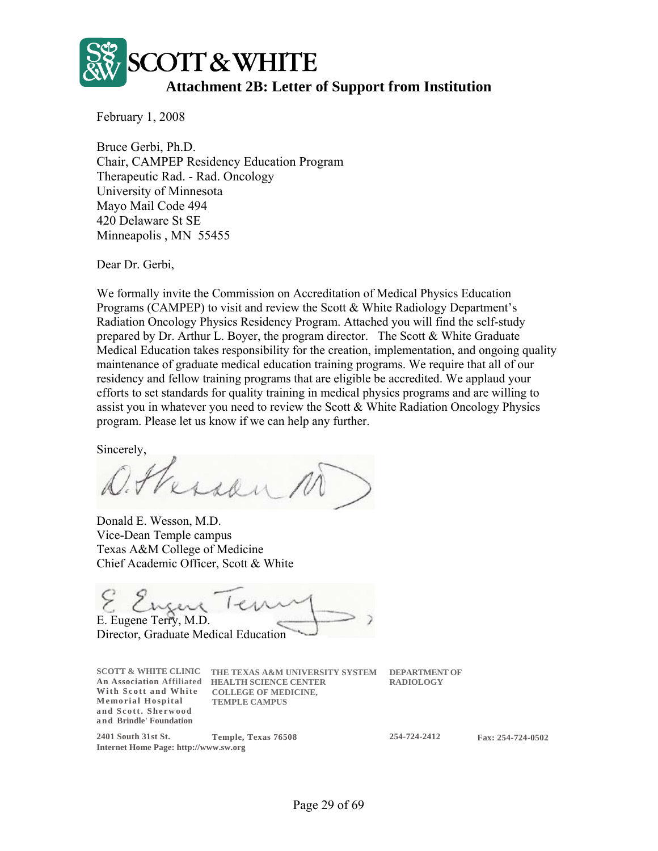

February 1, 2008

Bruce Gerbi, Ph.D. Chair, CAMPEP Residency Education Program Therapeutic Rad. - Rad. Oncology University of Minnesota Mayo Mail Code 494 420 Delaware St SE Minneapolis , MN 55455

Dear Dr. Gerbi,

We formally invite the Commission on Accreditation of Medical Physics Education Programs (CAMPEP) to visit and review the Scott & White Radiology Department's Radiation Oncology Physics Residency Program. Attached you will find the self-study prepared by Dr. Arthur L. Boyer, the program director. The Scott & White Graduate Medical Education takes responsibility for the creation, implementation, and ongoing quality maintenance of graduate medical education training programs. We require that all of our residency and fellow training programs that are eligible be accredited. We applaud your efforts to set standards for quality training in medical physics programs and are willing to assist you in whatever you need to review the Scott & White Radiation Oncology Physics program. Please let us know if we can help any further.

Sincerely,

Versen

Donald E. Wesson, M.D. Vice-Dean Temple campus Texas A&M College of Medicine Chief Academic Officer, Scott & White

Engere Ter E. Eugene Terry, M.D. Director, Graduate Medical Education

| <b>SCOTT &amp; WHITE CLINIC</b><br><b>An Association Affiliated</b><br>With Scott and White<br>Memorial Hospital<br>and Scott. Sherwood<br>and Brindle' Foundation | THE TEXAS A&M UNIVERSITY SYSTEM<br><b>HEALTH SCIENCE CENTER</b><br><b>COLLEGE OF MEDICINE,</b><br><b>TEMPLE CAMPUS</b> | <b>DEPARTMENT OF</b><br><b>RADIOLOGY</b> |
|--------------------------------------------------------------------------------------------------------------------------------------------------------------------|------------------------------------------------------------------------------------------------------------------------|------------------------------------------|
| 2401 South 31st St.                                                                                                                                                | Temple, Texas 76508                                                                                                    | 254-724-2412                             |
| <b>Internet Home Page: http://www.sw.org</b>                                                                                                                       |                                                                                                                        |                                          |

**254-724-2412 Fax: 254-724-0502**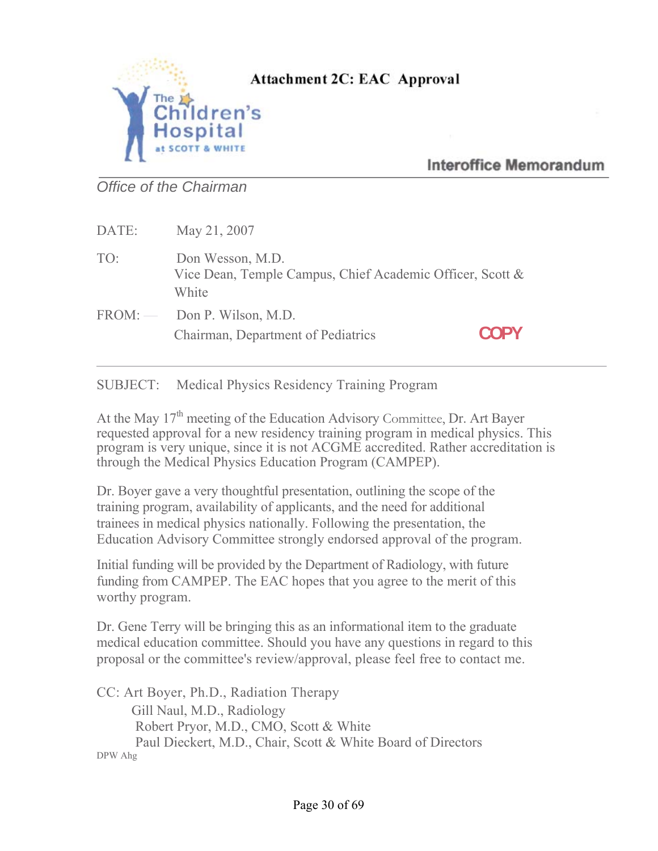

### Attachment 2C: EAC Approval

### **Interoffice Memorandum**

*Office of the Chairman* 

| DATE: | May 21, 2007                                                                           |      |
|-------|----------------------------------------------------------------------------------------|------|
| TO:   | Don Wesson, M.D.<br>Vice Dean, Temple Campus, Chief Academic Officer, Scott &<br>White |      |
|       | $FROM:$ Don P. Wilson, M.D.<br>Chairman, Department of Pediatrics                      | COPY |

SUBJECT: Medical Physics Residency Training Program

At the May  $17<sup>th</sup>$  meeting of the Education Advisory Committee, Dr. Art Bayer requested approval for a new residency training program in medical physics. This program is very unique, since it is not ACGME accredited. Rather accreditation is through the Medical Physics Education Program (CAMPEP).

Dr. Boyer gave a very thoughtful presentation, outlining the scope of the training program, availability of applicants, and the need for additional trainees in medical physics nationally. Following the presentation, the Education Advisory Committee strongly endorsed approval of the program.

Initial funding will be provided by the Department of Radiology, with future funding from CAMPEP. The EAC hopes that you agree to the merit of this worthy program.

Dr. Gene Terry will be bringing this as an informational item to the graduate medical education committee. Should you have any questions in regard to this proposal or the committee's review/approval, please feel free to contact me.

CC: Art Boyer, Ph.D., Radiation Therapy Gill Naul, M.D., Radiology Robert Pryor, M.D., CMO, Scott & White Paul Dieckert, M.D., Chair, Scott & White Board of Directors DPW Ahg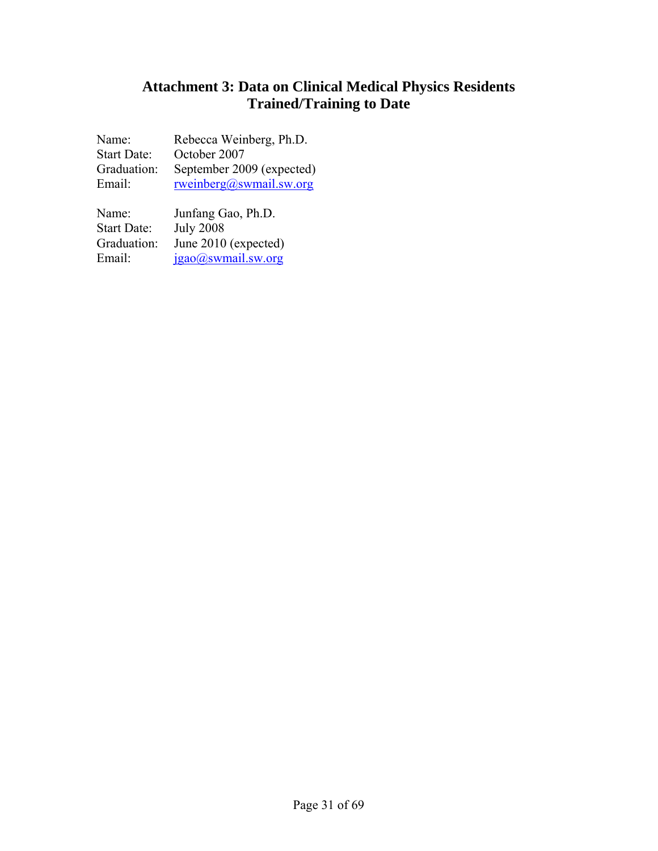### **Attachment 3: Data on Clinical Medical Physics Residents Trained/Training to Date**

| Rebecca Weinberg, Ph.D.            |
|------------------------------------|
| October 2007                       |
| September 2009 (expected)          |
| ${\rm rweinberg}(a)$ swmail.sw.org |
|                                    |

| Name:              | Junfang Gao, Ph.D.   |
|--------------------|----------------------|
| <b>Start Date:</b> | <b>July 2008</b>     |
| Graduation:        | June 2010 (expected) |
| Email:             | jgao@swmail.sw.org   |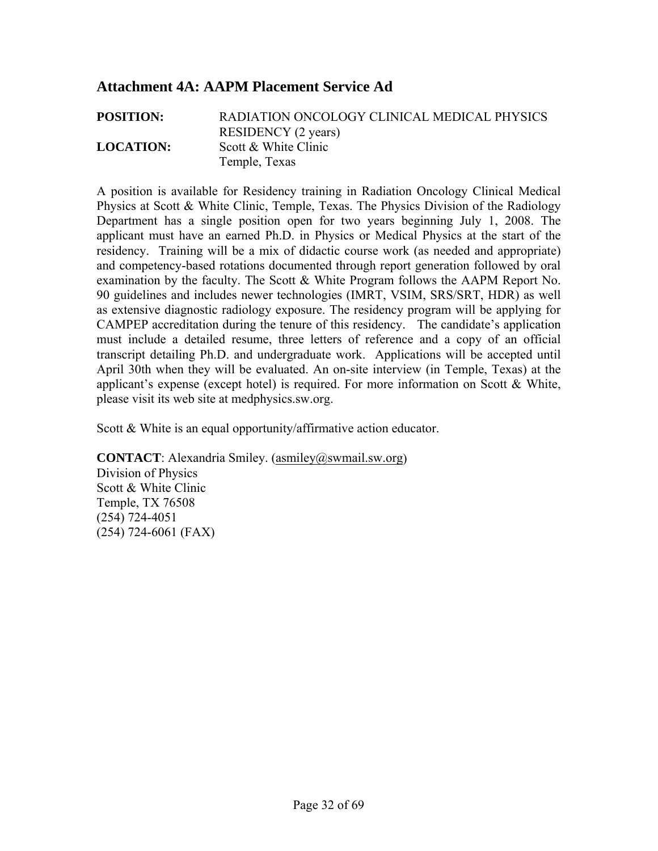### **Attachment 4A: AAPM Placement Service Ad**

**POSITION:** RADIATION ONCOLOGY CLINICAL MEDICAL PHYSICS RESIDENCY (2 years) **LOCATION:** Scott & White Clinic Temple, Texas

A position is available for Residency training in Radiation Oncology Clinical Medical Physics at Scott & White Clinic, Temple, Texas. The Physics Division of the Radiology Department has a single position open for two years beginning July 1, 2008. The applicant must have an earned Ph.D. in Physics or Medical Physics at the start of the residency. Training will be a mix of didactic course work (as needed and appropriate) and competency-based rotations documented through report generation followed by oral examination by the faculty. The Scott & White Program follows the AAPM Report No. 90 guidelines and includes newer technologies (IMRT, VSIM, SRS/SRT, HDR) as well as extensive diagnostic radiology exposure. The residency program will be applying for CAMPEP accreditation during the tenure of this residency. The candidate's application must include a detailed resume, three letters of reference and a copy of an official transcript detailing Ph.D. and undergraduate work. Applications will be accepted until April 30th when they will be evaluated. An on-site interview (in Temple, Texas) at the applicant's expense (except hotel) is required. For more information on Scott & White, please visit its web site at medphysics.sw.org.

Scott & White is an equal opportunity/affirmative action educator.

**CONTACT**: Alexandria Smiley. (asmiley@swmail.sw.org) Division of Physics Scott & White Clinic Temple, TX 76508 (254) 724-4051 (254) 724-6061 (FAX)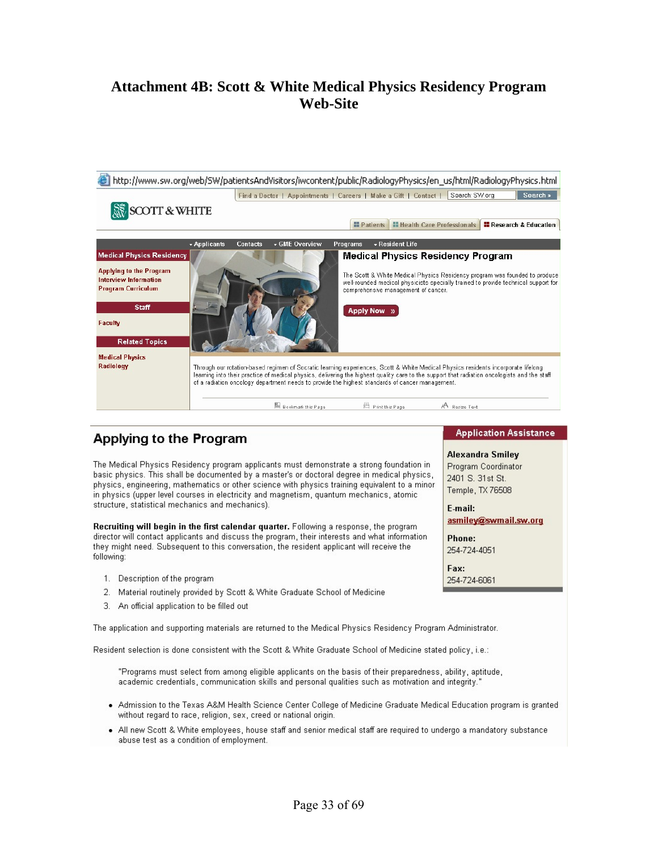### **Attachment 4B: Scott & White Medical Physics Residency Program Web-Site**



### Applying to the Program

The Medical Physics Residency program applicants must demonstrate a strong foundation in basic physics. This shall be documented by a master's or doctoral degree in medical physics, physics, engineering, mathematics or other science with physics training equivalent to a minor in physics (upper level courses in electricity and magnetism, quantum mechanics, atomic structure, statistical mechanics and mechanics).

Recruiting will begin in the first calendar quarter. Following a response, the program director will contact applicants and discuss the program, their interests and what information they might need. Subsequent to this conversation, the resident applicant will receive the following:

- 1. Description of the program
- 2. Material routinely provided by Scott & White Graduate School of Medicine
- 3. An official application to be filled out

The application and supporting materials are returned to the Medical Physics Residency Program Administrator.

Resident selection is done consistent with the Scott & White Graduate School of Medicine stated policy, i.e.:

"Programs must select from among eligible applicants on the basis of their preparedness, ability, aptitude, academic credentials, communication skills and personal qualities such as motivation and integrity."

- . Admission to the Texas A&M Health Science Center College of Medicine Graduate Medical Education program is granted without regard to race, religion, sex, creed or national origin.
- . All new Scott & White employees, house staff and senior medical staff are required to undergo a mandatory substance abuse test as a condition of employment.

#### **Application Assistance**

### **Alexandra Smiley** Program Coordinator

2401 S. 31st St. Temple, TX 76508

E-mail: asmiley@swmail.sw.org

Phone: 254-724-4051

Fax: 254-724-6061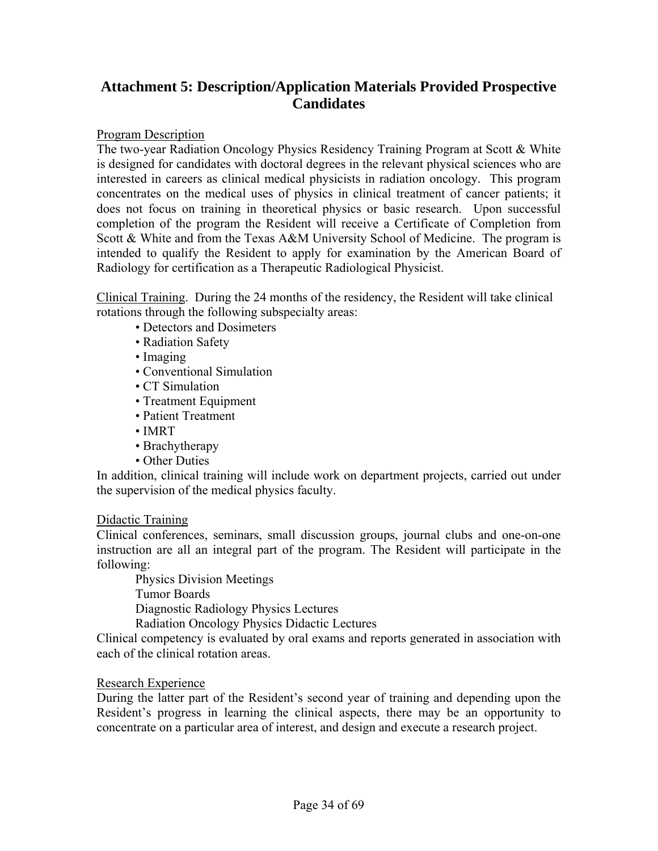### **Attachment 5: Description/Application Materials Provided Prospective Candidates**

#### Program Description

The two-year Radiation Oncology Physics Residency Training Program at Scott & White is designed for candidates with doctoral degrees in the relevant physical sciences who are interested in careers as clinical medical physicists in radiation oncology. This program concentrates on the medical uses of physics in clinical treatment of cancer patients; it does not focus on training in theoretical physics or basic research. Upon successful completion of the program the Resident will receive a Certificate of Completion from Scott & White and from the Texas A&M University School of Medicine. The program is intended to qualify the Resident to apply for examination by the American Board of Radiology for certification as a Therapeutic Radiological Physicist.

Clinical Training. During the 24 months of the residency, the Resident will take clinical rotations through the following subspecialty areas:

- Detectors and Dosimeters
- Radiation Safety
- Imaging
- Conventional Simulation
- CT Simulation
- Treatment Equipment
- Patient Treatment
- IMRT
- Brachytherapy
- Other Duties

In addition, clinical training will include work on department projects, carried out under the supervision of the medical physics faculty.

#### Didactic Training

Clinical conferences, seminars, small discussion groups, journal clubs and one-on-one instruction are all an integral part of the program. The Resident will participate in the following:

Physics Division Meetings

Tumor Boards

Diagnostic Radiology Physics Lectures

Radiation Oncology Physics Didactic Lectures

Clinical competency is evaluated by oral exams and reports generated in association with each of the clinical rotation areas.

#### Research Experience

During the latter part of the Resident's second year of training and depending upon the Resident's progress in learning the clinical aspects, there may be an opportunity to concentrate on a particular area of interest, and design and execute a research project.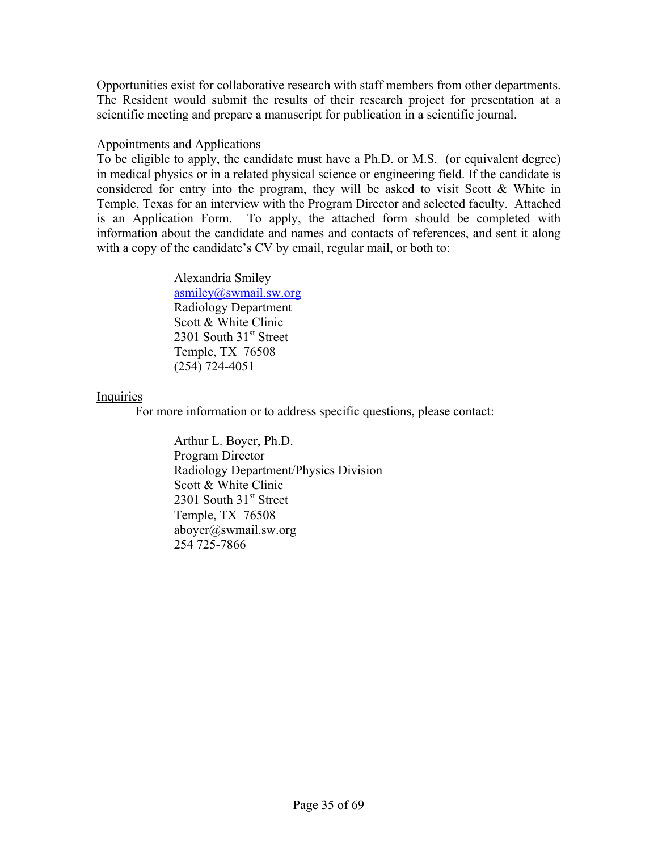Opportunities exist for collaborative research with staff members from other departments. The Resident would submit the results of their research project for presentation at a scientific meeting and prepare a manuscript for publication in a scientific journal.

#### Appointments and Applications

To be eligible to apply, the candidate must have a Ph.D. or M.S. (or equivalent degree) in medical physics or in a related physical science or engineering field. If the candidate is considered for entry into the program, they will be asked to visit Scott & White in Temple, Texas for an interview with the Program Director and selected faculty. Attached is an Application Form. To apply, the attached form should be completed with information about the candidate and names and contacts of references, and sent it along with a copy of the candidate's CV by email, regular mail, or both to:

> Alexandria Smiley asmiley@swmail.sw.org Radiology Department Scott & White Clinic 2301 South  $31<sup>st</sup>$  Street Temple, TX 76508 (254) 724-4051

#### Inquiries

For more information or to address specific questions, please contact:

Arthur L. Boyer, Ph.D. Program Director Radiology Department/Physics Division Scott & White Clinic 2301 South 31<sup>st</sup> Street Temple, TX 76508 aboyer@swmail.sw.org 254 725-7866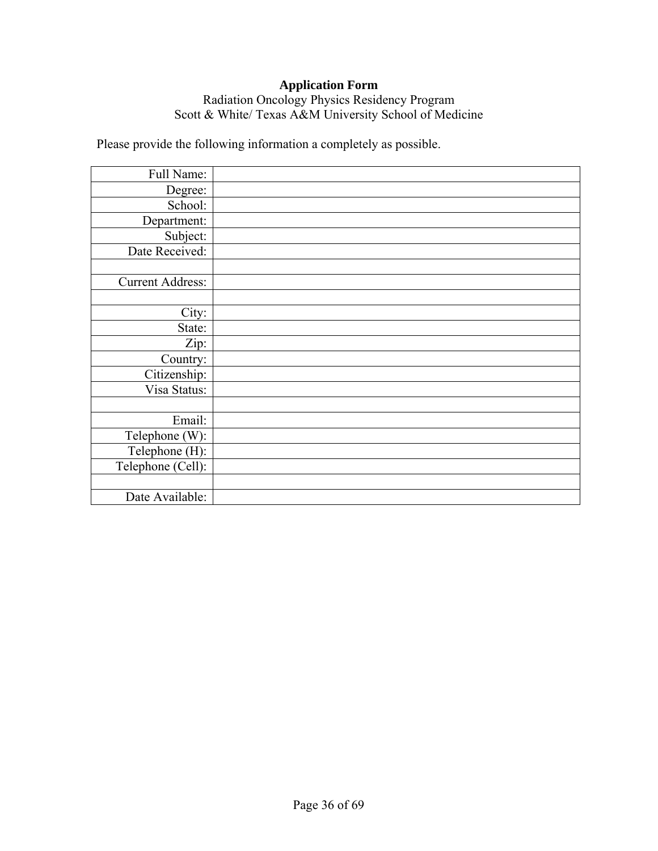### **Application Form**

### Radiation Oncology Physics Residency Program Scott & White/ Texas A&M University School of Medicine

Please provide the following information a completely as possible.

| Full Name:              |  |
|-------------------------|--|
| Degree:                 |  |
| School:                 |  |
| Department:             |  |
| Subject:                |  |
| Date Received:          |  |
|                         |  |
| <b>Current Address:</b> |  |
|                         |  |
| City:                   |  |
| State:                  |  |
| Zip:                    |  |
| Country:                |  |
| Citizenship:            |  |
| Visa Status:            |  |
|                         |  |
| Email:                  |  |
| Telephone (W):          |  |
| Telephone (H):          |  |
| Telephone (Cell):       |  |
|                         |  |
| Date Available:         |  |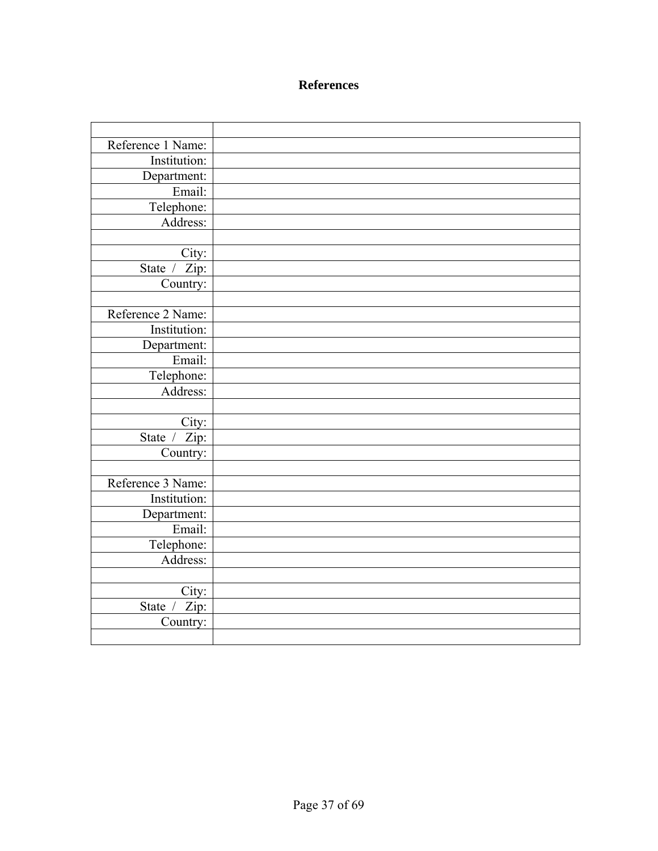### **References**

| Reference 1 Name: |  |
|-------------------|--|
| Institution:      |  |
| Department:       |  |
| Email:            |  |
| Telephone:        |  |
| Address:          |  |
|                   |  |
| City:             |  |
| State / Zip:      |  |
| Country:          |  |
|                   |  |
| Reference 2 Name: |  |
| Institution:      |  |
| Department:       |  |
| Email:            |  |
| Telephone:        |  |
| Address:          |  |
|                   |  |
| City:             |  |
| State / Zip:      |  |
| Country:          |  |
|                   |  |
| Reference 3 Name: |  |
| Institution:      |  |
| Department:       |  |
| Email:            |  |
| Telephone:        |  |
| Address:          |  |
|                   |  |
| City:             |  |
| Zip:<br>State /   |  |
| Country:          |  |
|                   |  |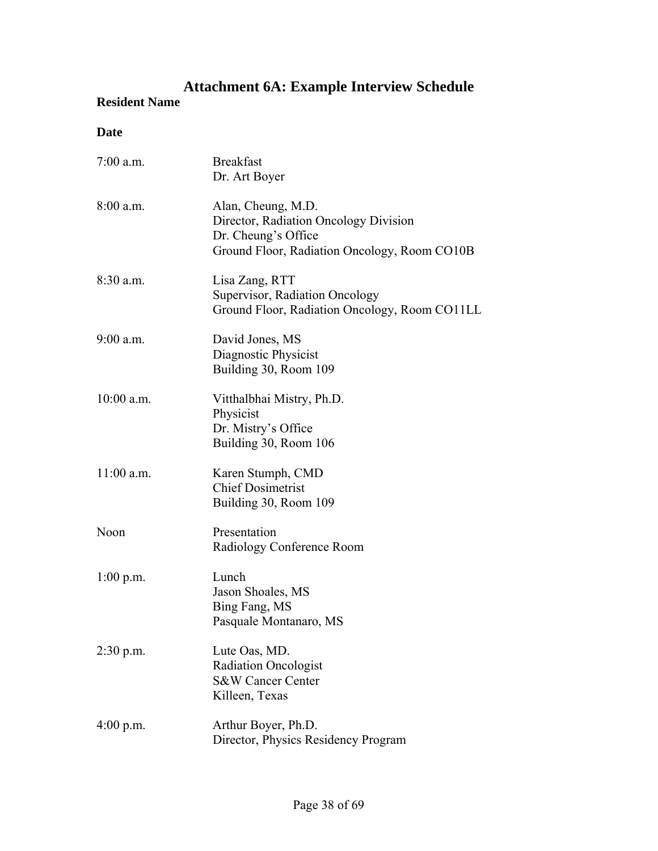# **Attachment 6A: Example Interview Schedule**

### **Resident Name**

### **Date**

| $7:00$ a.m.  | <b>Breakfast</b><br>Dr. Art Boyer                                                                                                  |
|--------------|------------------------------------------------------------------------------------------------------------------------------------|
| $8:00$ a.m.  | Alan, Cheung, M.D.<br>Director, Radiation Oncology Division<br>Dr. Cheung's Office<br>Ground Floor, Radiation Oncology, Room CO10B |
| $8:30$ a.m.  | Lisa Zang, RTT<br>Supervisor, Radiation Oncology<br>Ground Floor, Radiation Oncology, Room CO11LL                                  |
| 9:00 a.m.    | David Jones, MS<br>Diagnostic Physicist<br>Building 30, Room 109                                                                   |
| $10:00$ a.m. | Vitthalbhai Mistry, Ph.D.<br>Physicist<br>Dr. Mistry's Office<br>Building 30, Room 106                                             |
| $11:00$ a.m. | Karen Stumph, CMD<br><b>Chief Dosimetrist</b><br>Building 30, Room 109                                                             |
| Noon         | Presentation<br>Radiology Conference Room                                                                                          |
| $1:00$ p.m.  | Lunch<br>Jason Shoales, MS<br>Bing Fang, MS<br>Pasquale Montanaro, MS                                                              |
| $2:30$ p.m.  | Lute Oas, MD.<br><b>Radiation Oncologist</b><br><b>S&amp;W Cancer Center</b><br>Killeen, Texas                                     |
| $4:00$ p.m.  | Arthur Boyer, Ph.D.<br>Director, Physics Residency Program                                                                         |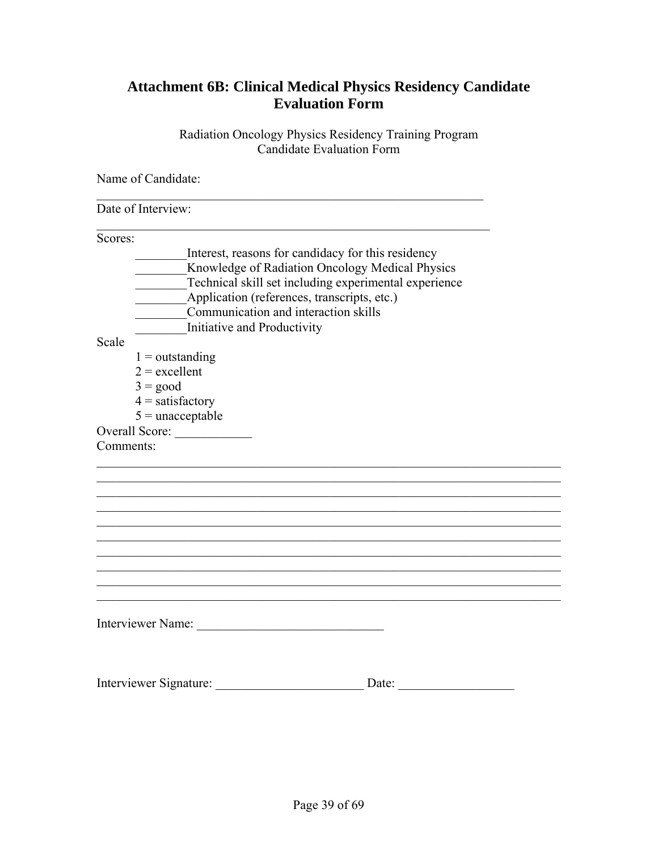### **Attachment 6B: Clinical Medical Physics Residency Candidate Evaluation Form**

Radiation Oncology Physics Residency Training Program Candidate Evaluation Form

Name of Candidate:

| Date of Interview:          |                                                       |  |
|-----------------------------|-------------------------------------------------------|--|
| Scores:                     |                                                       |  |
|                             | Interest, reasons for candidacy for this residency    |  |
|                             | Knowledge of Radiation Oncology Medical Physics       |  |
|                             | Technical skill set including experimental experience |  |
|                             | Application (references, transcripts, etc.)           |  |
|                             | Communication and interaction skills                  |  |
| Initiative and Productivity |                                                       |  |
| Scale                       |                                                       |  |
| $1 =$ outstanding           |                                                       |  |
| $2 =$ excellent             |                                                       |  |
| $3 = good$                  |                                                       |  |
| $4 =$ satisfactory          |                                                       |  |
| $5 =$ unacceptable          |                                                       |  |
|                             |                                                       |  |
| Comments:                   |                                                       |  |
|                             |                                                       |  |
|                             |                                                       |  |
|                             |                                                       |  |
|                             |                                                       |  |
|                             |                                                       |  |
|                             |                                                       |  |
|                             |                                                       |  |
|                             |                                                       |  |
|                             |                                                       |  |
|                             |                                                       |  |
|                             |                                                       |  |
| Interviewer Name:           |                                                       |  |
|                             |                                                       |  |
|                             |                                                       |  |
|                             |                                                       |  |
| Interviewer Signature:      | Date:                                                 |  |
|                             |                                                       |  |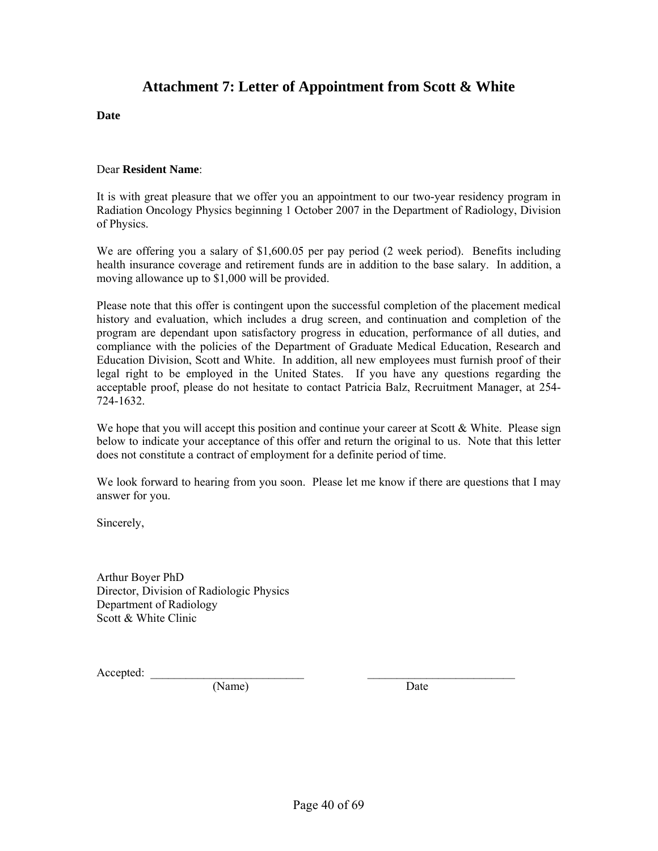### **Attachment 7: Letter of Appointment from Scott & White**

**Date** 

#### Dear **Resident Name**:

It is with great pleasure that we offer you an appointment to our two-year residency program in Radiation Oncology Physics beginning 1 October 2007 in the Department of Radiology, Division of Physics.

We are offering you a salary of \$1,600.05 per pay period (2 week period). Benefits including health insurance coverage and retirement funds are in addition to the base salary. In addition, a moving allowance up to \$1,000 will be provided.

Please note that this offer is contingent upon the successful completion of the placement medical history and evaluation, which includes a drug screen, and continuation and completion of the program are dependant upon satisfactory progress in education, performance of all duties, and compliance with the policies of the Department of Graduate Medical Education, Research and Education Division, Scott and White. In addition, all new employees must furnish proof of their legal right to be employed in the United States. If you have any questions regarding the acceptable proof, please do not hesitate to contact Patricia Balz, Recruitment Manager, at 254- 724-1632.

We hope that you will accept this position and continue your career at Scott & White. Please sign below to indicate your acceptance of this offer and return the original to us. Note that this letter does not constitute a contract of employment for a definite period of time.

We look forward to hearing from you soon. Please let me know if there are questions that I may answer for you.

Sincerely,

Arthur Boyer PhD Director, Division of Radiologic Physics Department of Radiology Scott & White Clinic

Accepted:

(Name) Date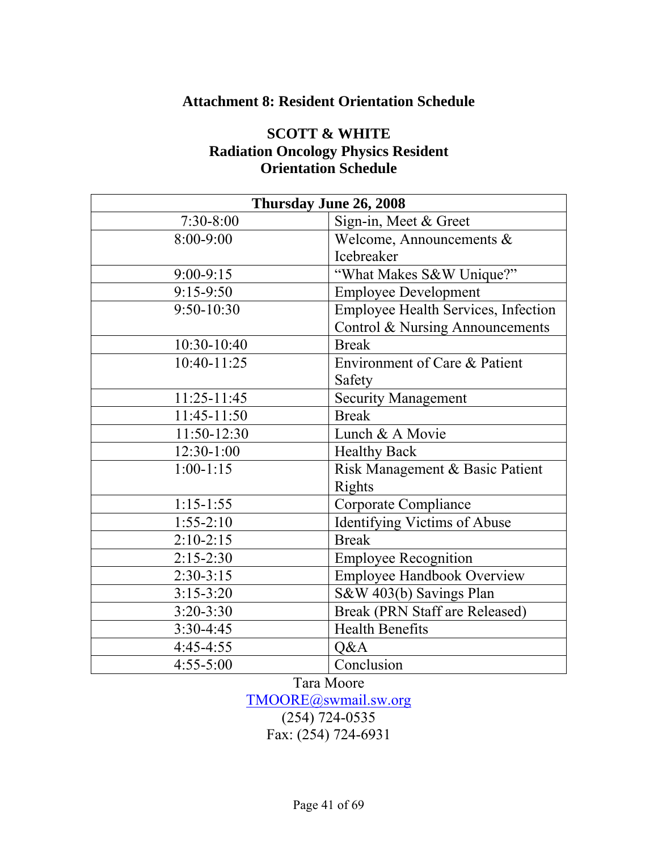### **Attachment 8: Resident Orientation Schedule**

### **SCOTT & WHITE Radiation Oncology Physics Resident Orientation Schedule**

| Thursday June 26, 2008 |                                     |  |  |
|------------------------|-------------------------------------|--|--|
| $7:30-8:00$            | Sign-in, Meet & Greet               |  |  |
| $8:00 - 9:00$          | Welcome, Announcements $\&$         |  |  |
|                        | Icebreaker                          |  |  |
| $9:00-9:15$            | "What Makes S&W Unique?"            |  |  |
| $9:15-9:50$            | <b>Employee Development</b>         |  |  |
| $9:50-10:30$           | Employee Health Services, Infection |  |  |
|                        | Control & Nursing Announcements     |  |  |
| 10:30-10:40            | <b>Break</b>                        |  |  |
| 10:40-11:25            | Environment of Care & Patient       |  |  |
|                        | Safety                              |  |  |
| $11:25-11:45$          | <b>Security Management</b>          |  |  |
| 11:45-11:50            | <b>Break</b>                        |  |  |
| 11:50-12:30            | Lunch & A Movie                     |  |  |
| 12:30-1:00             | <b>Healthy Back</b>                 |  |  |
| $1:00-1:15$            | Risk Management & Basic Patient     |  |  |
|                        | <b>Rights</b>                       |  |  |
| $1:15-1:55$            | Corporate Compliance                |  |  |
| $1:55-2:10$            | <b>Identifying Victims of Abuse</b> |  |  |
| $2:10-2:15$            | <b>Break</b>                        |  |  |
| $2:15-2:30$            | <b>Employee Recognition</b>         |  |  |
| $2:30-3:15$            | <b>Employee Handbook Overview</b>   |  |  |
| $3:15-3:20$            | S&W 403(b) Savings Plan             |  |  |
| $3:20 - 3:30$          | Break (PRN Staff are Released)      |  |  |
| $3:30-4:45$            | <b>Health Benefits</b>              |  |  |
| $4:45-4:55$            | Q&A                                 |  |  |
| $4:55 - 5:00$          | Conclusion                          |  |  |

Tara Moore

TMOORE@swmail.sw.org

(254) 724-0535

Fax: (254) 724-6931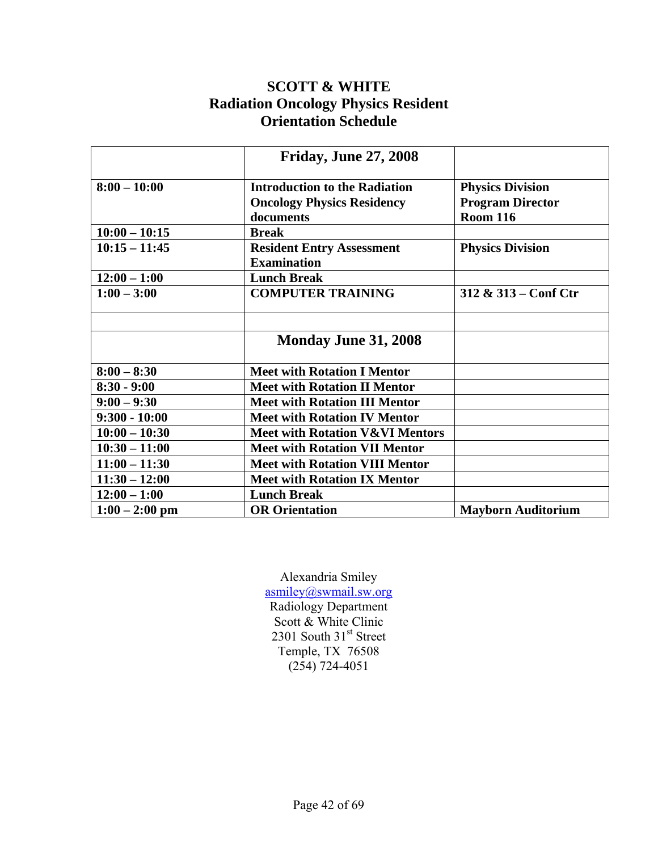### **SCOTT & WHITE Radiation Oncology Physics Resident Orientation Schedule**

|                  | <b>Friday, June 27, 2008</b>               |                                        |
|------------------|--------------------------------------------|----------------------------------------|
| $8:00 - 10:00$   | <b>Introduction to the Radiation</b>       | <b>Physics Division</b>                |
|                  | <b>Oncology Physics Residency</b>          | <b>Program Director</b>                |
|                  | documents                                  | <b>Room 116</b>                        |
| $10:00 - 10:15$  | <b>Break</b>                               |                                        |
| $10:15 - 11:45$  | <b>Resident Entry Assessment</b>           | <b>Physics Division</b>                |
|                  | <b>Examination</b>                         |                                        |
| $12:00 - 1:00$   | <b>Lunch Break</b>                         |                                        |
| $1:00 - 3:00$    | <b>COMPUTER TRAINING</b>                   | $312 \& 313 - \text{Conf } \text{Ctr}$ |
|                  |                                            |                                        |
|                  | Monday June 31, 2008                       |                                        |
| $8:00 - 8:30$    | <b>Meet with Rotation I Mentor</b>         |                                        |
| $8:30 - 9:00$    | <b>Meet with Rotation II Mentor</b>        |                                        |
| $9:00 - 9:30$    | <b>Meet with Rotation III Mentor</b>       |                                        |
| $9:300 - 10:00$  | <b>Meet with Rotation IV Mentor</b>        |                                        |
| $10:00 - 10:30$  | <b>Meet with Rotation V&amp;VI Mentors</b> |                                        |
| $10:30 - 11:00$  | <b>Meet with Rotation VII Mentor</b>       |                                        |
| $11:00 - 11:30$  | <b>Meet with Rotation VIII Mentor</b>      |                                        |
| $11:30 - 12:00$  | <b>Meet with Rotation IX Mentor</b>        |                                        |
| $12:00 - 1:00$   | <b>Lunch Break</b>                         |                                        |
| $1:00 - 2:00$ pm | <b>OR Orientation</b>                      | <b>Mayborn Auditorium</b>              |

Alexandria Smiley asmiley@swmail.sw.org Radiology Department Scott & White Clinic 2301 South 31st Street Temple, TX 76508 (254) 724-4051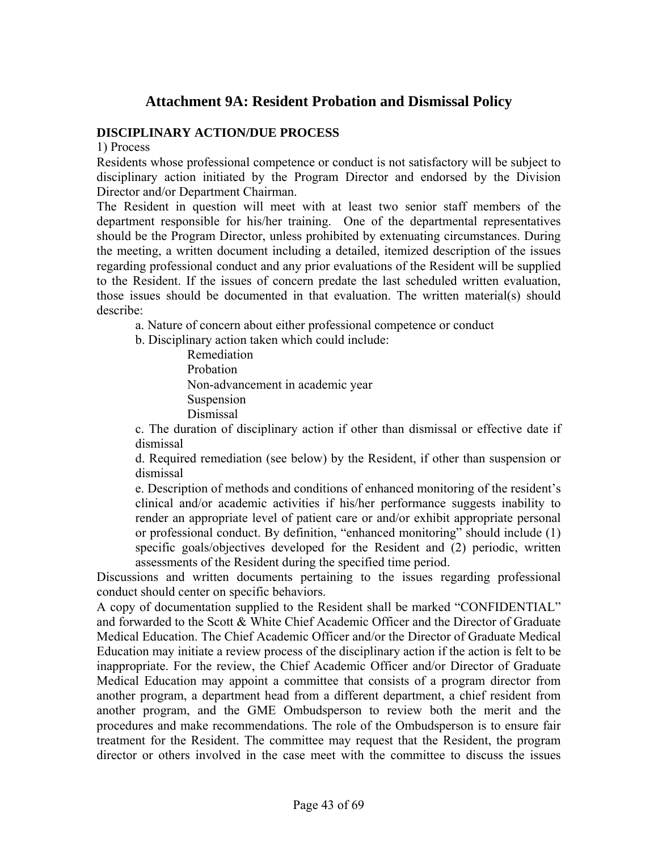### **Attachment 9A: Resident Probation and Dismissal Policy**

#### **DISCIPLINARY ACTION/DUE PROCESS**

1) Process

Residents whose professional competence or conduct is not satisfactory will be subject to disciplinary action initiated by the Program Director and endorsed by the Division Director and/or Department Chairman.

The Resident in question will meet with at least two senior staff members of the department responsible for his/her training. One of the departmental representatives should be the Program Director, unless prohibited by extenuating circumstances. During the meeting, a written document including a detailed, itemized description of the issues regarding professional conduct and any prior evaluations of the Resident will be supplied to the Resident. If the issues of concern predate the last scheduled written evaluation, those issues should be documented in that evaluation. The written material(s) should describe:

a. Nature of concern about either professional competence or conduct

b. Disciplinary action taken which could include:

 Remediation Probation Non-advancement in academic year Suspension Dismissal

c. The duration of disciplinary action if other than dismissal or effective date if dismissal

d. Required remediation (see below) by the Resident, if other than suspension or dismissal

e. Description of methods and conditions of enhanced monitoring of the resident's clinical and/or academic activities if his/her performance suggests inability to render an appropriate level of patient care or and/or exhibit appropriate personal or professional conduct. By definition, "enhanced monitoring" should include (1) specific goals/objectives developed for the Resident and (2) periodic, written assessments of the Resident during the specified time period.

Discussions and written documents pertaining to the issues regarding professional conduct should center on specific behaviors.

A copy of documentation supplied to the Resident shall be marked "CONFIDENTIAL" and forwarded to the Scott & White Chief Academic Officer and the Director of Graduate Medical Education. The Chief Academic Officer and/or the Director of Graduate Medical Education may initiate a review process of the disciplinary action if the action is felt to be inappropriate. For the review, the Chief Academic Officer and/or Director of Graduate Medical Education may appoint a committee that consists of a program director from another program, a department head from a different department, a chief resident from another program, and the GME Ombudsperson to review both the merit and the procedures and make recommendations. The role of the Ombudsperson is to ensure fair treatment for the Resident. The committee may request that the Resident, the program director or others involved in the case meet with the committee to discuss the issues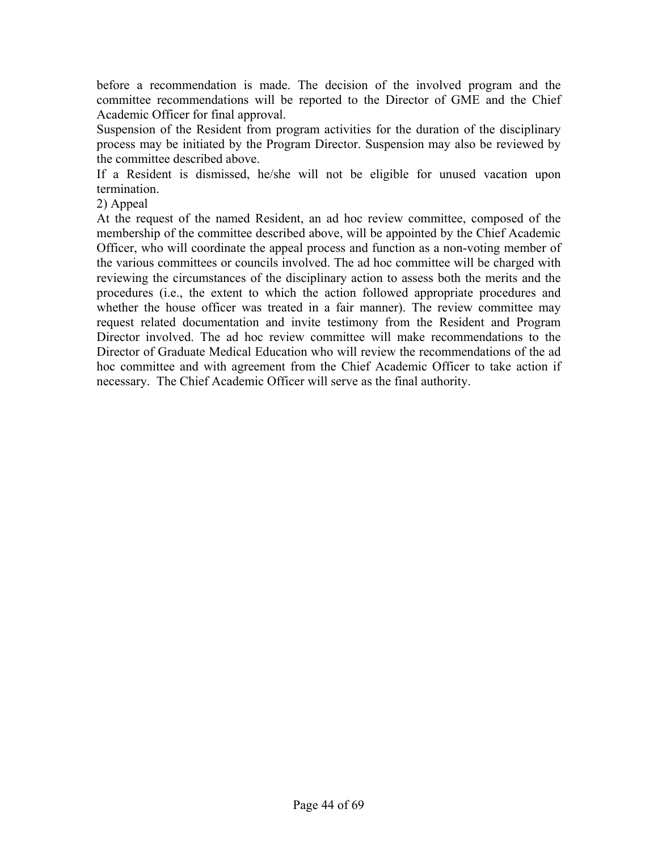before a recommendation is made. The decision of the involved program and the committee recommendations will be reported to the Director of GME and the Chief Academic Officer for final approval.

Suspension of the Resident from program activities for the duration of the disciplinary process may be initiated by the Program Director. Suspension may also be reviewed by the committee described above.

If a Resident is dismissed, he/she will not be eligible for unused vacation upon termination.

2) Appeal

At the request of the named Resident, an ad hoc review committee, composed of the membership of the committee described above, will be appointed by the Chief Academic Officer, who will coordinate the appeal process and function as a non-voting member of the various committees or councils involved. The ad hoc committee will be charged with reviewing the circumstances of the disciplinary action to assess both the merits and the procedures (i.e., the extent to which the action followed appropriate procedures and whether the house officer was treated in a fair manner). The review committee may request related documentation and invite testimony from the Resident and Program Director involved. The ad hoc review committee will make recommendations to the Director of Graduate Medical Education who will review the recommendations of the ad hoc committee and with agreement from the Chief Academic Officer to take action if necessary. The Chief Academic Officer will serve as the final authority.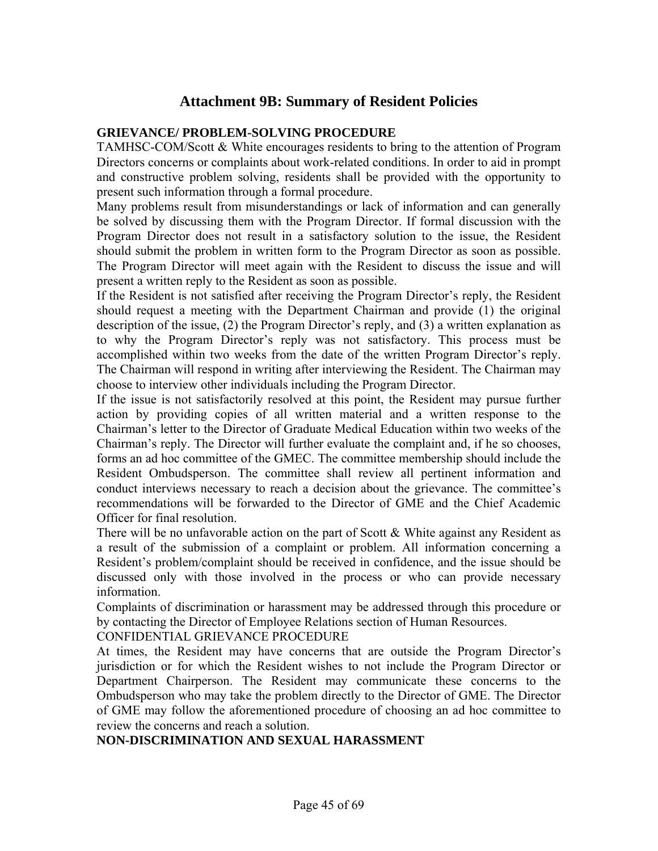### **Attachment 9B: Summary of Resident Policies**

#### **GRIEVANCE/ PROBLEM-SOLVING PROCEDURE**

TAMHSC-COM/Scott & White encourages residents to bring to the attention of Program Directors concerns or complaints about work-related conditions. In order to aid in prompt and constructive problem solving, residents shall be provided with the opportunity to present such information through a formal procedure.

Many problems result from misunderstandings or lack of information and can generally be solved by discussing them with the Program Director. If formal discussion with the Program Director does not result in a satisfactory solution to the issue, the Resident should submit the problem in written form to the Program Director as soon as possible. The Program Director will meet again with the Resident to discuss the issue and will present a written reply to the Resident as soon as possible.

If the Resident is not satisfied after receiving the Program Director's reply, the Resident should request a meeting with the Department Chairman and provide (1) the original description of the issue, (2) the Program Director's reply, and (3) a written explanation as to why the Program Director's reply was not satisfactory. This process must be accomplished within two weeks from the date of the written Program Director's reply. The Chairman will respond in writing after interviewing the Resident. The Chairman may choose to interview other individuals including the Program Director.

If the issue is not satisfactorily resolved at this point, the Resident may pursue further action by providing copies of all written material and a written response to the Chairman's letter to the Director of Graduate Medical Education within two weeks of the Chairman's reply. The Director will further evaluate the complaint and, if he so chooses, forms an ad hoc committee of the GMEC. The committee membership should include the Resident Ombudsperson. The committee shall review all pertinent information and conduct interviews necessary to reach a decision about the grievance. The committee's recommendations will be forwarded to the Director of GME and the Chief Academic Officer for final resolution.

There will be no unfavorable action on the part of Scott  $\&$  White against any Resident as a result of the submission of a complaint or problem. All information concerning a Resident's problem/complaint should be received in confidence, and the issue should be discussed only with those involved in the process or who can provide necessary information.

Complaints of discrimination or harassment may be addressed through this procedure or by contacting the Director of Employee Relations section of Human Resources.

CONFIDENTIAL GRIEVANCE PROCEDURE

At times, the Resident may have concerns that are outside the Program Director's jurisdiction or for which the Resident wishes to not include the Program Director or Department Chairperson. The Resident may communicate these concerns to the Ombudsperson who may take the problem directly to the Director of GME. The Director of GME may follow the aforementioned procedure of choosing an ad hoc committee to review the concerns and reach a solution.

#### **NON-DISCRIMINATION AND SEXUAL HARASSMENT**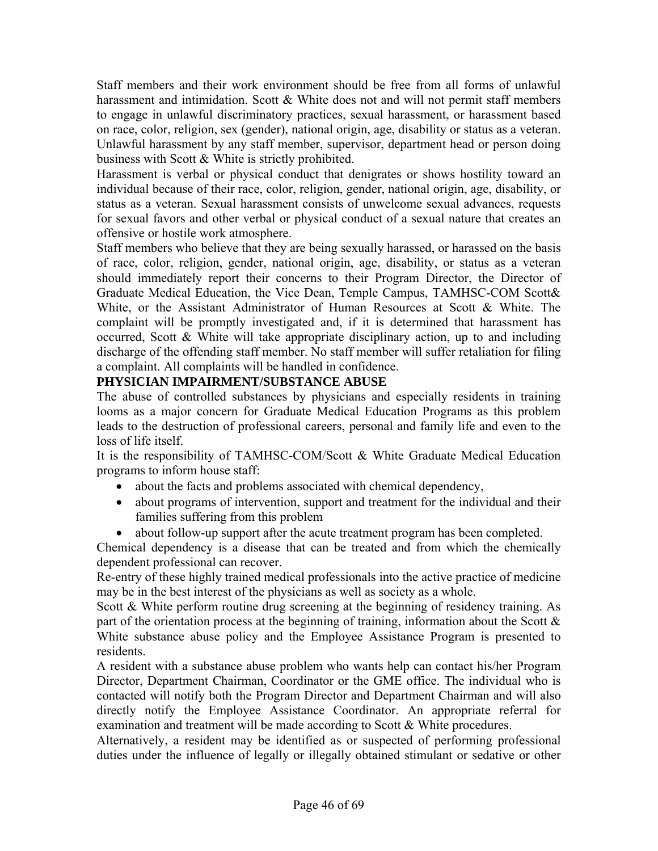Staff members and their work environment should be free from all forms of unlawful harassment and intimidation. Scott  $\&$  White does not and will not permit staff members to engage in unlawful discriminatory practices, sexual harassment, or harassment based on race, color, religion, sex (gender), national origin, age, disability or status as a veteran. Unlawful harassment by any staff member, supervisor, department head or person doing business with Scott & White is strictly prohibited.

Harassment is verbal or physical conduct that denigrates or shows hostility toward an individual because of their race, color, religion, gender, national origin, age, disability, or status as a veteran. Sexual harassment consists of unwelcome sexual advances, requests for sexual favors and other verbal or physical conduct of a sexual nature that creates an offensive or hostile work atmosphere.

Staff members who believe that they are being sexually harassed, or harassed on the basis of race, color, religion, gender, national origin, age, disability, or status as a veteran should immediately report their concerns to their Program Director, the Director of Graduate Medical Education, the Vice Dean, Temple Campus, TAMHSC-COM Scott& White, or the Assistant Administrator of Human Resources at Scott & White. The complaint will be promptly investigated and, if it is determined that harassment has occurred, Scott & White will take appropriate disciplinary action, up to and including discharge of the offending staff member. No staff member will suffer retaliation for filing a complaint. All complaints will be handled in confidence.

### **PHYSICIAN IMPAIRMENT/SUBSTANCE ABUSE**

The abuse of controlled substances by physicians and especially residents in training looms as a major concern for Graduate Medical Education Programs as this problem leads to the destruction of professional careers, personal and family life and even to the loss of life itself.

It is the responsibility of TAMHSC-COM/Scott & White Graduate Medical Education programs to inform house staff:

- about the facts and problems associated with chemical dependency,
- about programs of intervention, support and treatment for the individual and their families suffering from this problem
- about follow-up support after the acute treatment program has been completed.

Chemical dependency is a disease that can be treated and from which the chemically dependent professional can recover.

Re-entry of these highly trained medical professionals into the active practice of medicine may be in the best interest of the physicians as well as society as a whole.

Scott & White perform routine drug screening at the beginning of residency training. As part of the orientation process at the beginning of training, information about the Scott  $\&$ White substance abuse policy and the Employee Assistance Program is presented to residents.

A resident with a substance abuse problem who wants help can contact his/her Program Director, Department Chairman, Coordinator or the GME office. The individual who is contacted will notify both the Program Director and Department Chairman and will also directly notify the Employee Assistance Coordinator. An appropriate referral for examination and treatment will be made according to Scott & White procedures.

Alternatively, a resident may be identified as or suspected of performing professional duties under the influence of legally or illegally obtained stimulant or sedative or other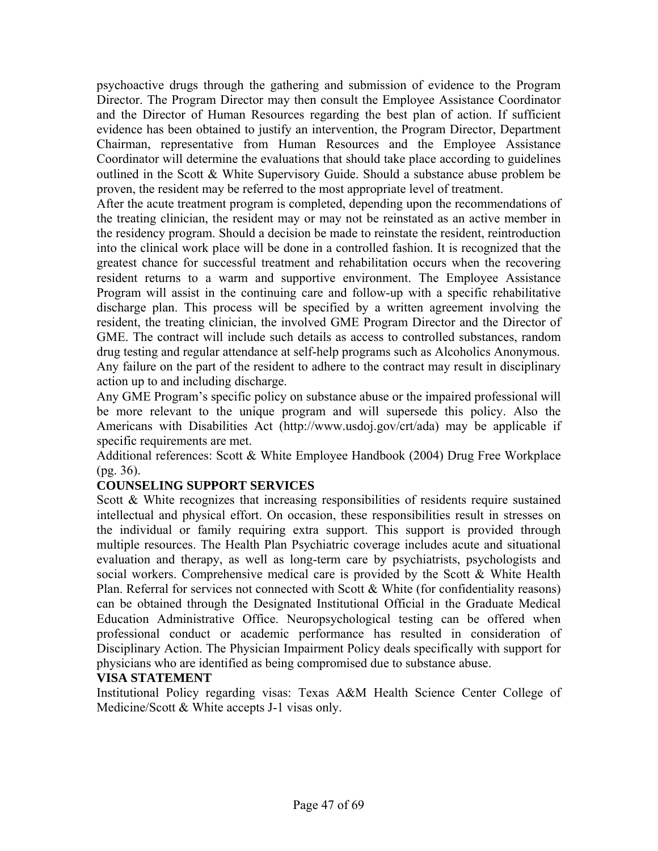psychoactive drugs through the gathering and submission of evidence to the Program Director. The Program Director may then consult the Employee Assistance Coordinator and the Director of Human Resources regarding the best plan of action. If sufficient evidence has been obtained to justify an intervention, the Program Director, Department Chairman, representative from Human Resources and the Employee Assistance Coordinator will determine the evaluations that should take place according to guidelines outlined in the Scott & White Supervisory Guide. Should a substance abuse problem be proven, the resident may be referred to the most appropriate level of treatment.

After the acute treatment program is completed, depending upon the recommendations of the treating clinician, the resident may or may not be reinstated as an active member in the residency program. Should a decision be made to reinstate the resident, reintroduction into the clinical work place will be done in a controlled fashion. It is recognized that the greatest chance for successful treatment and rehabilitation occurs when the recovering resident returns to a warm and supportive environment. The Employee Assistance Program will assist in the continuing care and follow-up with a specific rehabilitative discharge plan. This process will be specified by a written agreement involving the resident, the treating clinician, the involved GME Program Director and the Director of GME. The contract will include such details as access to controlled substances, random drug testing and regular attendance at self-help programs such as Alcoholics Anonymous. Any failure on the part of the resident to adhere to the contract may result in disciplinary action up to and including discharge.

Any GME Program's specific policy on substance abuse or the impaired professional will be more relevant to the unique program and will supersede this policy. Also the Americans with Disabilities Act (http://www.usdoj.gov/crt/ada) may be applicable if specific requirements are met.

Additional references: Scott & White Employee Handbook (2004) Drug Free Workplace (pg. 36).

#### **COUNSELING SUPPORT SERVICES**

Scott & White recognizes that increasing responsibilities of residents require sustained intellectual and physical effort. On occasion, these responsibilities result in stresses on the individual or family requiring extra support. This support is provided through multiple resources. The Health Plan Psychiatric coverage includes acute and situational evaluation and therapy, as well as long-term care by psychiatrists, psychologists and social workers. Comprehensive medical care is provided by the Scott & White Health Plan. Referral for services not connected with Scott & White (for confidentiality reasons) can be obtained through the Designated Institutional Official in the Graduate Medical Education Administrative Office. Neuropsychological testing can be offered when professional conduct or academic performance has resulted in consideration of Disciplinary Action. The Physician Impairment Policy deals specifically with support for physicians who are identified as being compromised due to substance abuse.

#### **VISA STATEMENT**

Institutional Policy regarding visas: Texas A&M Health Science Center College of Medicine/Scott & White accepts J-1 visas only.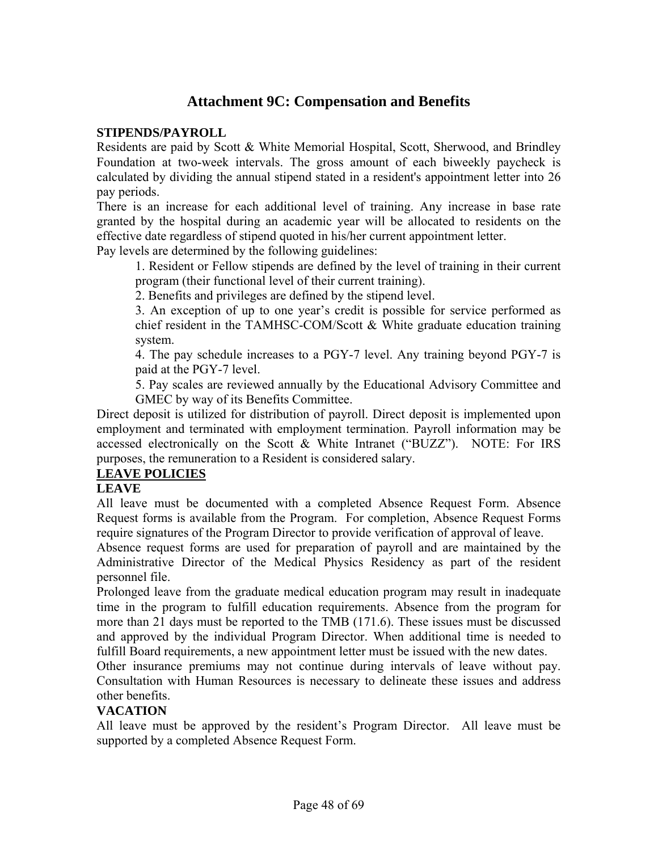### **Attachment 9C: Compensation and Benefits**

#### **STIPENDS/PAYROLL**

Residents are paid by Scott & White Memorial Hospital, Scott, Sherwood, and Brindley Foundation at two-week intervals. The gross amount of each biweekly paycheck is calculated by dividing the annual stipend stated in a resident's appointment letter into 26 pay periods.

There is an increase for each additional level of training. Any increase in base rate granted by the hospital during an academic year will be allocated to residents on the effective date regardless of stipend quoted in his/her current appointment letter.

Pay levels are determined by the following guidelines:

1. Resident or Fellow stipends are defined by the level of training in their current program (their functional level of their current training).

2. Benefits and privileges are defined by the stipend level.

3. An exception of up to one year's credit is possible for service performed as chief resident in the TAMHSC-COM/Scott & White graduate education training system.

4. The pay schedule increases to a PGY-7 level. Any training beyond PGY-7 is paid at the PGY-7 level.

5. Pay scales are reviewed annually by the Educational Advisory Committee and GMEC by way of its Benefits Committee.

Direct deposit is utilized for distribution of payroll. Direct deposit is implemented upon employment and terminated with employment termination. Payroll information may be accessed electronically on the Scott & White Intranet ("BUZZ"). NOTE: For IRS purposes, the remuneration to a Resident is considered salary.

#### **LEAVE POLICIES**

#### **LEAVE**

All leave must be documented with a completed Absence Request Form. Absence Request forms is available from the Program. For completion, Absence Request Forms require signatures of the Program Director to provide verification of approval of leave.

Absence request forms are used for preparation of payroll and are maintained by the Administrative Director of the Medical Physics Residency as part of the resident personnel file.

Prolonged leave from the graduate medical education program may result in inadequate time in the program to fulfill education requirements. Absence from the program for more than 21 days must be reported to the TMB (171.6). These issues must be discussed and approved by the individual Program Director. When additional time is needed to fulfill Board requirements, a new appointment letter must be issued with the new dates.

Other insurance premiums may not continue during intervals of leave without pay. Consultation with Human Resources is necessary to delineate these issues and address other benefits.

#### **VACATION**

All leave must be approved by the resident's Program Director. All leave must be supported by a completed Absence Request Form.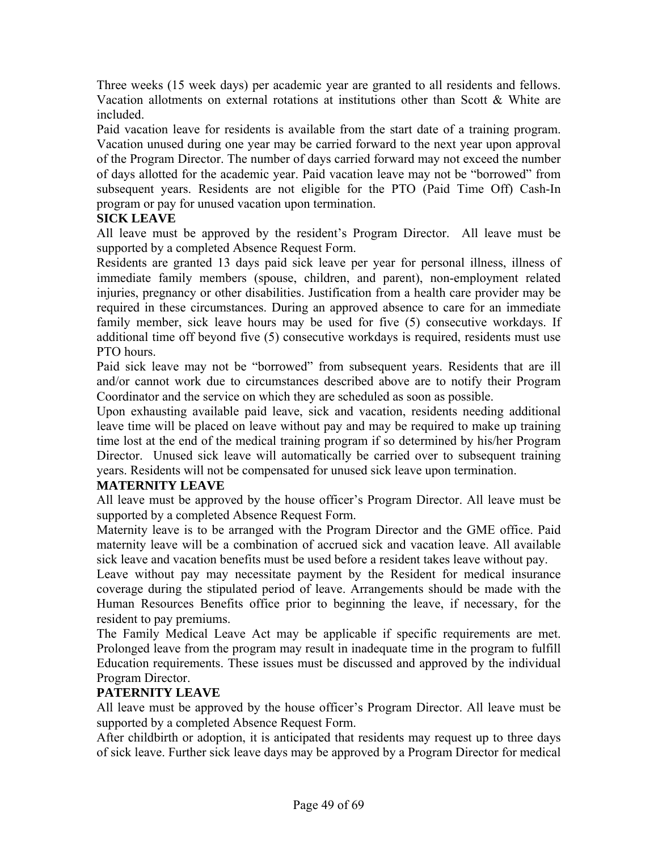Three weeks (15 week days) per academic year are granted to all residents and fellows. Vacation allotments on external rotations at institutions other than Scott & White are included.

Paid vacation leave for residents is available from the start date of a training program. Vacation unused during one year may be carried forward to the next year upon approval of the Program Director. The number of days carried forward may not exceed the number of days allotted for the academic year. Paid vacation leave may not be "borrowed" from subsequent years. Residents are not eligible for the PTO (Paid Time Off) Cash-In program or pay for unused vacation upon termination.

#### **SICK LEAVE**

All leave must be approved by the resident's Program Director. All leave must be supported by a completed Absence Request Form.

Residents are granted 13 days paid sick leave per year for personal illness, illness of immediate family members (spouse, children, and parent), non-employment related injuries, pregnancy or other disabilities. Justification from a health care provider may be required in these circumstances. During an approved absence to care for an immediate family member, sick leave hours may be used for five (5) consecutive workdays. If additional time off beyond five (5) consecutive workdays is required, residents must use PTO hours.

Paid sick leave may not be "borrowed" from subsequent years. Residents that are ill and/or cannot work due to circumstances described above are to notify their Program Coordinator and the service on which they are scheduled as soon as possible.

Upon exhausting available paid leave, sick and vacation, residents needing additional leave time will be placed on leave without pay and may be required to make up training time lost at the end of the medical training program if so determined by his/her Program Director. Unused sick leave will automatically be carried over to subsequent training years. Residents will not be compensated for unused sick leave upon termination.

#### **MATERNITY LEAVE**

All leave must be approved by the house officer's Program Director. All leave must be supported by a completed Absence Request Form.

Maternity leave is to be arranged with the Program Director and the GME office. Paid maternity leave will be a combination of accrued sick and vacation leave. All available sick leave and vacation benefits must be used before a resident takes leave without pay.

Leave without pay may necessitate payment by the Resident for medical insurance coverage during the stipulated period of leave. Arrangements should be made with the Human Resources Benefits office prior to beginning the leave, if necessary, for the resident to pay premiums.

The Family Medical Leave Act may be applicable if specific requirements are met. Prolonged leave from the program may result in inadequate time in the program to fulfill Education requirements. These issues must be discussed and approved by the individual Program Director.

#### **PATERNITY LEAVE**

All leave must be approved by the house officer's Program Director. All leave must be supported by a completed Absence Request Form.

After childbirth or adoption, it is anticipated that residents may request up to three days of sick leave. Further sick leave days may be approved by a Program Director for medical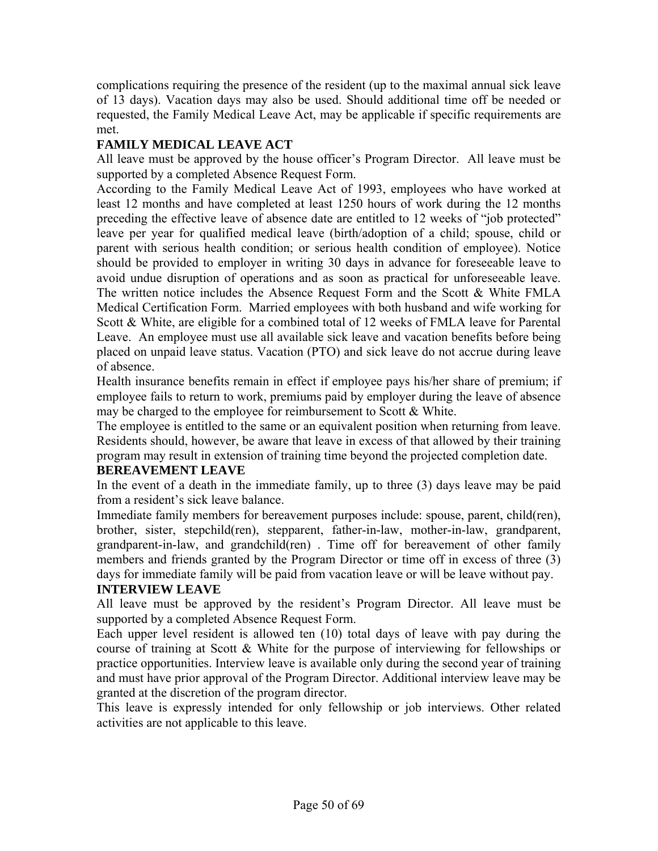complications requiring the presence of the resident (up to the maximal annual sick leave of 13 days). Vacation days may also be used. Should additional time off be needed or requested, the Family Medical Leave Act, may be applicable if specific requirements are met.

### **FAMILY MEDICAL LEAVE ACT**

All leave must be approved by the house officer's Program Director. All leave must be supported by a completed Absence Request Form.

According to the Family Medical Leave Act of 1993, employees who have worked at least 12 months and have completed at least 1250 hours of work during the 12 months preceding the effective leave of absence date are entitled to 12 weeks of "job protected" leave per year for qualified medical leave (birth/adoption of a child; spouse, child or parent with serious health condition; or serious health condition of employee). Notice should be provided to employer in writing 30 days in advance for foreseeable leave to avoid undue disruption of operations and as soon as practical for unforeseeable leave. The written notice includes the Absence Request Form and the Scott & White FMLA Medical Certification Form. Married employees with both husband and wife working for Scott & White, are eligible for a combined total of 12 weeks of FMLA leave for Parental Leave. An employee must use all available sick leave and vacation benefits before being placed on unpaid leave status. Vacation (PTO) and sick leave do not accrue during leave of absence.

Health insurance benefits remain in effect if employee pays his/her share of premium; if employee fails to return to work, premiums paid by employer during the leave of absence may be charged to the employee for reimbursement to Scott & White.

The employee is entitled to the same or an equivalent position when returning from leave. Residents should, however, be aware that leave in excess of that allowed by their training program may result in extension of training time beyond the projected completion date.

### **BEREAVEMENT LEAVE**

In the event of a death in the immediate family, up to three (3) days leave may be paid from a resident's sick leave balance.

Immediate family members for bereavement purposes include: spouse, parent, child(ren), brother, sister, stepchild(ren), stepparent, father-in-law, mother-in-law, grandparent, grandparent-in-law, and grandchild(ren) . Time off for bereavement of other family members and friends granted by the Program Director or time off in excess of three (3) days for immediate family will be paid from vacation leave or will be leave without pay.

#### **INTERVIEW LEAVE**

All leave must be approved by the resident's Program Director. All leave must be supported by a completed Absence Request Form.

Each upper level resident is allowed ten (10) total days of leave with pay during the course of training at Scott & White for the purpose of interviewing for fellowships or practice opportunities. Interview leave is available only during the second year of training and must have prior approval of the Program Director. Additional interview leave may be granted at the discretion of the program director.

This leave is expressly intended for only fellowship or job interviews. Other related activities are not applicable to this leave.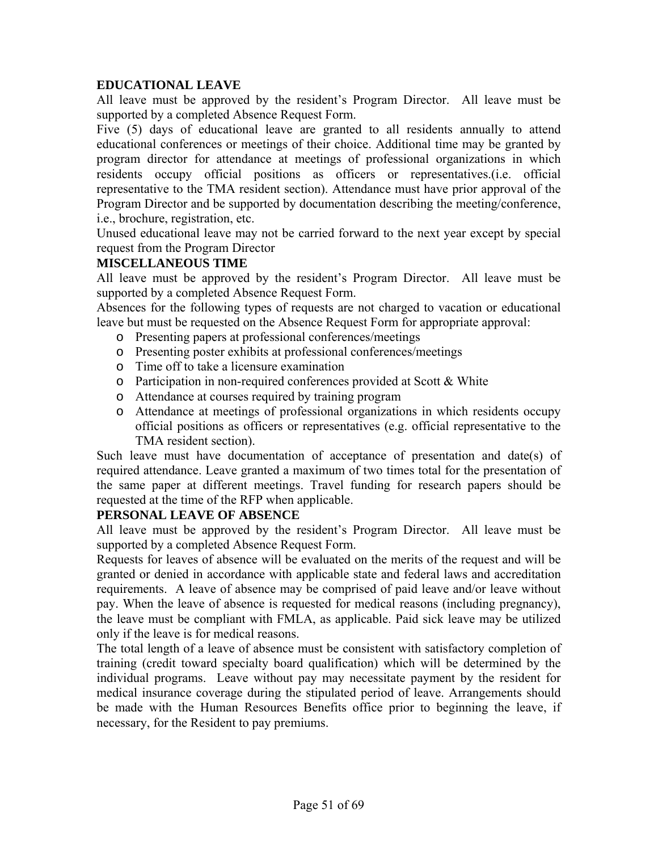#### **EDUCATIONAL LEAVE**

All leave must be approved by the resident's Program Director. All leave must be supported by a completed Absence Request Form.

Five (5) days of educational leave are granted to all residents annually to attend educational conferences or meetings of their choice. Additional time may be granted by program director for attendance at meetings of professional organizations in which residents occupy official positions as officers or representatives.(i.e. official representative to the TMA resident section). Attendance must have prior approval of the Program Director and be supported by documentation describing the meeting/conference, i.e., brochure, registration, etc.

Unused educational leave may not be carried forward to the next year except by special request from the Program Director

#### **MISCELLANEOUS TIME**

All leave must be approved by the resident's Program Director. All leave must be supported by a completed Absence Request Form.

Absences for the following types of requests are not charged to vacation or educational leave but must be requested on the Absence Request Form for appropriate approval:

- o Presenting papers at professional conferences/meetings
- o Presenting poster exhibits at professional conferences/meetings
- o Time off to take a licensure examination
- $\circ$  Participation in non-required conferences provided at Scott & White
- o Attendance at courses required by training program
- o Attendance at meetings of professional organizations in which residents occupy official positions as officers or representatives (e.g. official representative to the TMA resident section).

Such leave must have documentation of acceptance of presentation and date(s) of required attendance. Leave granted a maximum of two times total for the presentation of the same paper at different meetings. Travel funding for research papers should be requested at the time of the RFP when applicable.

### **PERSONAL LEAVE OF ABSENCE**

All leave must be approved by the resident's Program Director. All leave must be supported by a completed Absence Request Form.

Requests for leaves of absence will be evaluated on the merits of the request and will be granted or denied in accordance with applicable state and federal laws and accreditation requirements. A leave of absence may be comprised of paid leave and/or leave without pay. When the leave of absence is requested for medical reasons (including pregnancy), the leave must be compliant with FMLA, as applicable. Paid sick leave may be utilized only if the leave is for medical reasons.

The total length of a leave of absence must be consistent with satisfactory completion of training (credit toward specialty board qualification) which will be determined by the individual programs. Leave without pay may necessitate payment by the resident for medical insurance coverage during the stipulated period of leave. Arrangements should be made with the Human Resources Benefits office prior to beginning the leave, if necessary, for the Resident to pay premiums.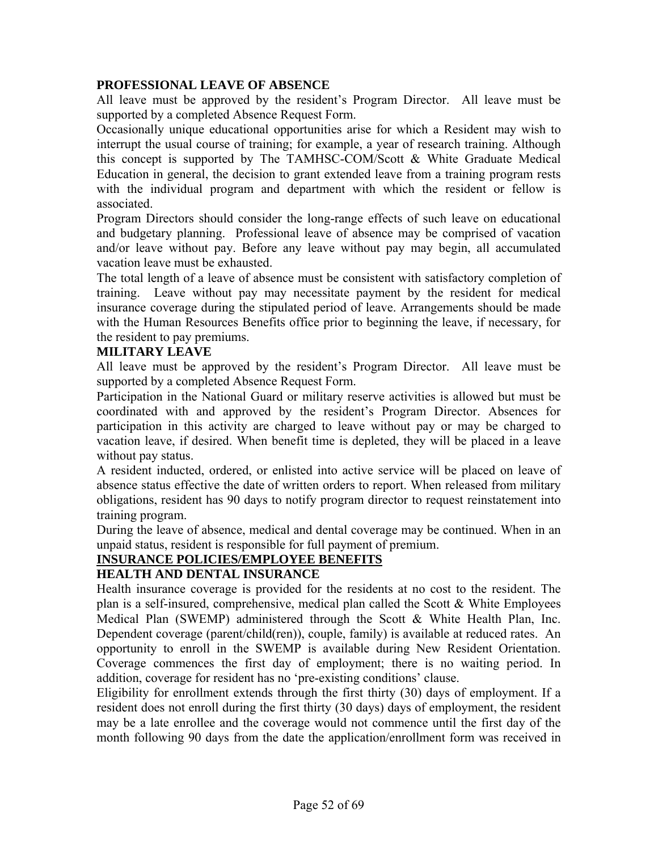#### **PROFESSIONAL LEAVE OF ABSENCE**

All leave must be approved by the resident's Program Director. All leave must be supported by a completed Absence Request Form.

Occasionally unique educational opportunities arise for which a Resident may wish to interrupt the usual course of training; for example, a year of research training. Although this concept is supported by The TAMHSC-COM/Scott & White Graduate Medical Education in general, the decision to grant extended leave from a training program rests with the individual program and department with which the resident or fellow is associated.

Program Directors should consider the long-range effects of such leave on educational and budgetary planning. Professional leave of absence may be comprised of vacation and/or leave without pay. Before any leave without pay may begin, all accumulated vacation leave must be exhausted.

The total length of a leave of absence must be consistent with satisfactory completion of training. Leave without pay may necessitate payment by the resident for medical insurance coverage during the stipulated period of leave. Arrangements should be made with the Human Resources Benefits office prior to beginning the leave, if necessary, for the resident to pay premiums.

#### **MILITARY LEAVE**

All leave must be approved by the resident's Program Director. All leave must be supported by a completed Absence Request Form.

Participation in the National Guard or military reserve activities is allowed but must be coordinated with and approved by the resident's Program Director. Absences for participation in this activity are charged to leave without pay or may be charged to vacation leave, if desired. When benefit time is depleted, they will be placed in a leave without pay status.

A resident inducted, ordered, or enlisted into active service will be placed on leave of absence status effective the date of written orders to report. When released from military obligations, resident has 90 days to notify program director to request reinstatement into training program.

During the leave of absence, medical and dental coverage may be continued. When in an unpaid status, resident is responsible for full payment of premium.

#### **INSURANCE POLICIES/EMPLOYEE BENEFITS**

#### **HEALTH AND DENTAL INSURANCE**

Health insurance coverage is provided for the residents at no cost to the resident. The plan is a self-insured, comprehensive, medical plan called the Scott & White Employees Medical Plan (SWEMP) administered through the Scott & White Health Plan, Inc. Dependent coverage (parent/child(ren)), couple, family) is available at reduced rates. An opportunity to enroll in the SWEMP is available during New Resident Orientation. Coverage commences the first day of employment; there is no waiting period. In addition, coverage for resident has no 'pre-existing conditions' clause.

Eligibility for enrollment extends through the first thirty (30) days of employment. If a resident does not enroll during the first thirty (30 days) days of employment, the resident may be a late enrollee and the coverage would not commence until the first day of the month following 90 days from the date the application/enrollment form was received in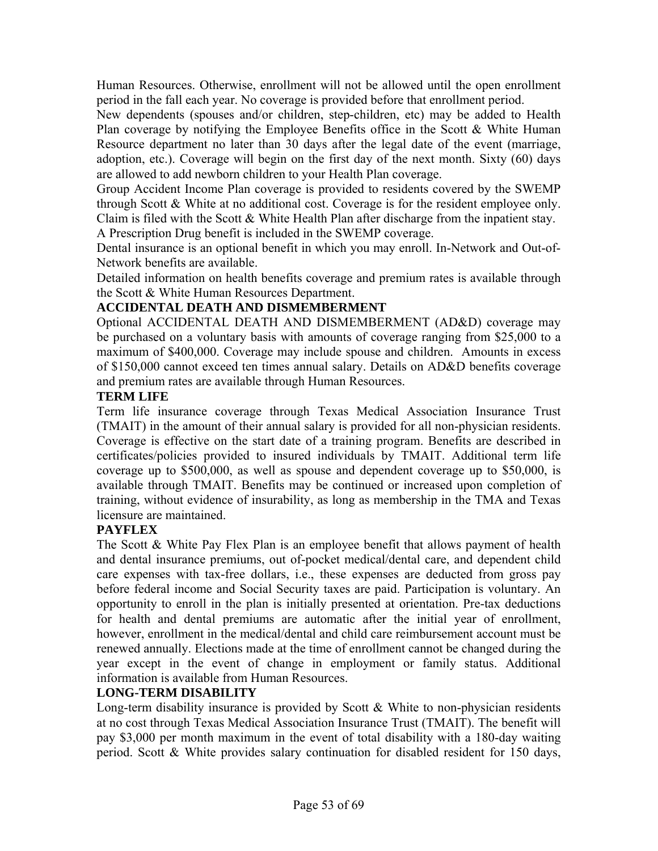Human Resources. Otherwise, enrollment will not be allowed until the open enrollment period in the fall each year. No coverage is provided before that enrollment period.

New dependents (spouses and/or children, step-children, etc) may be added to Health Plan coverage by notifying the Employee Benefits office in the Scott & White Human Resource department no later than 30 days after the legal date of the event (marriage, adoption, etc.). Coverage will begin on the first day of the next month. Sixty (60) days are allowed to add newborn children to your Health Plan coverage.

Group Accident Income Plan coverage is provided to residents covered by the SWEMP through Scott & White at no additional cost. Coverage is for the resident employee only. Claim is filed with the Scott & White Health Plan after discharge from the inpatient stay. A Prescription Drug benefit is included in the SWEMP coverage.

Dental insurance is an optional benefit in which you may enroll. In-Network and Out-of-Network benefits are available.

Detailed information on health benefits coverage and premium rates is available through the Scott & White Human Resources Department.

#### **ACCIDENTAL DEATH AND DISMEMBERMENT**

Optional ACCIDENTAL DEATH AND DISMEMBERMENT (AD&D) coverage may be purchased on a voluntary basis with amounts of coverage ranging from \$25,000 to a maximum of \$400,000. Coverage may include spouse and children. Amounts in excess of \$150,000 cannot exceed ten times annual salary. Details on AD&D benefits coverage and premium rates are available through Human Resources.

#### **TERM LIFE**

Term life insurance coverage through Texas Medical Association Insurance Trust (TMAIT) in the amount of their annual salary is provided for all non-physician residents. Coverage is effective on the start date of a training program. Benefits are described in certificates/policies provided to insured individuals by TMAIT. Additional term life coverage up to \$500,000, as well as spouse and dependent coverage up to \$50,000, is available through TMAIT. Benefits may be continued or increased upon completion of training, without evidence of insurability, as long as membership in the TMA and Texas licensure are maintained.

#### **PAYFLEX**

The Scott & White Pay Flex Plan is an employee benefit that allows payment of health and dental insurance premiums, out of-pocket medical/dental care, and dependent child care expenses with tax-free dollars, i.e., these expenses are deducted from gross pay before federal income and Social Security taxes are paid. Participation is voluntary. An opportunity to enroll in the plan is initially presented at orientation. Pre-tax deductions for health and dental premiums are automatic after the initial year of enrollment, however, enrollment in the medical/dental and child care reimbursement account must be renewed annually. Elections made at the time of enrollment cannot be changed during the year except in the event of change in employment or family status. Additional information is available from Human Resources.

#### **LONG-TERM DISABILITY**

Long-term disability insurance is provided by Scott & White to non-physician residents at no cost through Texas Medical Association Insurance Trust (TMAIT). The benefit will pay \$3,000 per month maximum in the event of total disability with a 180-day waiting period. Scott & White provides salary continuation for disabled resident for 150 days,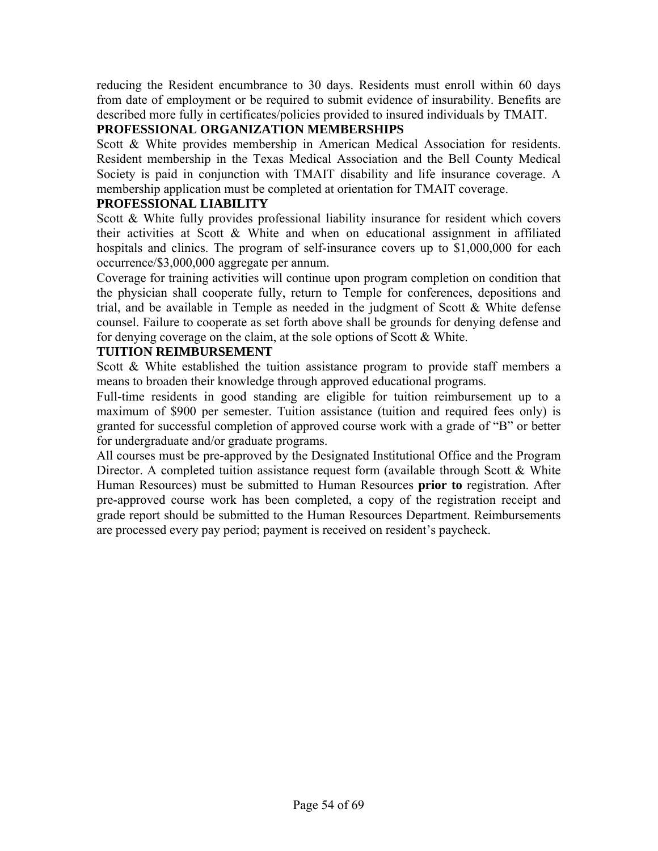reducing the Resident encumbrance to 30 days. Residents must enroll within 60 days from date of employment or be required to submit evidence of insurability. Benefits are described more fully in certificates/policies provided to insured individuals by TMAIT.

#### **PROFESSIONAL ORGANIZATION MEMBERSHIPS**

Scott & White provides membership in American Medical Association for residents. Resident membership in the Texas Medical Association and the Bell County Medical Society is paid in conjunction with TMAIT disability and life insurance coverage. A membership application must be completed at orientation for TMAIT coverage.

#### **PROFESSIONAL LIABILITY**

Scott & White fully provides professional liability insurance for resident which covers their activities at Scott & White and when on educational assignment in affiliated hospitals and clinics. The program of self-insurance covers up to \$1,000,000 for each occurrence/\$3,000,000 aggregate per annum.

Coverage for training activities will continue upon program completion on condition that the physician shall cooperate fully, return to Temple for conferences, depositions and trial, and be available in Temple as needed in the judgment of Scott  $\&$  White defense counsel. Failure to cooperate as set forth above shall be grounds for denying defense and for denying coverage on the claim, at the sole options of Scott & White.

#### **TUITION REIMBURSEMENT**

Scott & White established the tuition assistance program to provide staff members a means to broaden their knowledge through approved educational programs.

Full-time residents in good standing are eligible for tuition reimbursement up to a maximum of \$900 per semester. Tuition assistance (tuition and required fees only) is granted for successful completion of approved course work with a grade of "B" or better for undergraduate and/or graduate programs.

All courses must be pre-approved by the Designated Institutional Office and the Program Director. A completed tuition assistance request form (available through Scott  $\&$  White Human Resources) must be submitted to Human Resources **prior to** registration. After pre-approved course work has been completed, a copy of the registration receipt and grade report should be submitted to the Human Resources Department. Reimbursements are processed every pay period; payment is received on resident's paycheck.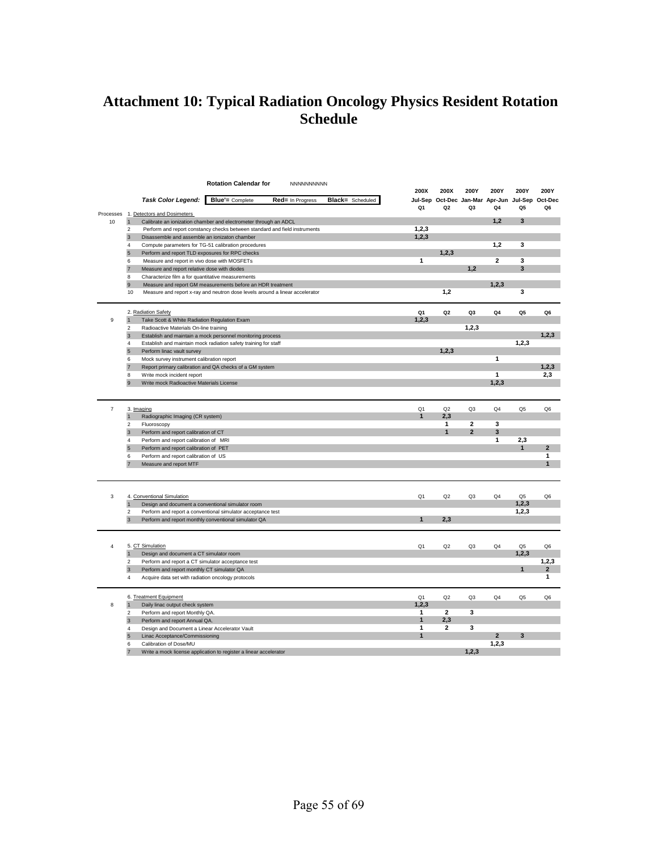### **Attachment 10: Typical Radiation Oncology Physics Resident Rotation Schedule**

|                |                              |                                                                                                 | <b>Rotation Calendar for</b>                                                 | NNNNNNNNNN       |                         |                |                                                                   |                         |                |                |                     |
|----------------|------------------------------|-------------------------------------------------------------------------------------------------|------------------------------------------------------------------------------|------------------|-------------------------|----------------|-------------------------------------------------------------------|-------------------------|----------------|----------------|---------------------|
|                |                              |                                                                                                 |                                                                              |                  |                         | 200X           | 200X                                                              | 200Y                    | 200Y           | 200Y           | 200Y                |
|                |                              | <b>Task Color Legend:</b>                                                                       | <b>Blue'</b> = Complete                                                      | Red= In Progress | <b>Black=</b> Scheduled | Q1             | Jul-Sep Oct-Dec Jan-Mar Apr-Jun Jul-Sep Oct-Dec<br>Q <sub>2</sub> | Q3                      | Q4             | Q5             | Q6                  |
| Processes      |                              | 1. Detectors and Dosimeters                                                                     |                                                                              |                  |                         |                |                                                                   |                         |                |                |                     |
| 10             | $\mathbf{1}$                 |                                                                                                 | Calibrate an ionization chamber and electrometer through an ADCL             |                  |                         |                |                                                                   |                         | 1,2            | 3              |                     |
|                | $\overline{2}$               |                                                                                                 | Perform and report constancy checks between standard and field instruments   |                  |                         | 1,2,3          |                                                                   |                         |                |                |                     |
|                | $\overline{3}$               | Disassemble and assemble an ionizaton chamber                                                   |                                                                              |                  |                         | 1, 2, 3        |                                                                   |                         |                |                |                     |
|                | 4<br>5                       | Perform and report TLD exposures for RPC checks                                                 | Compute parameters for TG-51 calibration procedures                          |                  |                         |                | 1, 2, 3                                                           |                         | 1,2            | 3              |                     |
|                | 6                            | Measure and report in vivo dose with MOSFETs                                                    |                                                                              |                  |                         | $\mathbf{1}$   |                                                                   |                         | $\overline{2}$ | 3              |                     |
|                | $\overline{7}$               | Measure and report relative dose with diodes                                                    |                                                                              |                  |                         |                |                                                                   | 1,2                     |                | 3              |                     |
|                | 8                            | Characterize film a for quantitative measurements                                               |                                                                              |                  |                         |                |                                                                   |                         |                |                |                     |
|                | 9                            |                                                                                                 | Measure and report GM measurements before an HDR treatment                   |                  |                         |                |                                                                   |                         | 1,2,3          |                |                     |
|                | 10                           |                                                                                                 | Measure and report x-ray and neutron dose levels around a linear accelerator |                  |                         |                | 1,2                                                               |                         |                | 3              |                     |
|                |                              |                                                                                                 |                                                                              |                  |                         |                |                                                                   |                         |                |                |                     |
|                |                              | 2. Radiation Safety                                                                             |                                                                              |                  |                         | Q1             | Q <sub>2</sub>                                                    | Q <sub>3</sub>          | Q4             | Q5             | Q6                  |
| 9              | $\mathbf{1}$                 | Take Scott & White Radiation Regulation Exam                                                    |                                                                              |                  |                         | 1, 2, 3        |                                                                   |                         |                |                |                     |
|                | $\mathfrak{p}$               | Radioactive Materials On-line training                                                          |                                                                              |                  |                         |                |                                                                   | 1,2,3                   |                |                |                     |
|                | 3                            |                                                                                                 | Establish and maintain a mock personnel monitoring process                   |                  |                         |                |                                                                   |                         |                |                | 1, 2, 3             |
|                | $\overline{4}$               |                                                                                                 | Establish and maintain mock radiation safety training for staff              |                  |                         |                |                                                                   |                         |                | 1,2,3          |                     |
|                | 5                            | Perform linac vault survey                                                                      |                                                                              |                  |                         |                | 1, 2, 3                                                           |                         |                |                |                     |
|                | 6                            | Mock survey instrument calibration report                                                       |                                                                              |                  |                         |                |                                                                   |                         | 1              |                |                     |
|                | $\overline{7}$               |                                                                                                 | Report primary calibration and QA checks of a GM system                      |                  |                         |                |                                                                   |                         | 1              |                | 1, 2, 3<br>2,3      |
|                | 8<br>9                       | Write mock incident report<br>Write mock Radioactive Materials License                          |                                                                              |                  |                         |                |                                                                   |                         | 1, 2, 3        |                |                     |
|                |                              |                                                                                                 |                                                                              |                  |                         |                |                                                                   |                         |                |                |                     |
|                |                              |                                                                                                 |                                                                              |                  |                         |                |                                                                   |                         |                |                |                     |
| $\overline{7}$ |                              | 3. Imaging                                                                                      |                                                                              |                  |                         | Q <sub>1</sub> | Q2                                                                | Q <sub>3</sub>          | Q <sub>4</sub> | Q <sub>5</sub> | Q <sub>6</sub>      |
|                | $\mathbf{1}$                 | Radiographic Imaging (CR system)                                                                |                                                                              |                  |                         | $\mathbf{1}$   | 2,3                                                               |                         |                |                |                     |
|                | 2                            | Fluoroscopy                                                                                     |                                                                              |                  |                         |                | $\mathbf{1}$                                                      | $\overline{\mathbf{2}}$ | 3              |                |                     |
|                | $\mathbf{3}$                 | Perform and report calibration of CT                                                            |                                                                              |                  |                         |                | $\mathbf{1}$                                                      | $\mathbf 2$             | 3              |                |                     |
|                | $\overline{4}$               | Perform and report calibration of MRI                                                           |                                                                              |                  |                         |                |                                                                   |                         | 1              | 2,3            |                     |
|                | 5                            | Perform and report calibration of PET                                                           |                                                                              |                  |                         |                |                                                                   |                         |                | $\mathbf{1}$   | $\mathbf{2}$        |
|                | 6                            | Perform and report calibration of US                                                            |                                                                              |                  |                         |                |                                                                   |                         |                |                | 1<br>$\overline{1}$ |
|                | $\overline{7}$               | Measure and report MTF                                                                          |                                                                              |                  |                         |                |                                                                   |                         |                |                |                     |
|                |                              |                                                                                                 |                                                                              |                  |                         |                |                                                                   |                         |                |                |                     |
|                |                              |                                                                                                 |                                                                              |                  |                         |                |                                                                   |                         |                |                |                     |
| 3              |                              | 4. Conventional Simulation                                                                      |                                                                              |                  |                         | Q <sub>1</sub> | Q2                                                                | Q3                      | Q4             | Q5             | Q6                  |
|                | $\mathbf{1}$                 | Design and document a conventional simulator room                                               |                                                                              |                  |                         |                |                                                                   |                         |                | 1, 2, 3        |                     |
|                | $\mathfrak{p}$               |                                                                                                 | Perform and report a conventional simulator acceptance test                  |                  |                         |                |                                                                   |                         |                | 1, 2, 3        |                     |
|                | 3                            |                                                                                                 | Perform and report monthly conventional simulator QA                         |                  |                         | $\mathbf{1}$   | 2,3                                                               |                         |                |                |                     |
|                |                              |                                                                                                 |                                                                              |                  |                         |                |                                                                   |                         |                |                |                     |
|                |                              |                                                                                                 |                                                                              |                  |                         |                |                                                                   |                         |                |                |                     |
| 4              |                              | 5. CT Simulation                                                                                |                                                                              |                  |                         | Q <sub>1</sub> | Q2                                                                | Q3                      | Q4             | Q5             | Q6                  |
|                | $\mathbf{1}$                 | Design and document a CT simulator room                                                         |                                                                              |                  |                         |                |                                                                   |                         |                | 1, 2, 3        | 1, 2, 3             |
|                | $\overline{\mathbf{c}}$<br>3 | Perform and report a CT simulator acceptance test<br>Perform and report monthly CT simulator QA |                                                                              |                  |                         |                |                                                                   |                         |                | 1              | 2                   |
|                | 4                            | Acquire data set with radiation oncology protocols                                              |                                                                              |                  |                         |                |                                                                   |                         |                |                | 1                   |
|                |                              |                                                                                                 |                                                                              |                  |                         |                |                                                                   |                         |                |                |                     |
|                |                              | 6. Treatment Equipment                                                                          |                                                                              |                  |                         | Q1             | Q2                                                                | Q3                      | Q4             | Q <sub>5</sub> | Q6                  |
| 8              | $\mathbf{1}$                 | Daily linac output check system                                                                 |                                                                              |                  |                         | 1,2,3          |                                                                   |                         |                |                |                     |
|                | $\overline{\mathbf{c}}$      | Perform and report Monthly QA.                                                                  |                                                                              |                  |                         | 1              | $\overline{2}$                                                    | 3                       |                |                |                     |
|                | 3                            | Perform and report Annual QA.                                                                   |                                                                              |                  |                         | $\mathbf{1}$   | 2,3                                                               |                         |                |                |                     |
|                | 4                            | Design and Document a Linear Accelerator Vault                                                  |                                                                              |                  |                         | 1              | $\mathbf{2}$                                                      | 3                       |                |                |                     |
|                | 5                            | Linac Acceptance/Commissioning                                                                  |                                                                              |                  |                         | $\mathbf{1}$   |                                                                   |                         | $\overline{2}$ | 3              |                     |
|                | 6                            | Calibration of Dose/MU                                                                          |                                                                              |                  |                         |                |                                                                   |                         | 1,2,3          |                |                     |
|                |                              |                                                                                                 | Write a mock license application to register a linear accelerator            |                  |                         |                |                                                                   | 1,2,3                   |                |                |                     |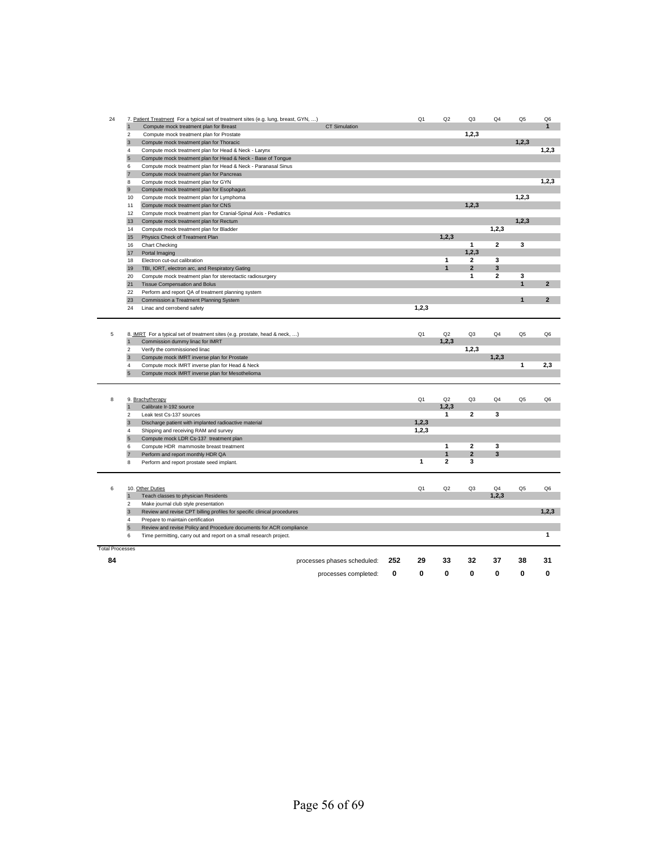| 24                     |                | 7. Patient Treatment For a typical set of treatment sites (e.g. lung, breast, GYN, ) |                             |     | Q1             | Q2                      | Q <sub>3</sub>                 | Q4                      | Q <sub>5</sub> | Q6             |
|------------------------|----------------|--------------------------------------------------------------------------------------|-----------------------------|-----|----------------|-------------------------|--------------------------------|-------------------------|----------------|----------------|
|                        | $\mathbf{1}$   | Compute mock treatment plan for Breast                                               | <b>CT Simulation</b>        |     |                |                         |                                |                         |                | $\mathbf{1}$   |
|                        | 2              | Compute mock treatment plan for Prostate                                             |                             |     |                |                         | 1,2,3                          |                         |                |                |
|                        | 3              | Compute mock treatment plan for Thoracic                                             |                             |     |                |                         |                                |                         | 1,2,3          |                |
|                        | 4              | Compute mock treatment plan for Head & Neck - Larynx                                 |                             |     |                |                         |                                |                         |                | 1,2,3          |
|                        | $\overline{5}$ | Compute mock treatment plan for Head & Neck - Base of Tongue                         |                             |     |                |                         |                                |                         |                |                |
|                        | 6              | Compute mock treatment plan for Head & Neck - Paranasal Sinus                        |                             |     |                |                         |                                |                         |                |                |
|                        | $\overline{7}$ | Compute mock treatment plan for Pancreas                                             |                             |     |                |                         |                                |                         |                |                |
|                        | 8              | Compute mock treatment plan for GYN                                                  |                             |     |                |                         |                                |                         |                | 1, 2, 3        |
|                        | 9              | Compute mock treatment plan for Esophagus                                            |                             |     |                |                         |                                |                         |                |                |
|                        | 10             | Compute mock treatment plan for Lymphoma                                             |                             |     |                |                         |                                |                         | 1,2,3          |                |
|                        | 11             | Compute mock treatment plan for CNS                                                  |                             |     |                |                         | 1,2,3                          |                         |                |                |
|                        | 12             | Compute mock treatment plan for Cranial-Spinal Axis - Pediatrics                     |                             |     |                |                         |                                |                         |                |                |
|                        | 13             | Compute mock treatment plan for Rectum                                               |                             |     |                |                         |                                |                         | 1, 2, 3        |                |
|                        | 14             | Compute mock treatment plan for Bladder                                              |                             |     |                |                         |                                | 1,2,3                   |                |                |
|                        | 15             | Physics Check of Treatment Plan                                                      |                             |     |                | 1.2.3                   |                                |                         |                |                |
|                        | 16             | <b>Chart Checking</b>                                                                |                             |     |                |                         | $\mathbf{1}$                   | $\overline{\mathbf{2}}$ | 3              |                |
|                        | 17             | Portal Imaging                                                                       |                             |     |                |                         | 1,2,3                          |                         |                |                |
|                        | 18             | Electron cut-out calibration                                                         |                             |     |                | 1<br>1                  | $\mathbf{2}$<br>$\overline{2}$ | 3<br>3                  |                |                |
|                        | 19             | TBI, IORT, electron arc, and Respiratory Gating                                      |                             |     |                |                         |                                | $\overline{\mathbf{c}}$ | 3              |                |
|                        | 20             | Compute mock treatment plan for stereotactic radiosurgery                            |                             |     |                |                         | $\mathbf{1}$                   |                         | $\mathbf{1}$   | $\overline{2}$ |
|                        | 21             | Tissue Compensation and Bolus                                                        |                             |     |                |                         |                                |                         |                |                |
|                        | 22             | Perform and report QA of treatment planning system                                   |                             |     |                |                         |                                |                         | 1              | $\overline{2}$ |
|                        | 23<br>24       | Commission a Treatment Planning System                                               |                             |     | 1, 2, 3        |                         |                                |                         |                |                |
|                        |                | Linac and cerrobend safety                                                           |                             |     |                |                         |                                |                         |                |                |
|                        |                |                                                                                      |                             |     |                |                         |                                |                         |                |                |
| 5                      |                | 8. IMRT For a typical set of treatment sites (e.g. prostate, head & neck, )          |                             |     | Q <sub>1</sub> | Q2                      | Q <sub>3</sub>                 | Q <sub>4</sub>          | Q <sub>5</sub> | Q6             |
|                        | $\mathbf{1}$   | Commission dummy linac for IMRT                                                      |                             |     |                | 1, 2, 3                 |                                |                         |                |                |
|                        | $\overline{2}$ | Verify the commissioned linac                                                        |                             |     |                |                         | 1, 2, 3                        |                         |                |                |
|                        | 3              | Compute mock IMRT inverse plan for Prostate                                          |                             |     |                |                         |                                | 1,2,3                   |                |                |
|                        | 4              | Compute mock IMRT inverse plan for Head & Neck                                       |                             |     |                |                         |                                |                         | 1              | 2,3            |
|                        | 5              | Compute mock IMRT inverse plan for Mesothelioma                                      |                             |     |                |                         |                                |                         |                |                |
|                        |                |                                                                                      |                             |     |                |                         |                                |                         |                |                |
| 8                      |                | 9. Brachytherapy                                                                     |                             |     | Q <sub>1</sub> | Q2                      | Q <sub>3</sub>                 | Q <sub>4</sub>          | Q <sub>5</sub> | Q6             |
|                        | $\mathbf{1}$   | Calibrate Ir-192 source                                                              |                             |     |                | 1, 2, 3                 |                                |                         |                |                |
|                        | 2              | Leak test Cs-137 sources                                                             |                             |     |                | 1                       | $\mathbf{2}$                   | 3                       |                |                |
|                        | $\sqrt{3}$     | Discharge patient with implanted radioactive material                                |                             |     | 1,2,3          |                         |                                |                         |                |                |
|                        | $\overline{4}$ | Shipping and receiving RAM and survey                                                |                             |     | 1, 2, 3        |                         |                                |                         |                |                |
|                        | $\overline{5}$ | Compute mock LDR Cs-137 treatment plan                                               |                             |     |                |                         |                                |                         |                |                |
|                        | 6              | Compute HDR mammosite breast treatment                                               |                             |     |                | $\mathbf{1}$            | $\mathbf{2}$                   | 3                       |                |                |
|                        | $\overline{7}$ | Perform and report monthly HDR QA                                                    |                             |     |                | 1                       | $\mathbf{2}$                   | 3                       |                |                |
|                        | 8              | Perform and report prostate seed implant.                                            |                             |     | 1              | $\overline{\mathbf{2}}$ | 3                              |                         |                |                |
|                        |                |                                                                                      |                             |     |                |                         |                                |                         |                |                |
| 6                      |                | 10. Other Duties                                                                     |                             |     | Q1             | Q2                      | Q <sub>3</sub>                 | Q4                      | Q <sub>5</sub> | Q6             |
|                        | $\mathbf{1}$   | Teach classes to physician Residents                                                 |                             |     |                |                         |                                | 1, 2, 3                 |                |                |
|                        | 2              | Make journal club style presentation                                                 |                             |     |                |                         |                                |                         |                |                |
|                        | $\overline{3}$ | Review and revise CPT billing profiles for specific clinical procedures              |                             |     |                |                         |                                |                         |                | 1,2,3          |
|                        | 4              | Prepare to maintain certification                                                    |                             |     |                |                         |                                |                         |                |                |
|                        | $\overline{5}$ | Review and revise Policy and Procedure documents for ACR compliance                  |                             |     |                |                         |                                |                         |                |                |
|                        | 6              | Time permitting, carry out and report on a small research project.                   |                             |     |                |                         |                                |                         |                | 1              |
| <b>Total Processes</b> |                |                                                                                      |                             |     |                |                         |                                |                         |                |                |
| 84                     |                |                                                                                      | processes phases scheduled: | 252 | 29             | 33                      | 32                             | 37                      | 38             | 31             |
|                        |                |                                                                                      | processes completed:        | 0   | 0              | 0                       | 0                              | $\Omega$                | 0              | O              |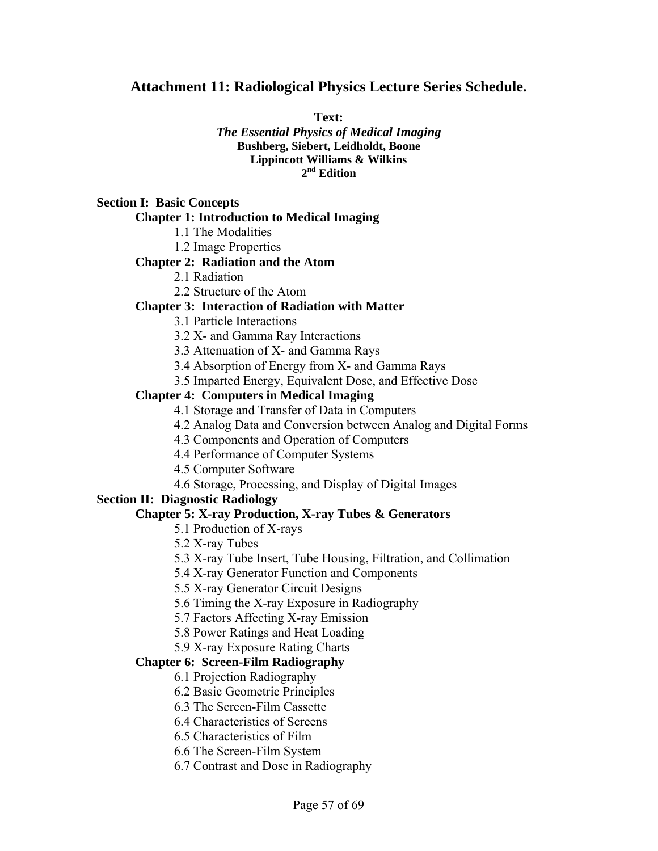#### **Attachment 11: Radiological Physics Lecture Series Schedule.**

**Text:** 

*The Essential Physics of Medical Imaging* **Bushberg, Siebert, Leidholdt, Boone Lippincott Williams & Wilkins 2nd Edition** 

#### **Section I: Basic Concepts**

#### **Chapter 1: Introduction to Medical Imaging**

1.1 The Modalities

1.2 Image Properties

#### **Chapter 2: Radiation and the Atom**

2.1 Radiation

2.2 Structure of the Atom

#### **Chapter 3: Interaction of Radiation with Matter**

3.1 Particle Interactions

3.2 X- and Gamma Ray Interactions

- 3.3 Attenuation of X- and Gamma Rays
- 3.4 Absorption of Energy from X- and Gamma Rays
- 3.5 Imparted Energy, Equivalent Dose, and Effective Dose

#### **Chapter 4: Computers in Medical Imaging**

- 4.1 Storage and Transfer of Data in Computers
- 4.2 Analog Data and Conversion between Analog and Digital Forms
- 4.3 Components and Operation of Computers
- 4.4 Performance of Computer Systems
- 4.5 Computer Software
- 4.6 Storage, Processing, and Display of Digital Images

#### **Section II: Diagnostic Radiology**

#### **Chapter 5: X-ray Production, X-ray Tubes & Generators**

5.1 Production of X-rays

5.2 X-ray Tubes

- 5.3 X-ray Tube Insert, Tube Housing, Filtration, and Collimation
- 5.4 X-ray Generator Function and Components
- 5.5 X-ray Generator Circuit Designs
- 5.6 Timing the X-ray Exposure in Radiography
- 5.7 Factors Affecting X-ray Emission
- 5.8 Power Ratings and Heat Loading

#### 5.9 X-ray Exposure Rating Charts

#### **Chapter 6: Screen-Film Radiography**

- 6.1 Projection Radiography
- 6.2 Basic Geometric Principles
- 6.3 The Screen-Film Cassette
- 6.4 Characteristics of Screens
- 6.5 Characteristics of Film
- 6.6 The Screen-Film System
- 6.7 Contrast and Dose in Radiography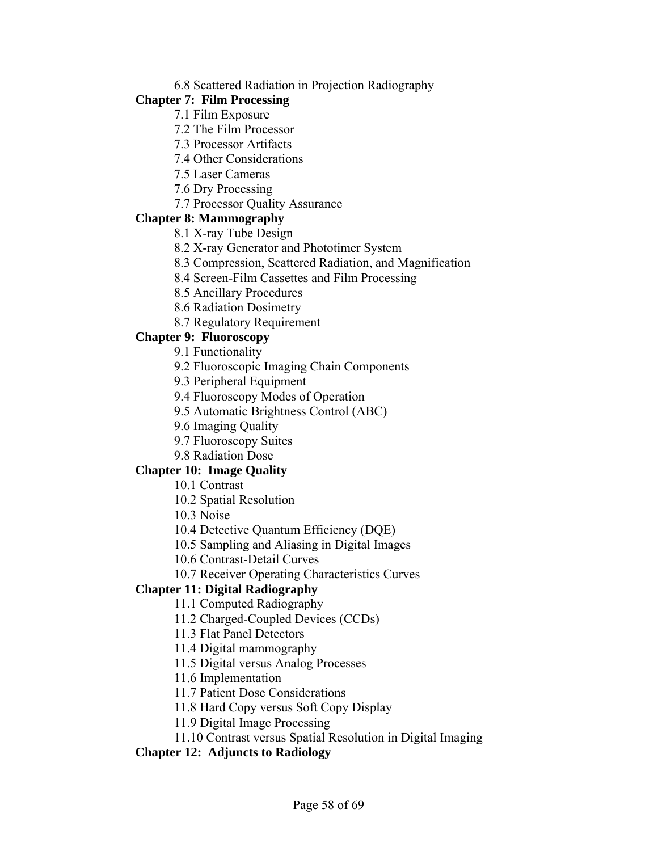#### 6.8 Scattered Radiation in Projection Radiography

#### **Chapter 7: Film Processing**

- 7.1 Film Exposure
- 7.2 The Film Processor
- 7.3 Processor Artifacts
- 7.4 Other Considerations
- 7.5 Laser Cameras
- 7.6 Dry Processing
- 7.7 Processor Quality Assurance

#### **Chapter 8: Mammography**

- 8.1 X-ray Tube Design
- 8.2 X-ray Generator and Phototimer System
- 8.3 Compression, Scattered Radiation, and Magnification
- 8.4 Screen-Film Cassettes and Film Processing
- 8.5 Ancillary Procedures
- 8.6 Radiation Dosimetry
- 8.7 Regulatory Requirement

#### **Chapter 9: Fluoroscopy**

- 9.1 Functionality
- 9.2 Fluoroscopic Imaging Chain Components
- 9.3 Peripheral Equipment
- 9.4 Fluoroscopy Modes of Operation
- 9.5 Automatic Brightness Control (ABC)
- 9.6 Imaging Quality
- 9.7 Fluoroscopy Suites
- 9.8 Radiation Dose

### **Chapter 10: Image Quality**

- 10.1 Contrast
- 10.2 Spatial Resolution
- 10.3 Noise
- 10.4 Detective Quantum Efficiency (DQE)
- 10.5 Sampling and Aliasing in Digital Images
- 10.6 Contrast-Detail Curves
- 10.7 Receiver Operating Characteristics Curves

### **Chapter 11: Digital Radiography**

- 11.1 Computed Radiography
- 11.2 Charged-Coupled Devices (CCDs)
- 11.3 Flat Panel Detectors
- 11.4 Digital mammography
- 11.5 Digital versus Analog Processes
- 11.6 Implementation
- 11.7 Patient Dose Considerations
- 11.8 Hard Copy versus Soft Copy Display
- 11.9 Digital Image Processing
- 11.10 Contrast versus Spatial Resolution in Digital Imaging

### **Chapter 12: Adjuncts to Radiology**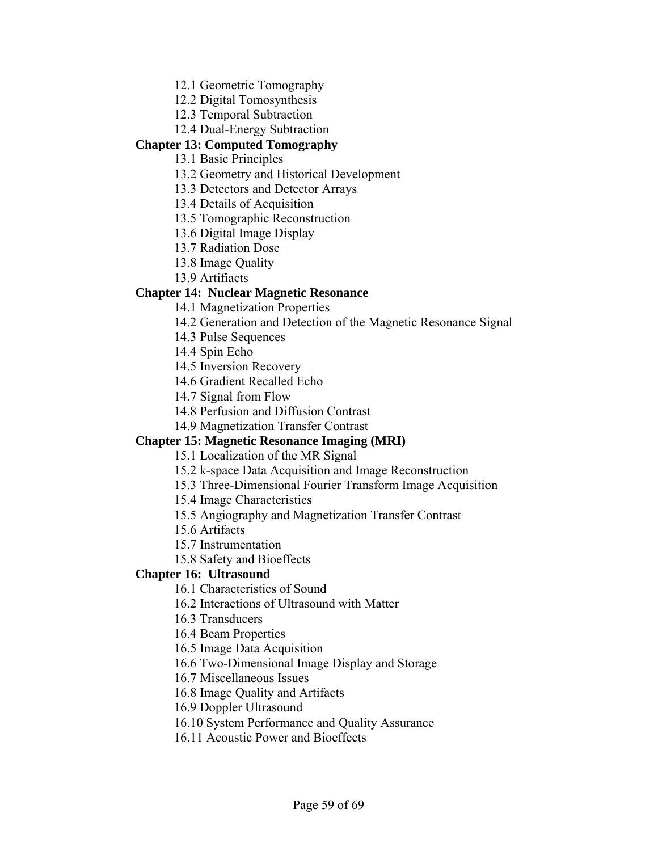12.1 Geometric Tomography

12.2 Digital Tomosynthesis

12.3 Temporal Subtraction

12.4 Dual-Energy Subtraction

#### **Chapter 13: Computed Tomography**

13.1 Basic Principles

13.2 Geometry and Historical Development

13.3 Detectors and Detector Arrays

13.4 Details of Acquisition

13.5 Tomographic Reconstruction

13.6 Digital Image Display

13.7 Radiation Dose

13.8 Image Quality

13.9 Artifiacts

#### **Chapter 14: Nuclear Magnetic Resonance**

14.1 Magnetization Properties

14.2 Generation and Detection of the Magnetic Resonance Signal

14.3 Pulse Sequences

14.4 Spin Echo

14.5 Inversion Recovery

14.6 Gradient Recalled Echo

14.7 Signal from Flow

14.8 Perfusion and Diffusion Contrast

14.9 Magnetization Transfer Contrast

#### **Chapter 15: Magnetic Resonance Imaging (MRI)**

15.1 Localization of the MR Signal

15.2 k-space Data Acquisition and Image Reconstruction

15.3 Three-Dimensional Fourier Transform Image Acquisition

15.4 Image Characteristics

15.5 Angiography and Magnetization Transfer Contrast

15.6 Artifacts

15.7 Instrumentation

15.8 Safety and Bioeffects

#### **Chapter 16: Ultrasound**

16.1 Characteristics of Sound

16.2 Interactions of Ultrasound with Matter

16.3 Transducers

16.4 Beam Properties

16.5 Image Data Acquisition

16.6 Two-Dimensional Image Display and Storage

16.7 Miscellaneous Issues

16.8 Image Quality and Artifacts

16.9 Doppler Ultrasound

16.10 System Performance and Quality Assurance

16.11 Acoustic Power and Bioeffects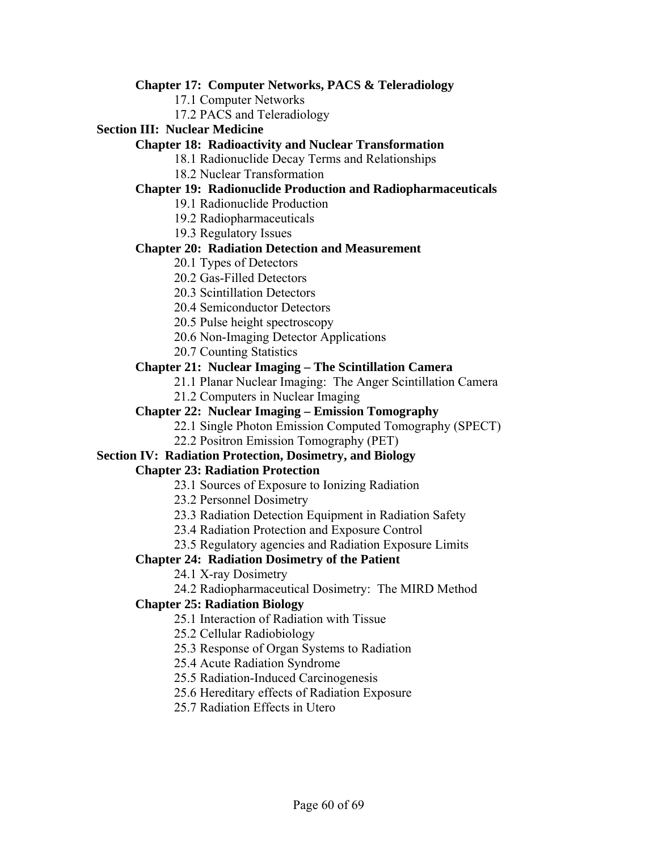#### **Chapter 17: Computer Networks, PACS & Teleradiology**

17.1 Computer Networks

17.2 PACS and Teleradiology

#### **Section III: Nuclear Medicine**

#### **Chapter 18: Radioactivity and Nuclear Transformation**

- 18.1 Radionuclide Decay Terms and Relationships
- 18.2 Nuclear Transformation

#### **Chapter 19: Radionuclide Production and Radiopharmaceuticals**

- 19.1 Radionuclide Production
- 19.2 Radiopharmaceuticals
- 19.3 Regulatory Issues

#### **Chapter 20: Radiation Detection and Measurement**

- 20.1 Types of Detectors
- 20.2 Gas-Filled Detectors
- 20.3 Scintillation Detectors
- 20.4 Semiconductor Detectors
- 20.5 Pulse height spectroscopy
- 20.6 Non-Imaging Detector Applications
- 20.7 Counting Statistics

### **Chapter 21: Nuclear Imaging – The Scintillation Camera**

- 21.1 Planar Nuclear Imaging: The Anger Scintillation Camera
- 21.2 Computers in Nuclear Imaging

### **Chapter 22: Nuclear Imaging – Emission Tomography**

- 22.1 Single Photon Emission Computed Tomography (SPECT)
- 22.2 Positron Emission Tomography (PET)

### **Section IV: Radiation Protection, Dosimetry, and Biology**

### **Chapter 23: Radiation Protection**

- 23.1 Sources of Exposure to Ionizing Radiation
- 23.2 Personnel Dosimetry
- 23.3 Radiation Detection Equipment in Radiation Safety
- 23.4 Radiation Protection and Exposure Control
- 23.5 Regulatory agencies and Radiation Exposure Limits

### **Chapter 24: Radiation Dosimetry of the Patient**

- 24.1 X-ray Dosimetry
- 24.2 Radiopharmaceutical Dosimetry: The MIRD Method

### **Chapter 25: Radiation Biology**

- 25.1 Interaction of Radiation with Tissue
- 25.2 Cellular Radiobiology
- 25.3 Response of Organ Systems to Radiation
- 25.4 Acute Radiation Syndrome
- 25.5 Radiation-Induced Carcinogenesis
- 25.6 Hereditary effects of Radiation Exposure
- 25.7 Radiation Effects in Utero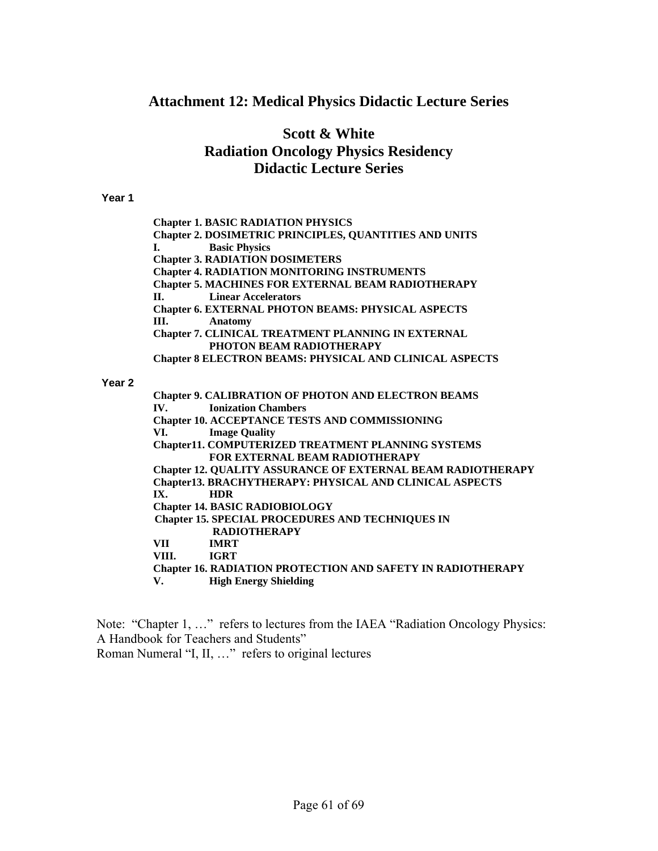### **Attachment 12: Medical Physics Didactic Lecture Series**

### **Scott & White Radiation Oncology Physics Residency Didactic Lecture Series**

#### **Year 1**

**Chapter 1. BASIC RADIATION PHYSICS Chapter 2. DOSIMETRIC PRINCIPLES, QUANTITIES AND UNITS I. Basic Physics Chapter 3. RADIATION DOSIMETERS Chapter 4. RADIATION MONITORING INSTRUMENTS Chapter 5. MACHINES FOR EXTERNAL BEAM RADIOTHERAPY II. Linear Accelerators Chapter 6. EXTERNAL PHOTON BEAMS: PHYSICAL ASPECTS III. Anatomy Chapter 7. CLINICAL TREATMENT PLANNING IN EXTERNAL PHOTON BEAM RADIOTHERAPY Chapter 8 ELECTRON BEAMS: PHYSICAL AND CLINICAL ASPECTS Chapter 9. CALIBRATION OF PHOTON AND ELECTRON BEAMS** 

#### **Year 2**

**IV. Ionization Chambers Chapter 10. ACCEPTANCE TESTS AND COMMISSIONING VI. Image Quality Chapter11. COMPUTERIZED TREATMENT PLANNING SYSTEMS FOR EXTERNAL BEAM RADIOTHERAPY Chapter 12. QUALITY ASSURANCE OF EXTERNAL BEAM RADIOTHERAPY Chapter13. BRACHYTHERAPY: PHYSICAL AND CLINICAL ASPECTS IX. HDR Chapter 14. BASIC RADIOBIOLOGY Chapter 15. SPECIAL PROCEDURES AND TECHNIQUES IN RADIOTHERAPY VII IMRT VIII. IGRT Chapter 16. RADIATION PROTECTION AND SAFETY IN RADIOTHERAPY V. High Energy Shielding** 

Note: "Chapter 1, …" refers to lectures from the IAEA "Radiation Oncology Physics: A Handbook for Teachers and Students" Roman Numeral "I, II, …" refers to original lectures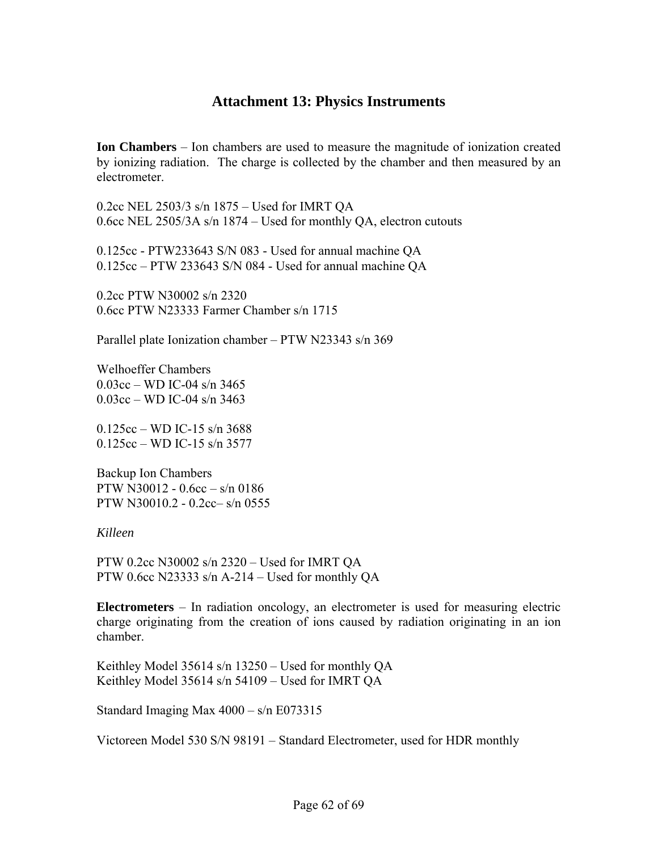### **Attachment 13: Physics Instruments**

**Ion Chambers** – Ion chambers are used to measure the magnitude of ionization created by ionizing radiation. The charge is collected by the chamber and then measured by an electrometer.

0.2cc NEL 2503/3 s/n 1875 – Used for IMRT QA 0.6cc NEL 2505/3A s/n 1874 – Used for monthly QA, electron cutouts

0.125cc - PTW233643 S/N 083 - Used for annual machine QA 0.125cc – PTW 233643 S/N 084 - Used for annual machine QA

0.2cc PTW N30002 s/n 2320 0.6cc PTW N23333 Farmer Chamber s/n 1715

Parallel plate Ionization chamber – PTW N23343 s/n 369

Welhoeffer Chambers 0.03cc – WD IC-04 s/n 3465 0.03cc – WD IC-04 s/n 3463

0.125cc – WD IC-15 s/n 3688 0.125cc – WD IC-15 s/n 3577

Backup Ion Chambers PTW N30012 - 0.6cc – s/n 0186 PTW N30010.2 - 0.2cc– s/n 0555

*Killeen* 

PTW 0.2cc N30002 s/n 2320 – Used for IMRT QA PTW 0.6cc N23333 s/n A-214 – Used for monthly QA

**Electrometers** – In radiation oncology, an electrometer is used for measuring electric charge originating from the creation of ions caused by radiation originating in an ion chamber.

Keithley Model 35614 s/n 13250 – Used for monthly QA Keithley Model 35614 s/n 54109 – Used for IMRT QA

Standard Imaging Max 4000 – s/n E073315

Victoreen Model 530 S/N 98191 – Standard Electrometer, used for HDR monthly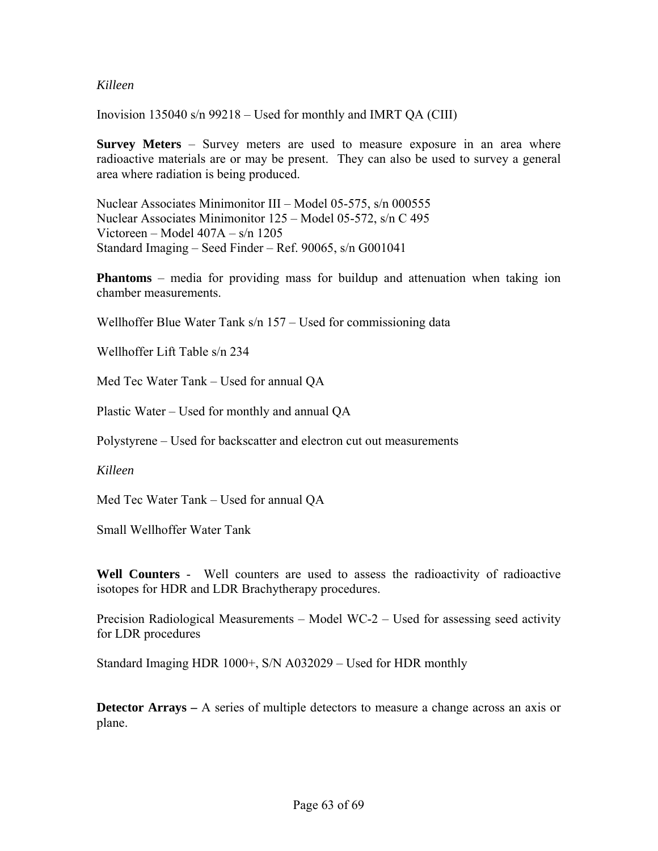#### *Killeen*

Inovision 135040 s/n 99218 – Used for monthly and IMRT QA (CIII)

**Survey Meters** – Survey meters are used to measure exposure in an area where radioactive materials are or may be present. They can also be used to survey a general area where radiation is being produced.

Nuclear Associates Minimonitor III – Model 05-575, s/n 000555 Nuclear Associates Minimonitor 125 – Model 05-572, s/n C 495 Victoreen – Model 407A – s/n 1205 Standard Imaging – Seed Finder – Ref. 90065, s/n G001041

**Phantoms** – media for providing mass for buildup and attenuation when taking ion chamber measurements.

Wellhoffer Blue Water Tank s/n 157 – Used for commissioning data

Wellhoffer Lift Table s/n 234

Med Tec Water Tank – Used for annual QA

Plastic Water – Used for monthly and annual QA

Polystyrene – Used for backscatter and electron cut out measurements

*Killeen*

Med Tec Water Tank – Used for annual QA

Small Wellhoffer Water Tank

**Well Counters** - Well counters are used to assess the radioactivity of radioactive isotopes for HDR and LDR Brachytherapy procedures.

Precision Radiological Measurements – Model WC-2 – Used for assessing seed activity for LDR procedures

Standard Imaging HDR 1000+, S/N A032029 – Used for HDR monthly

**Detector Arrays** – A series of multiple detectors to measure a change across an axis or plane.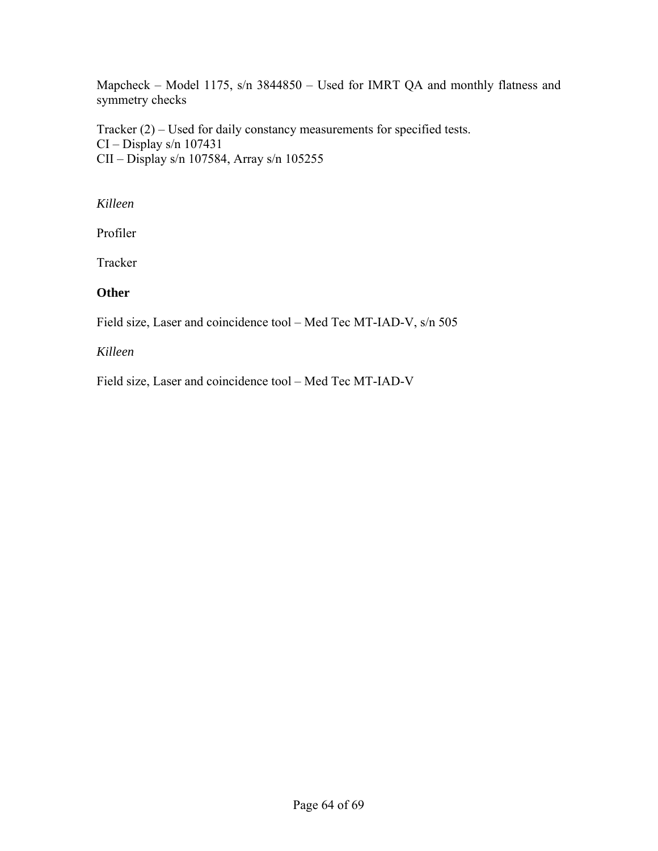Mapcheck – Model 1175, s/n 3844850 – Used for IMRT QA and monthly flatness and symmetry checks

Tracker (2) – Used for daily constancy measurements for specified tests. CI – Display s/n 107431 CII – Display s/n 107584, Array s/n 105255

*Killeen* 

Profiler

Tracker

### **Other**

Field size, Laser and coincidence tool – Med Tec MT-IAD-V, s/n 505

### *Killeen*

Field size, Laser and coincidence tool – Med Tec MT-IAD-V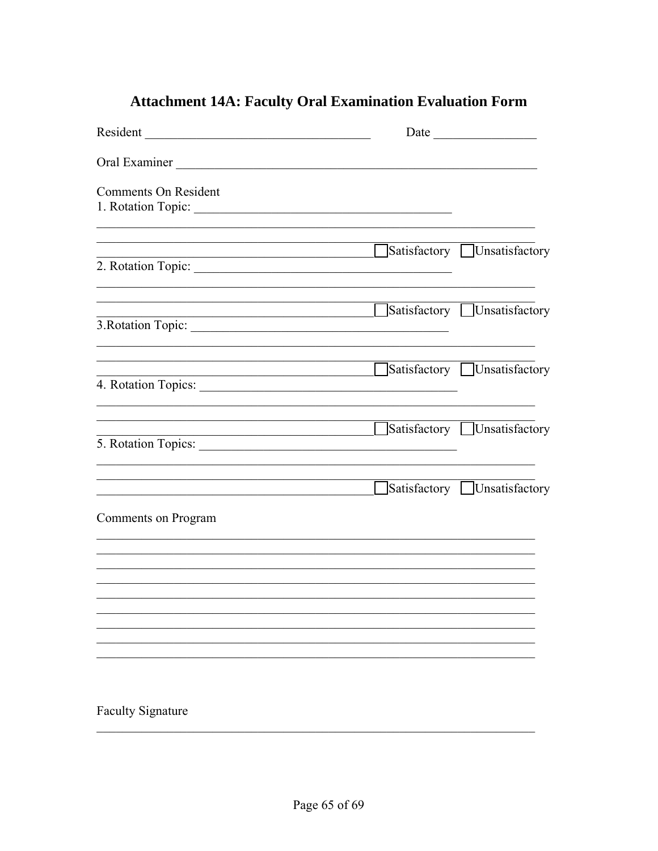# **Attachment 14A: Faculty Oral Examination Evaluation Form**

| Resident                                                                                                              |                                                                                                                                                                             |                             |
|-----------------------------------------------------------------------------------------------------------------------|-----------------------------------------------------------------------------------------------------------------------------------------------------------------------------|-----------------------------|
| Oral Examiner                                                                                                         |                                                                                                                                                                             |                             |
| <b>Comments On Resident</b>                                                                                           |                                                                                                                                                                             |                             |
| <u> 1988 - Johann Barbara, martxa amerikan basar da</u>                                                               |                                                                                                                                                                             | Satisfactory Unsatisfactory |
| <u> 1989 - Johann Stein, marwolaethau a bhann an t-Albann an t-Albann an t-Albann an t-Albann an t-Albann an t-Al</u> |                                                                                                                                                                             | Satisfactory Unsatisfactory |
| <u> 1989 - Johann Barn, mars ann an t-Amhain Aonaich an t-Aonaich an t-Aonaich ann an t-Aonaich ann an t-Aonaich</u>  |                                                                                                                                                                             | Satisfactory Unsatisfactory |
|                                                                                                                       | <u> 1989 - Johann Barnett, fransk politiker (</u><br><u> 1989 - Johann John Stoff, deutscher Stoffen und der Stoffen und der Stoffen und der Stoffen und der Stoffen un</u> | Satisfactory Unsatisfactory |
|                                                                                                                       |                                                                                                                                                                             | Satisfactory Unsatisfactory |
| Comments on Program                                                                                                   |                                                                                                                                                                             |                             |
|                                                                                                                       |                                                                                                                                                                             |                             |
|                                                                                                                       |                                                                                                                                                                             |                             |
|                                                                                                                       |                                                                                                                                                                             |                             |
| <b>Faculty Signature</b>                                                                                              |                                                                                                                                                                             |                             |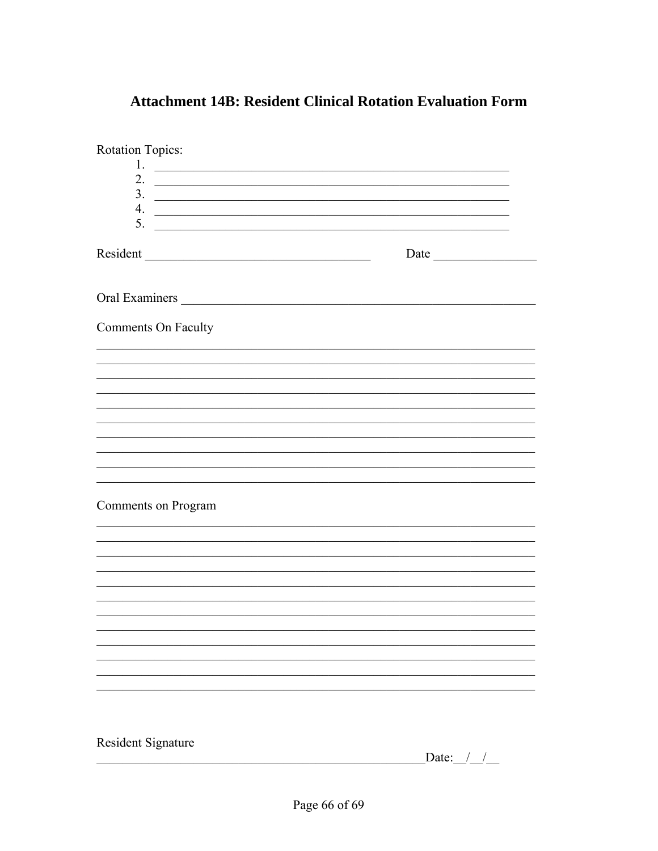| Rotation Topics:                                                                                                                                                                                                                           |                                                             |
|--------------------------------------------------------------------------------------------------------------------------------------------------------------------------------------------------------------------------------------------|-------------------------------------------------------------|
| 1.<br><u> Andrews American American American American American American American American American American American A</u>                                                                                                                 |                                                             |
| 2. $\qquad \qquad$                                                                                                                                                                                                                         |                                                             |
| $\frac{3}{2}$                                                                                                                                                                                                                              |                                                             |
| 4.<br><u> 1989 - Johann Harry Harry Harry Harry Harry Harry Harry Harry Harry Harry Harry Harry Harry Harry Harry Harry Harry Harry Harry Harry Harry Harry Harry Harry Harry Harry Harry Harry Harry Harry Harry Harry Harry Harry Ha</u> |                                                             |
|                                                                                                                                                                                                                                            |                                                             |
|                                                                                                                                                                                                                                            | Date                                                        |
|                                                                                                                                                                                                                                            |                                                             |
| Comments On Faculty                                                                                                                                                                                                                        |                                                             |
|                                                                                                                                                                                                                                            |                                                             |
|                                                                                                                                                                                                                                            |                                                             |
|                                                                                                                                                                                                                                            |                                                             |
|                                                                                                                                                                                                                                            | <u> 1989 - Johann Stoff, amerikansk politiker (d. 1989)</u> |
| Comments on Program                                                                                                                                                                                                                        |                                                             |
|                                                                                                                                                                                                                                            |                                                             |
|                                                                                                                                                                                                                                            |                                                             |
|                                                                                                                                                                                                                                            |                                                             |
|                                                                                                                                                                                                                                            |                                                             |
|                                                                                                                                                                                                                                            |                                                             |
|                                                                                                                                                                                                                                            |                                                             |
|                                                                                                                                                                                                                                            |                                                             |
| <b>Resident Signature</b>                                                                                                                                                                                                                  |                                                             |

### **Attachment 14B: Resident Clinical Rotation Evaluation Form**

 $\qquad \qquad \textbf{Date:} \qquad \qquad \textit{I} \qquad \qquad$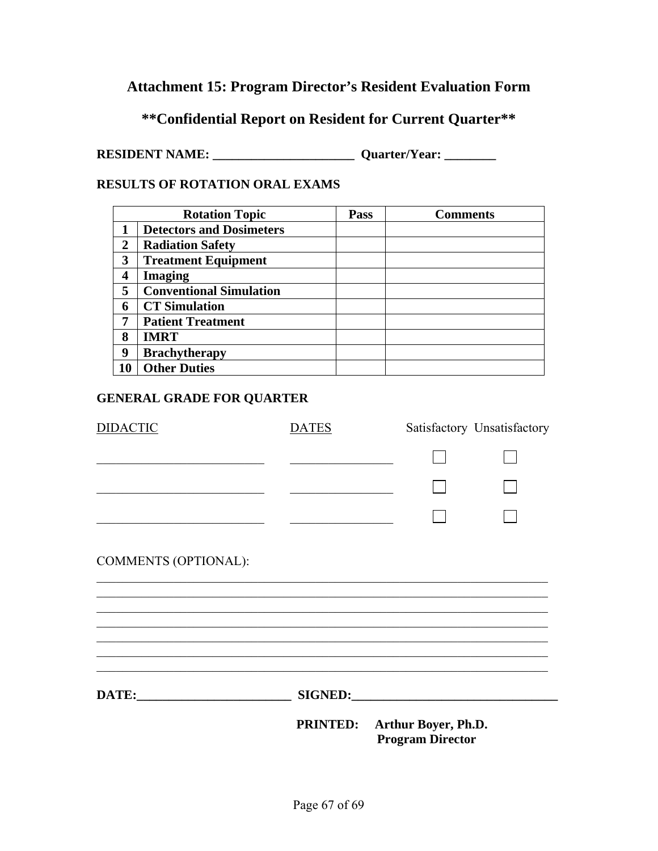## **Attachment 15: Program Director's Resident Evaluation Form**

### **\*\*Confidential Report on Resident for Current Quarter\*\***

**RESIDENT NAME: \_\_\_\_\_\_\_\_\_\_\_\_\_\_\_\_\_\_\_\_\_\_ Quarter/Year: \_\_\_\_\_\_\_\_** 

#### **RESULTS OF ROTATION ORAL EXAMS**

|                | <b>Rotation Topic</b>           | Pass | <b>Comments</b> |
|----------------|---------------------------------|------|-----------------|
|                | <b>Detectors and Dosimeters</b> |      |                 |
| $\overline{2}$ | <b>Radiation Safety</b>         |      |                 |
| 3              | <b>Treatment Equipment</b>      |      |                 |
| 4              | <b>Imaging</b>                  |      |                 |
| 5              | <b>Conventional Simulation</b>  |      |                 |
| 6              | <b>CT</b> Simulation            |      |                 |
| 7              | <b>Patient Treatment</b>        |      |                 |
| 8              | <b>IMRT</b>                     |      |                 |
| 9              | <b>Brachytherapy</b>            |      |                 |
| 10             | <b>Other Duties</b>             |      |                 |

### **GENERAL GRADE FOR QUARTER**

| <b>DIDACTIC</b>             | <b>DATES</b> |                                                         | Satisfactory Unsatisfactory |
|-----------------------------|--------------|---------------------------------------------------------|-----------------------------|
|                             |              |                                                         |                             |
|                             |              |                                                         |                             |
|                             |              |                                                         |                             |
| <b>COMMENTS (OPTIONAL):</b> |              |                                                         |                             |
|                             |              |                                                         |                             |
|                             |              |                                                         |                             |
|                             |              |                                                         |                             |
|                             |              | PRINTED: Arthur Boyer, Ph.D.<br><b>Program Director</b> |                             |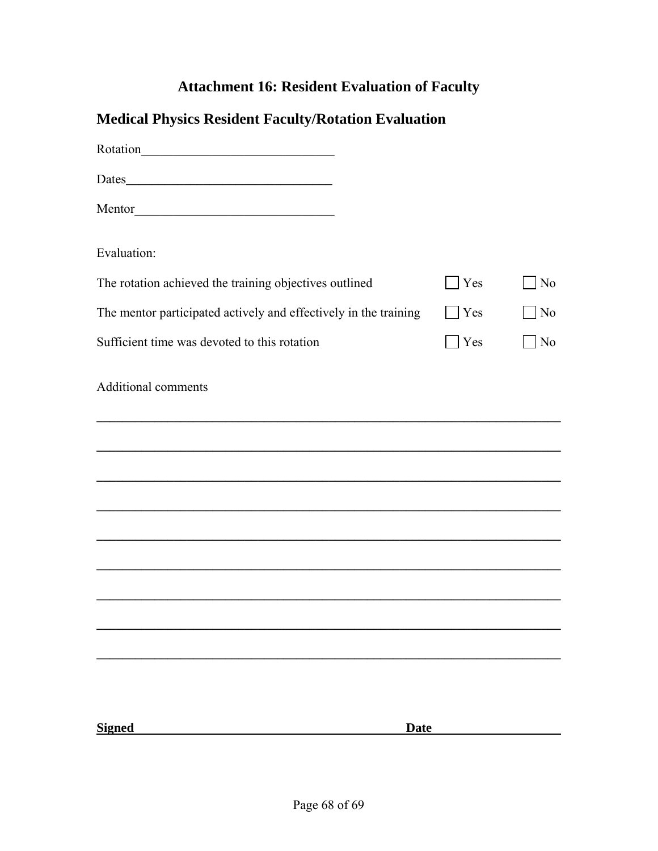# **Attachment 16: Resident Evaluation of Faculty**

| <b>Medical Physics Resident Faculty/Rotation Evaluation</b>      |            |                |
|------------------------------------------------------------------|------------|----------------|
|                                                                  |            |                |
|                                                                  |            |                |
|                                                                  |            |                |
| Evaluation:                                                      |            |                |
| The rotation achieved the training objectives outlined           | Yes        | N <sub>0</sub> |
| The mentor participated actively and effectively in the training | Yes        | N <sub>0</sub> |
| Sufficient time was devoted to this rotation                     | <b>Yes</b> | N <sub>0</sub> |
| <b>Additional comments</b>                                       |            |                |
|                                                                  |            |                |
|                                                                  |            |                |
|                                                                  |            |                |
|                                                                  |            |                |
|                                                                  |            |                |
|                                                                  |            |                |
|                                                                  |            |                |
|                                                                  |            |                |
|                                                                  |            |                |
| <b>Signed</b><br><b>Date</b>                                     |            |                |